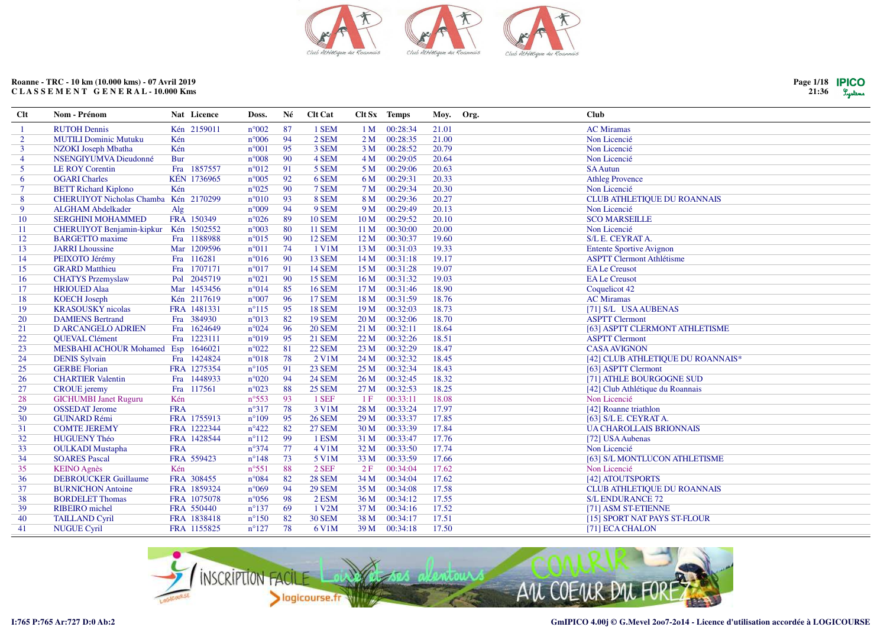

| <b>RUTOH Dennis</b><br>Kén 2159011<br>$n^{\circ}002$<br>87<br>1 SEM<br>00:28:34<br>21.01<br><b>AC</b> Miramas<br>1 <sub>M</sub><br>$n^{\circ}006$<br>94<br>2 SEM<br>00:28:35<br>21.00<br>Non Licencié<br><b>MUTILI Dominic Mutuku</b><br>Kén<br>2 <sub>M</sub><br>2<br>Kén<br>95<br>20.79<br>Non Licencié<br>$n^{\circ}001$<br>3 SEM<br>3 <sub>M</sub><br>00:28:52<br>3<br>NZOKI Joseph Mbatha<br>20.64<br><b>Bur</b><br>90<br>00:29:05<br>Non Licencié<br>NSENGIYUMVA Dieudonné<br>$n^{\circ}008$<br>4 SEM<br>4M<br>4<br>20.63<br><b>LE ROY Corentin</b><br>Fra 1857557<br>$n^{\circ}012$<br>91<br>5 SEM<br>5 M<br>00:29:06<br><b>SA Autun</b><br>5<br>KÉN 1736965<br><b>OGARI</b> Charles<br>$n^{\circ}005$<br>92<br>00:29:31<br>20.33<br><b>Athleg Provence</b><br>6 SEM<br>6 M<br>6<br>90<br>20.30<br>Non Licencié<br>Kén<br>$n^{\circ}025$<br>7 SEM<br>7 M<br>00:29:34<br>$\tau$<br><b>BETT Richard Kiplono</b><br>CHERUIYOT Nicholas Chamba Kén 2170299<br>93<br>20.27<br>8<br>$n^{\circ}010$<br>8 SEM<br>8 M<br>00:29:36<br>CLUB ATHLETIQUE DU ROANNAIS<br>94<br>00:29:49<br>20.13<br><b>ALGHAM Abdelkader</b><br>Alg<br>$n^{\circ}009$<br>9 SEM<br>9 M<br>Non Licencié<br>9<br>FRA 150349<br>89<br><b>10 SEM</b><br>20.10<br><b>SCO MARSEILLE</b><br><b>SERGHINI MOHAMMED</b><br>$n^{\circ}026$<br>10 <sub>M</sub><br>00:29:52<br>10<br>20.00<br>CHERUIYOT Benjamin-kipkur Kén 1502552<br>$n^{\circ}003$<br>80<br>00:30:00<br>Non Licencié<br><b>11 SEM</b><br>11 <sub>M</sub><br>11<br>90<br>19.60<br><b>BARGETTO</b> maxime<br>Fra 1188988<br>$n^{\circ}015$<br><b>12 SEM</b><br>12 <sub>M</sub><br>00:30:37<br>S/L E. CEYRAT A.<br>12<br>19.33<br><b>JARRI Lhoussine</b><br>Mar 1209596<br>$n^{\circ}011$<br>74<br>1 V1M<br>13 M<br>00:31:03<br><b>Entente Sportive Avignon</b><br>13<br><b>ASPTT Clermont Athlétisme</b><br>PEIXOTO Jérémy<br>Fra 116281<br>$n^{\circ}016$<br>90<br>13 SEM<br>00:31:18<br>19.17<br>14<br>14 M<br>Fra 1707171<br>91<br><b>14 SEM</b><br>00:31:28<br>19.07<br><b>EA Le Creusot</b><br>15<br><b>GRARD Matthieu</b><br>$n^{\circ}017$<br>15 <sub>M</sub><br>Pol 2045719<br>90<br><b>15 SEM</b><br>00:31:32<br>19.03<br><b>CHATYS Przemyslaw</b><br>$n^{\circ}021$<br>16M<br><b>EA Le Creusot</b><br>16<br><b>HRIOUED Alaa</b><br>Mar 1453456<br>$n^{\circ}014$<br>85<br><b>16 SEM</b><br>00:31:46<br>18.90<br>Coquelicot 42<br>17 M<br>17<br><b>KOECH Joseph</b><br>96<br>Kén 2117619<br>$n^{\circ}007$<br><b>17 SEM</b><br>00:31:59<br>18.76<br><b>AC</b> Miramas<br>18<br>18 M<br>18.73<br><b>KRASOUSKY</b> nicolas<br>95<br>18 SEM<br>00:32:03<br>[71] S/L USA AUBENAS<br>FRA 1481331<br>$n^{\circ}115$<br>19 <sub>M</sub><br>19<br>Fra 384930<br>82<br><b>19 SEM</b><br>00:32:06<br>18.70<br><b>ASPTT Clermont</b><br><b>DAMIENS Bertrand</b><br>$n^{\circ}013$<br>20 M<br>20<br><b>D ARCANGELO ADRIEN</b><br>Fra 1624649<br>$n^{\circ}024$<br>96<br><b>20 SEM</b><br>21 M<br>00:32:11<br>18.64<br>[63] ASPTT CLERMONT ATHLETISME<br>21<br>95<br>22<br>Fra 1223111<br>n°019<br><b>21 SEM</b><br>22 M<br>00:32:26<br>18.51<br><b>ASPTT Clermont</b><br>QUEVAL Clément<br>18.47<br>MESBAHI ACHOUR Mohamed Esp 1646021<br>81<br>00:32:29<br>23<br>$n^{\circ}022$<br><b>22 SEM</b><br>23 M<br><b>CASA AVIGNON</b><br>Fra 1424824<br>78<br>00:32:32<br>18.45<br>24<br>$n^{\circ}018$<br>$2$ V1M<br>24 M<br>[42] CLUB ATHLETIQUE DU ROANNAIS*<br><b>DENIS Sylvain</b><br><b>GERBE Florian</b><br>FRA 1275354<br>91<br><b>23 SEM</b><br>00:32:34<br>18.43<br>[63] ASPTT Clermont<br>25<br>$n^{\circ}105$<br>25 M<br>94<br>26<br><b>CHARTIER Valentin</b><br>Fra 1448933<br>$n^{\circ}020$<br><b>24 SEM</b><br>00:32:45<br>18.32<br>26 M<br>[71] ATHLE BOURGOGNE SUD<br>Fra 117561<br>88<br>00:32:53<br>18.25<br><b>CROUE</b> jeremy<br>$n^{\circ}023$<br><b>25 SEM</b><br>27 <sub>M</sub><br>[42] Club Athlétique du Roannais<br>27<br><b>GICHUMBI Janet Ruguru</b><br>$n^{\circ}553$<br>93<br>00:33:11<br>18.08<br>Kén<br>1 SEF<br>Non Licencié<br>28<br>1F<br><b>OSSEDAT</b> Jerome<br><b>FRA</b><br>78<br>00:33:24<br>17.97<br>[42] Roanne triathlon<br>29<br>$n^{\circ}317$<br>3 V1M<br>28 M<br><b>GUINARD Rémi</b><br>FRA 1755913<br>95<br><b>26 SEM</b><br>29 M<br>00:33:37<br>17.85<br>[63] S/L E. CEYRAT A.<br>30<br>$n^{\circ}109$<br>82<br>FRA 1222344<br><b>27 SEM</b><br>30 M<br>00:33:39<br>17.84<br>31<br><b>COMTE JEREMY</b><br>$n^{\circ}422$<br><b>UA CHAROLLAIS BRIONNAIS</b><br>32<br><b>HUGUENY Théo</b><br>FRA 1428544<br>$n^{\circ}112$<br>99<br>1 ESM<br>31 M<br>00:33:47<br>17.76<br>[72] USA Aubenas<br>77<br>17.74<br>33<br><b>OULKADI</b> Mustapha<br><b>FRA</b><br>$n^{\circ}374$<br>4 V1M<br>32 M<br>00:33:50<br>Non Licencié<br><b>SOARES Pascal</b><br>FRA 559423<br>73<br>00:33:59<br>17.66<br>[63] S/L MONTLUCON ATHLETISME<br>34<br>$n^{\circ}148$<br>5 V1M<br>33 M<br>88<br>17.62<br>Non Licencié<br>35<br><b>KEINO</b> Agnès<br>Kén<br>$n^{\circ}551$<br>2 SEF<br>2F<br>00:34:04<br>34 M<br><b>DEBROUCKER Guillaume</b><br>FRA 308455<br>$n^{\circ}084$<br>82<br><b>28 SEM</b><br>00:34:04<br>17.62<br>[42] ATOUTSPORTS<br>36<br>94<br>37<br><b>BURNICHON Antoine</b><br>FRA 1859324<br>$n^{\circ}069$<br><b>29 SEM</b><br>35 M<br>00:34:08<br>17.58<br><b>CLUB ATHLETIQUE DU ROANNAIS</b><br>FRA 1075078<br>98<br>00:34:12<br>17.55<br><b>S/L ENDURANCE 72</b><br>38<br><b>BORDELET Thomas</b><br>$n^{\circ}056$<br>$2$ ESM<br>36 M<br>17.52<br><b>RIBEIRO</b> michel<br>FRA 550440<br>$n^{\circ}137$<br>69<br>1 V2M<br>37 M<br>00:34:16<br>[71] ASM ST-ETIENNE<br>39<br>38 M | <b>Clt</b> | Nom - Prénom          | Nat Licence | Doss.          | Né | <b>Clt Cat</b> | Clt Sx Temps | Moy.<br>Org. | <b>Club</b>                  |
|---------------------------------------------------------------------------------------------------------------------------------------------------------------------------------------------------------------------------------------------------------------------------------------------------------------------------------------------------------------------------------------------------------------------------------------------------------------------------------------------------------------------------------------------------------------------------------------------------------------------------------------------------------------------------------------------------------------------------------------------------------------------------------------------------------------------------------------------------------------------------------------------------------------------------------------------------------------------------------------------------------------------------------------------------------------------------------------------------------------------------------------------------------------------------------------------------------------------------------------------------------------------------------------------------------------------------------------------------------------------------------------------------------------------------------------------------------------------------------------------------------------------------------------------------------------------------------------------------------------------------------------------------------------------------------------------------------------------------------------------------------------------------------------------------------------------------------------------------------------------------------------------------------------------------------------------------------------------------------------------------------------------------------------------------------------------------------------------------------------------------------------------------------------------------------------------------------------------------------------------------------------------------------------------------------------------------------------------------------------------------------------------------------------------------------------------------------------------------------------------------------------------------------------------------------------------------------------------------------------------------------------------------------------------------------------------------------------------------------------------------------------------------------------------------------------------------------------------------------------------------------------------------------------------------------------------------------------------------------------------------------------------------------------------------------------------------------------------------------------------------------------------------------------------------------------------------------------------------------------------------------------------------------------------------------------------------------------------------------------------------------------------------------------------------------------------------------------------------------------------------------------------------------------------------------------------------------------------------------------------------------------------------------------------------------------------------------------------------------------------------------------------------------------------------------------------------------------------------------------------------------------------------------------------------------------------------------------------------------------------------------------------------------------------------------------------------------------------------------------------------------------------------------------------------------------------------------------------------------------------------------------------------------------------------------------------------------------------------------------------------------------------------------------------------------------------------------------------------------------------------------------------------------------------------------------------------------------------------------------------------------------------------------------------------------------------------------------------------------------------------------------------------------------------------------------------------------------------------------------------------------------------------------------------------------------------------------------------------------------------------------------------------------------------------------------------------------------------------------------------------------------------------------------------------------------------------------------------------------------------------------------------------------------------------------------------------------------------------------------------------------------------------------------------------------------------------------------------------------------------------------------------------------------------------------|------------|-----------------------|-------------|----------------|----|----------------|--------------|--------------|------------------------------|
|                                                                                                                                                                                                                                                                                                                                                                                                                                                                                                                                                                                                                                                                                                                                                                                                                                                                                                                                                                                                                                                                                                                                                                                                                                                                                                                                                                                                                                                                                                                                                                                                                                                                                                                                                                                                                                                                                                                                                                                                                                                                                                                                                                                                                                                                                                                                                                                                                                                                                                                                                                                                                                                                                                                                                                                                                                                                                                                                                                                                                                                                                                                                                                                                                                                                                                                                                                                                                                                                                                                                                                                                                                                                                                                                                                                                                                                                                                                                                                                                                                                                                                                                                                                                                                                                                                                                                                                                                                                                                                                                                                                                                                                                                                                                                                                                                                                                                                                                                                                                                                                                                                                                                                                                                                                                                                                                                                                                                                                                                                                                                         |            |                       |             |                |    |                |              |              |                              |
|                                                                                                                                                                                                                                                                                                                                                                                                                                                                                                                                                                                                                                                                                                                                                                                                                                                                                                                                                                                                                                                                                                                                                                                                                                                                                                                                                                                                                                                                                                                                                                                                                                                                                                                                                                                                                                                                                                                                                                                                                                                                                                                                                                                                                                                                                                                                                                                                                                                                                                                                                                                                                                                                                                                                                                                                                                                                                                                                                                                                                                                                                                                                                                                                                                                                                                                                                                                                                                                                                                                                                                                                                                                                                                                                                                                                                                                                                                                                                                                                                                                                                                                                                                                                                                                                                                                                                                                                                                                                                                                                                                                                                                                                                                                                                                                                                                                                                                                                                                                                                                                                                                                                                                                                                                                                                                                                                                                                                                                                                                                                                         |            |                       |             |                |    |                |              |              |                              |
|                                                                                                                                                                                                                                                                                                                                                                                                                                                                                                                                                                                                                                                                                                                                                                                                                                                                                                                                                                                                                                                                                                                                                                                                                                                                                                                                                                                                                                                                                                                                                                                                                                                                                                                                                                                                                                                                                                                                                                                                                                                                                                                                                                                                                                                                                                                                                                                                                                                                                                                                                                                                                                                                                                                                                                                                                                                                                                                                                                                                                                                                                                                                                                                                                                                                                                                                                                                                                                                                                                                                                                                                                                                                                                                                                                                                                                                                                                                                                                                                                                                                                                                                                                                                                                                                                                                                                                                                                                                                                                                                                                                                                                                                                                                                                                                                                                                                                                                                                                                                                                                                                                                                                                                                                                                                                                                                                                                                                                                                                                                                                         |            |                       |             |                |    |                |              |              |                              |
|                                                                                                                                                                                                                                                                                                                                                                                                                                                                                                                                                                                                                                                                                                                                                                                                                                                                                                                                                                                                                                                                                                                                                                                                                                                                                                                                                                                                                                                                                                                                                                                                                                                                                                                                                                                                                                                                                                                                                                                                                                                                                                                                                                                                                                                                                                                                                                                                                                                                                                                                                                                                                                                                                                                                                                                                                                                                                                                                                                                                                                                                                                                                                                                                                                                                                                                                                                                                                                                                                                                                                                                                                                                                                                                                                                                                                                                                                                                                                                                                                                                                                                                                                                                                                                                                                                                                                                                                                                                                                                                                                                                                                                                                                                                                                                                                                                                                                                                                                                                                                                                                                                                                                                                                                                                                                                                                                                                                                                                                                                                                                         |            |                       |             |                |    |                |              |              |                              |
|                                                                                                                                                                                                                                                                                                                                                                                                                                                                                                                                                                                                                                                                                                                                                                                                                                                                                                                                                                                                                                                                                                                                                                                                                                                                                                                                                                                                                                                                                                                                                                                                                                                                                                                                                                                                                                                                                                                                                                                                                                                                                                                                                                                                                                                                                                                                                                                                                                                                                                                                                                                                                                                                                                                                                                                                                                                                                                                                                                                                                                                                                                                                                                                                                                                                                                                                                                                                                                                                                                                                                                                                                                                                                                                                                                                                                                                                                                                                                                                                                                                                                                                                                                                                                                                                                                                                                                                                                                                                                                                                                                                                                                                                                                                                                                                                                                                                                                                                                                                                                                                                                                                                                                                                                                                                                                                                                                                                                                                                                                                                                         |            |                       |             |                |    |                |              |              |                              |
|                                                                                                                                                                                                                                                                                                                                                                                                                                                                                                                                                                                                                                                                                                                                                                                                                                                                                                                                                                                                                                                                                                                                                                                                                                                                                                                                                                                                                                                                                                                                                                                                                                                                                                                                                                                                                                                                                                                                                                                                                                                                                                                                                                                                                                                                                                                                                                                                                                                                                                                                                                                                                                                                                                                                                                                                                                                                                                                                                                                                                                                                                                                                                                                                                                                                                                                                                                                                                                                                                                                                                                                                                                                                                                                                                                                                                                                                                                                                                                                                                                                                                                                                                                                                                                                                                                                                                                                                                                                                                                                                                                                                                                                                                                                                                                                                                                                                                                                                                                                                                                                                                                                                                                                                                                                                                                                                                                                                                                                                                                                                                         |            |                       |             |                |    |                |              |              |                              |
|                                                                                                                                                                                                                                                                                                                                                                                                                                                                                                                                                                                                                                                                                                                                                                                                                                                                                                                                                                                                                                                                                                                                                                                                                                                                                                                                                                                                                                                                                                                                                                                                                                                                                                                                                                                                                                                                                                                                                                                                                                                                                                                                                                                                                                                                                                                                                                                                                                                                                                                                                                                                                                                                                                                                                                                                                                                                                                                                                                                                                                                                                                                                                                                                                                                                                                                                                                                                                                                                                                                                                                                                                                                                                                                                                                                                                                                                                                                                                                                                                                                                                                                                                                                                                                                                                                                                                                                                                                                                                                                                                                                                                                                                                                                                                                                                                                                                                                                                                                                                                                                                                                                                                                                                                                                                                                                                                                                                                                                                                                                                                         |            |                       |             |                |    |                |              |              |                              |
|                                                                                                                                                                                                                                                                                                                                                                                                                                                                                                                                                                                                                                                                                                                                                                                                                                                                                                                                                                                                                                                                                                                                                                                                                                                                                                                                                                                                                                                                                                                                                                                                                                                                                                                                                                                                                                                                                                                                                                                                                                                                                                                                                                                                                                                                                                                                                                                                                                                                                                                                                                                                                                                                                                                                                                                                                                                                                                                                                                                                                                                                                                                                                                                                                                                                                                                                                                                                                                                                                                                                                                                                                                                                                                                                                                                                                                                                                                                                                                                                                                                                                                                                                                                                                                                                                                                                                                                                                                                                                                                                                                                                                                                                                                                                                                                                                                                                                                                                                                                                                                                                                                                                                                                                                                                                                                                                                                                                                                                                                                                                                         |            |                       |             |                |    |                |              |              |                              |
|                                                                                                                                                                                                                                                                                                                                                                                                                                                                                                                                                                                                                                                                                                                                                                                                                                                                                                                                                                                                                                                                                                                                                                                                                                                                                                                                                                                                                                                                                                                                                                                                                                                                                                                                                                                                                                                                                                                                                                                                                                                                                                                                                                                                                                                                                                                                                                                                                                                                                                                                                                                                                                                                                                                                                                                                                                                                                                                                                                                                                                                                                                                                                                                                                                                                                                                                                                                                                                                                                                                                                                                                                                                                                                                                                                                                                                                                                                                                                                                                                                                                                                                                                                                                                                                                                                                                                                                                                                                                                                                                                                                                                                                                                                                                                                                                                                                                                                                                                                                                                                                                                                                                                                                                                                                                                                                                                                                                                                                                                                                                                         |            |                       |             |                |    |                |              |              |                              |
|                                                                                                                                                                                                                                                                                                                                                                                                                                                                                                                                                                                                                                                                                                                                                                                                                                                                                                                                                                                                                                                                                                                                                                                                                                                                                                                                                                                                                                                                                                                                                                                                                                                                                                                                                                                                                                                                                                                                                                                                                                                                                                                                                                                                                                                                                                                                                                                                                                                                                                                                                                                                                                                                                                                                                                                                                                                                                                                                                                                                                                                                                                                                                                                                                                                                                                                                                                                                                                                                                                                                                                                                                                                                                                                                                                                                                                                                                                                                                                                                                                                                                                                                                                                                                                                                                                                                                                                                                                                                                                                                                                                                                                                                                                                                                                                                                                                                                                                                                                                                                                                                                                                                                                                                                                                                                                                                                                                                                                                                                                                                                         |            |                       |             |                |    |                |              |              |                              |
|                                                                                                                                                                                                                                                                                                                                                                                                                                                                                                                                                                                                                                                                                                                                                                                                                                                                                                                                                                                                                                                                                                                                                                                                                                                                                                                                                                                                                                                                                                                                                                                                                                                                                                                                                                                                                                                                                                                                                                                                                                                                                                                                                                                                                                                                                                                                                                                                                                                                                                                                                                                                                                                                                                                                                                                                                                                                                                                                                                                                                                                                                                                                                                                                                                                                                                                                                                                                                                                                                                                                                                                                                                                                                                                                                                                                                                                                                                                                                                                                                                                                                                                                                                                                                                                                                                                                                                                                                                                                                                                                                                                                                                                                                                                                                                                                                                                                                                                                                                                                                                                                                                                                                                                                                                                                                                                                                                                                                                                                                                                                                         |            |                       |             |                |    |                |              |              |                              |
|                                                                                                                                                                                                                                                                                                                                                                                                                                                                                                                                                                                                                                                                                                                                                                                                                                                                                                                                                                                                                                                                                                                                                                                                                                                                                                                                                                                                                                                                                                                                                                                                                                                                                                                                                                                                                                                                                                                                                                                                                                                                                                                                                                                                                                                                                                                                                                                                                                                                                                                                                                                                                                                                                                                                                                                                                                                                                                                                                                                                                                                                                                                                                                                                                                                                                                                                                                                                                                                                                                                                                                                                                                                                                                                                                                                                                                                                                                                                                                                                                                                                                                                                                                                                                                                                                                                                                                                                                                                                                                                                                                                                                                                                                                                                                                                                                                                                                                                                                                                                                                                                                                                                                                                                                                                                                                                                                                                                                                                                                                                                                         |            |                       |             |                |    |                |              |              |                              |
|                                                                                                                                                                                                                                                                                                                                                                                                                                                                                                                                                                                                                                                                                                                                                                                                                                                                                                                                                                                                                                                                                                                                                                                                                                                                                                                                                                                                                                                                                                                                                                                                                                                                                                                                                                                                                                                                                                                                                                                                                                                                                                                                                                                                                                                                                                                                                                                                                                                                                                                                                                                                                                                                                                                                                                                                                                                                                                                                                                                                                                                                                                                                                                                                                                                                                                                                                                                                                                                                                                                                                                                                                                                                                                                                                                                                                                                                                                                                                                                                                                                                                                                                                                                                                                                                                                                                                                                                                                                                                                                                                                                                                                                                                                                                                                                                                                                                                                                                                                                                                                                                                                                                                                                                                                                                                                                                                                                                                                                                                                                                                         |            |                       |             |                |    |                |              |              |                              |
|                                                                                                                                                                                                                                                                                                                                                                                                                                                                                                                                                                                                                                                                                                                                                                                                                                                                                                                                                                                                                                                                                                                                                                                                                                                                                                                                                                                                                                                                                                                                                                                                                                                                                                                                                                                                                                                                                                                                                                                                                                                                                                                                                                                                                                                                                                                                                                                                                                                                                                                                                                                                                                                                                                                                                                                                                                                                                                                                                                                                                                                                                                                                                                                                                                                                                                                                                                                                                                                                                                                                                                                                                                                                                                                                                                                                                                                                                                                                                                                                                                                                                                                                                                                                                                                                                                                                                                                                                                                                                                                                                                                                                                                                                                                                                                                                                                                                                                                                                                                                                                                                                                                                                                                                                                                                                                                                                                                                                                                                                                                                                         |            |                       |             |                |    |                |              |              |                              |
|                                                                                                                                                                                                                                                                                                                                                                                                                                                                                                                                                                                                                                                                                                                                                                                                                                                                                                                                                                                                                                                                                                                                                                                                                                                                                                                                                                                                                                                                                                                                                                                                                                                                                                                                                                                                                                                                                                                                                                                                                                                                                                                                                                                                                                                                                                                                                                                                                                                                                                                                                                                                                                                                                                                                                                                                                                                                                                                                                                                                                                                                                                                                                                                                                                                                                                                                                                                                                                                                                                                                                                                                                                                                                                                                                                                                                                                                                                                                                                                                                                                                                                                                                                                                                                                                                                                                                                                                                                                                                                                                                                                                                                                                                                                                                                                                                                                                                                                                                                                                                                                                                                                                                                                                                                                                                                                                                                                                                                                                                                                                                         |            |                       |             |                |    |                |              |              |                              |
|                                                                                                                                                                                                                                                                                                                                                                                                                                                                                                                                                                                                                                                                                                                                                                                                                                                                                                                                                                                                                                                                                                                                                                                                                                                                                                                                                                                                                                                                                                                                                                                                                                                                                                                                                                                                                                                                                                                                                                                                                                                                                                                                                                                                                                                                                                                                                                                                                                                                                                                                                                                                                                                                                                                                                                                                                                                                                                                                                                                                                                                                                                                                                                                                                                                                                                                                                                                                                                                                                                                                                                                                                                                                                                                                                                                                                                                                                                                                                                                                                                                                                                                                                                                                                                                                                                                                                                                                                                                                                                                                                                                                                                                                                                                                                                                                                                                                                                                                                                                                                                                                                                                                                                                                                                                                                                                                                                                                                                                                                                                                                         |            |                       |             |                |    |                |              |              |                              |
|                                                                                                                                                                                                                                                                                                                                                                                                                                                                                                                                                                                                                                                                                                                                                                                                                                                                                                                                                                                                                                                                                                                                                                                                                                                                                                                                                                                                                                                                                                                                                                                                                                                                                                                                                                                                                                                                                                                                                                                                                                                                                                                                                                                                                                                                                                                                                                                                                                                                                                                                                                                                                                                                                                                                                                                                                                                                                                                                                                                                                                                                                                                                                                                                                                                                                                                                                                                                                                                                                                                                                                                                                                                                                                                                                                                                                                                                                                                                                                                                                                                                                                                                                                                                                                                                                                                                                                                                                                                                                                                                                                                                                                                                                                                                                                                                                                                                                                                                                                                                                                                                                                                                                                                                                                                                                                                                                                                                                                                                                                                                                         |            |                       |             |                |    |                |              |              |                              |
|                                                                                                                                                                                                                                                                                                                                                                                                                                                                                                                                                                                                                                                                                                                                                                                                                                                                                                                                                                                                                                                                                                                                                                                                                                                                                                                                                                                                                                                                                                                                                                                                                                                                                                                                                                                                                                                                                                                                                                                                                                                                                                                                                                                                                                                                                                                                                                                                                                                                                                                                                                                                                                                                                                                                                                                                                                                                                                                                                                                                                                                                                                                                                                                                                                                                                                                                                                                                                                                                                                                                                                                                                                                                                                                                                                                                                                                                                                                                                                                                                                                                                                                                                                                                                                                                                                                                                                                                                                                                                                                                                                                                                                                                                                                                                                                                                                                                                                                                                                                                                                                                                                                                                                                                                                                                                                                                                                                                                                                                                                                                                         |            |                       |             |                |    |                |              |              |                              |
|                                                                                                                                                                                                                                                                                                                                                                                                                                                                                                                                                                                                                                                                                                                                                                                                                                                                                                                                                                                                                                                                                                                                                                                                                                                                                                                                                                                                                                                                                                                                                                                                                                                                                                                                                                                                                                                                                                                                                                                                                                                                                                                                                                                                                                                                                                                                                                                                                                                                                                                                                                                                                                                                                                                                                                                                                                                                                                                                                                                                                                                                                                                                                                                                                                                                                                                                                                                                                                                                                                                                                                                                                                                                                                                                                                                                                                                                                                                                                                                                                                                                                                                                                                                                                                                                                                                                                                                                                                                                                                                                                                                                                                                                                                                                                                                                                                                                                                                                                                                                                                                                                                                                                                                                                                                                                                                                                                                                                                                                                                                                                         |            |                       |             |                |    |                |              |              |                              |
|                                                                                                                                                                                                                                                                                                                                                                                                                                                                                                                                                                                                                                                                                                                                                                                                                                                                                                                                                                                                                                                                                                                                                                                                                                                                                                                                                                                                                                                                                                                                                                                                                                                                                                                                                                                                                                                                                                                                                                                                                                                                                                                                                                                                                                                                                                                                                                                                                                                                                                                                                                                                                                                                                                                                                                                                                                                                                                                                                                                                                                                                                                                                                                                                                                                                                                                                                                                                                                                                                                                                                                                                                                                                                                                                                                                                                                                                                                                                                                                                                                                                                                                                                                                                                                                                                                                                                                                                                                                                                                                                                                                                                                                                                                                                                                                                                                                                                                                                                                                                                                                                                                                                                                                                                                                                                                                                                                                                                                                                                                                                                         |            |                       |             |                |    |                |              |              |                              |
|                                                                                                                                                                                                                                                                                                                                                                                                                                                                                                                                                                                                                                                                                                                                                                                                                                                                                                                                                                                                                                                                                                                                                                                                                                                                                                                                                                                                                                                                                                                                                                                                                                                                                                                                                                                                                                                                                                                                                                                                                                                                                                                                                                                                                                                                                                                                                                                                                                                                                                                                                                                                                                                                                                                                                                                                                                                                                                                                                                                                                                                                                                                                                                                                                                                                                                                                                                                                                                                                                                                                                                                                                                                                                                                                                                                                                                                                                                                                                                                                                                                                                                                                                                                                                                                                                                                                                                                                                                                                                                                                                                                                                                                                                                                                                                                                                                                                                                                                                                                                                                                                                                                                                                                                                                                                                                                                                                                                                                                                                                                                                         |            |                       |             |                |    |                |              |              |                              |
|                                                                                                                                                                                                                                                                                                                                                                                                                                                                                                                                                                                                                                                                                                                                                                                                                                                                                                                                                                                                                                                                                                                                                                                                                                                                                                                                                                                                                                                                                                                                                                                                                                                                                                                                                                                                                                                                                                                                                                                                                                                                                                                                                                                                                                                                                                                                                                                                                                                                                                                                                                                                                                                                                                                                                                                                                                                                                                                                                                                                                                                                                                                                                                                                                                                                                                                                                                                                                                                                                                                                                                                                                                                                                                                                                                                                                                                                                                                                                                                                                                                                                                                                                                                                                                                                                                                                                                                                                                                                                                                                                                                                                                                                                                                                                                                                                                                                                                                                                                                                                                                                                                                                                                                                                                                                                                                                                                                                                                                                                                                                                         |            |                       |             |                |    |                |              |              |                              |
|                                                                                                                                                                                                                                                                                                                                                                                                                                                                                                                                                                                                                                                                                                                                                                                                                                                                                                                                                                                                                                                                                                                                                                                                                                                                                                                                                                                                                                                                                                                                                                                                                                                                                                                                                                                                                                                                                                                                                                                                                                                                                                                                                                                                                                                                                                                                                                                                                                                                                                                                                                                                                                                                                                                                                                                                                                                                                                                                                                                                                                                                                                                                                                                                                                                                                                                                                                                                                                                                                                                                                                                                                                                                                                                                                                                                                                                                                                                                                                                                                                                                                                                                                                                                                                                                                                                                                                                                                                                                                                                                                                                                                                                                                                                                                                                                                                                                                                                                                                                                                                                                                                                                                                                                                                                                                                                                                                                                                                                                                                                                                         |            |                       |             |                |    |                |              |              |                              |
|                                                                                                                                                                                                                                                                                                                                                                                                                                                                                                                                                                                                                                                                                                                                                                                                                                                                                                                                                                                                                                                                                                                                                                                                                                                                                                                                                                                                                                                                                                                                                                                                                                                                                                                                                                                                                                                                                                                                                                                                                                                                                                                                                                                                                                                                                                                                                                                                                                                                                                                                                                                                                                                                                                                                                                                                                                                                                                                                                                                                                                                                                                                                                                                                                                                                                                                                                                                                                                                                                                                                                                                                                                                                                                                                                                                                                                                                                                                                                                                                                                                                                                                                                                                                                                                                                                                                                                                                                                                                                                                                                                                                                                                                                                                                                                                                                                                                                                                                                                                                                                                                                                                                                                                                                                                                                                                                                                                                                                                                                                                                                         |            |                       |             |                |    |                |              |              |                              |
|                                                                                                                                                                                                                                                                                                                                                                                                                                                                                                                                                                                                                                                                                                                                                                                                                                                                                                                                                                                                                                                                                                                                                                                                                                                                                                                                                                                                                                                                                                                                                                                                                                                                                                                                                                                                                                                                                                                                                                                                                                                                                                                                                                                                                                                                                                                                                                                                                                                                                                                                                                                                                                                                                                                                                                                                                                                                                                                                                                                                                                                                                                                                                                                                                                                                                                                                                                                                                                                                                                                                                                                                                                                                                                                                                                                                                                                                                                                                                                                                                                                                                                                                                                                                                                                                                                                                                                                                                                                                                                                                                                                                                                                                                                                                                                                                                                                                                                                                                                                                                                                                                                                                                                                                                                                                                                                                                                                                                                                                                                                                                         |            |                       |             |                |    |                |              |              |                              |
|                                                                                                                                                                                                                                                                                                                                                                                                                                                                                                                                                                                                                                                                                                                                                                                                                                                                                                                                                                                                                                                                                                                                                                                                                                                                                                                                                                                                                                                                                                                                                                                                                                                                                                                                                                                                                                                                                                                                                                                                                                                                                                                                                                                                                                                                                                                                                                                                                                                                                                                                                                                                                                                                                                                                                                                                                                                                                                                                                                                                                                                                                                                                                                                                                                                                                                                                                                                                                                                                                                                                                                                                                                                                                                                                                                                                                                                                                                                                                                                                                                                                                                                                                                                                                                                                                                                                                                                                                                                                                                                                                                                                                                                                                                                                                                                                                                                                                                                                                                                                                                                                                                                                                                                                                                                                                                                                                                                                                                                                                                                                                         |            |                       |             |                |    |                |              |              |                              |
|                                                                                                                                                                                                                                                                                                                                                                                                                                                                                                                                                                                                                                                                                                                                                                                                                                                                                                                                                                                                                                                                                                                                                                                                                                                                                                                                                                                                                                                                                                                                                                                                                                                                                                                                                                                                                                                                                                                                                                                                                                                                                                                                                                                                                                                                                                                                                                                                                                                                                                                                                                                                                                                                                                                                                                                                                                                                                                                                                                                                                                                                                                                                                                                                                                                                                                                                                                                                                                                                                                                                                                                                                                                                                                                                                                                                                                                                                                                                                                                                                                                                                                                                                                                                                                                                                                                                                                                                                                                                                                                                                                                                                                                                                                                                                                                                                                                                                                                                                                                                                                                                                                                                                                                                                                                                                                                                                                                                                                                                                                                                                         |            |                       |             |                |    |                |              |              |                              |
|                                                                                                                                                                                                                                                                                                                                                                                                                                                                                                                                                                                                                                                                                                                                                                                                                                                                                                                                                                                                                                                                                                                                                                                                                                                                                                                                                                                                                                                                                                                                                                                                                                                                                                                                                                                                                                                                                                                                                                                                                                                                                                                                                                                                                                                                                                                                                                                                                                                                                                                                                                                                                                                                                                                                                                                                                                                                                                                                                                                                                                                                                                                                                                                                                                                                                                                                                                                                                                                                                                                                                                                                                                                                                                                                                                                                                                                                                                                                                                                                                                                                                                                                                                                                                                                                                                                                                                                                                                                                                                                                                                                                                                                                                                                                                                                                                                                                                                                                                                                                                                                                                                                                                                                                                                                                                                                                                                                                                                                                                                                                                         |            |                       |             |                |    |                |              |              |                              |
|                                                                                                                                                                                                                                                                                                                                                                                                                                                                                                                                                                                                                                                                                                                                                                                                                                                                                                                                                                                                                                                                                                                                                                                                                                                                                                                                                                                                                                                                                                                                                                                                                                                                                                                                                                                                                                                                                                                                                                                                                                                                                                                                                                                                                                                                                                                                                                                                                                                                                                                                                                                                                                                                                                                                                                                                                                                                                                                                                                                                                                                                                                                                                                                                                                                                                                                                                                                                                                                                                                                                                                                                                                                                                                                                                                                                                                                                                                                                                                                                                                                                                                                                                                                                                                                                                                                                                                                                                                                                                                                                                                                                                                                                                                                                                                                                                                                                                                                                                                                                                                                                                                                                                                                                                                                                                                                                                                                                                                                                                                                                                         |            |                       |             |                |    |                |              |              |                              |
|                                                                                                                                                                                                                                                                                                                                                                                                                                                                                                                                                                                                                                                                                                                                                                                                                                                                                                                                                                                                                                                                                                                                                                                                                                                                                                                                                                                                                                                                                                                                                                                                                                                                                                                                                                                                                                                                                                                                                                                                                                                                                                                                                                                                                                                                                                                                                                                                                                                                                                                                                                                                                                                                                                                                                                                                                                                                                                                                                                                                                                                                                                                                                                                                                                                                                                                                                                                                                                                                                                                                                                                                                                                                                                                                                                                                                                                                                                                                                                                                                                                                                                                                                                                                                                                                                                                                                                                                                                                                                                                                                                                                                                                                                                                                                                                                                                                                                                                                                                                                                                                                                                                                                                                                                                                                                                                                                                                                                                                                                                                                                         |            |                       |             |                |    |                |              |              |                              |
|                                                                                                                                                                                                                                                                                                                                                                                                                                                                                                                                                                                                                                                                                                                                                                                                                                                                                                                                                                                                                                                                                                                                                                                                                                                                                                                                                                                                                                                                                                                                                                                                                                                                                                                                                                                                                                                                                                                                                                                                                                                                                                                                                                                                                                                                                                                                                                                                                                                                                                                                                                                                                                                                                                                                                                                                                                                                                                                                                                                                                                                                                                                                                                                                                                                                                                                                                                                                                                                                                                                                                                                                                                                                                                                                                                                                                                                                                                                                                                                                                                                                                                                                                                                                                                                                                                                                                                                                                                                                                                                                                                                                                                                                                                                                                                                                                                                                                                                                                                                                                                                                                                                                                                                                                                                                                                                                                                                                                                                                                                                                                         |            |                       |             |                |    |                |              |              |                              |
|                                                                                                                                                                                                                                                                                                                                                                                                                                                                                                                                                                                                                                                                                                                                                                                                                                                                                                                                                                                                                                                                                                                                                                                                                                                                                                                                                                                                                                                                                                                                                                                                                                                                                                                                                                                                                                                                                                                                                                                                                                                                                                                                                                                                                                                                                                                                                                                                                                                                                                                                                                                                                                                                                                                                                                                                                                                                                                                                                                                                                                                                                                                                                                                                                                                                                                                                                                                                                                                                                                                                                                                                                                                                                                                                                                                                                                                                                                                                                                                                                                                                                                                                                                                                                                                                                                                                                                                                                                                                                                                                                                                                                                                                                                                                                                                                                                                                                                                                                                                                                                                                                                                                                                                                                                                                                                                                                                                                                                                                                                                                                         |            |                       |             |                |    |                |              |              |                              |
|                                                                                                                                                                                                                                                                                                                                                                                                                                                                                                                                                                                                                                                                                                                                                                                                                                                                                                                                                                                                                                                                                                                                                                                                                                                                                                                                                                                                                                                                                                                                                                                                                                                                                                                                                                                                                                                                                                                                                                                                                                                                                                                                                                                                                                                                                                                                                                                                                                                                                                                                                                                                                                                                                                                                                                                                                                                                                                                                                                                                                                                                                                                                                                                                                                                                                                                                                                                                                                                                                                                                                                                                                                                                                                                                                                                                                                                                                                                                                                                                                                                                                                                                                                                                                                                                                                                                                                                                                                                                                                                                                                                                                                                                                                                                                                                                                                                                                                                                                                                                                                                                                                                                                                                                                                                                                                                                                                                                                                                                                                                                                         |            |                       |             |                |    |                |              |              |                              |
|                                                                                                                                                                                                                                                                                                                                                                                                                                                                                                                                                                                                                                                                                                                                                                                                                                                                                                                                                                                                                                                                                                                                                                                                                                                                                                                                                                                                                                                                                                                                                                                                                                                                                                                                                                                                                                                                                                                                                                                                                                                                                                                                                                                                                                                                                                                                                                                                                                                                                                                                                                                                                                                                                                                                                                                                                                                                                                                                                                                                                                                                                                                                                                                                                                                                                                                                                                                                                                                                                                                                                                                                                                                                                                                                                                                                                                                                                                                                                                                                                                                                                                                                                                                                                                                                                                                                                                                                                                                                                                                                                                                                                                                                                                                                                                                                                                                                                                                                                                                                                                                                                                                                                                                                                                                                                                                                                                                                                                                                                                                                                         |            |                       |             |                |    |                |              |              |                              |
|                                                                                                                                                                                                                                                                                                                                                                                                                                                                                                                                                                                                                                                                                                                                                                                                                                                                                                                                                                                                                                                                                                                                                                                                                                                                                                                                                                                                                                                                                                                                                                                                                                                                                                                                                                                                                                                                                                                                                                                                                                                                                                                                                                                                                                                                                                                                                                                                                                                                                                                                                                                                                                                                                                                                                                                                                                                                                                                                                                                                                                                                                                                                                                                                                                                                                                                                                                                                                                                                                                                                                                                                                                                                                                                                                                                                                                                                                                                                                                                                                                                                                                                                                                                                                                                                                                                                                                                                                                                                                                                                                                                                                                                                                                                                                                                                                                                                                                                                                                                                                                                                                                                                                                                                                                                                                                                                                                                                                                                                                                                                                         |            |                       |             |                |    |                |              |              |                              |
|                                                                                                                                                                                                                                                                                                                                                                                                                                                                                                                                                                                                                                                                                                                                                                                                                                                                                                                                                                                                                                                                                                                                                                                                                                                                                                                                                                                                                                                                                                                                                                                                                                                                                                                                                                                                                                                                                                                                                                                                                                                                                                                                                                                                                                                                                                                                                                                                                                                                                                                                                                                                                                                                                                                                                                                                                                                                                                                                                                                                                                                                                                                                                                                                                                                                                                                                                                                                                                                                                                                                                                                                                                                                                                                                                                                                                                                                                                                                                                                                                                                                                                                                                                                                                                                                                                                                                                                                                                                                                                                                                                                                                                                                                                                                                                                                                                                                                                                                                                                                                                                                                                                                                                                                                                                                                                                                                                                                                                                                                                                                                         |            |                       |             |                |    |                |              |              |                              |
|                                                                                                                                                                                                                                                                                                                                                                                                                                                                                                                                                                                                                                                                                                                                                                                                                                                                                                                                                                                                                                                                                                                                                                                                                                                                                                                                                                                                                                                                                                                                                                                                                                                                                                                                                                                                                                                                                                                                                                                                                                                                                                                                                                                                                                                                                                                                                                                                                                                                                                                                                                                                                                                                                                                                                                                                                                                                                                                                                                                                                                                                                                                                                                                                                                                                                                                                                                                                                                                                                                                                                                                                                                                                                                                                                                                                                                                                                                                                                                                                                                                                                                                                                                                                                                                                                                                                                                                                                                                                                                                                                                                                                                                                                                                                                                                                                                                                                                                                                                                                                                                                                                                                                                                                                                                                                                                                                                                                                                                                                                                                                         |            |                       |             |                |    |                |              |              |                              |
|                                                                                                                                                                                                                                                                                                                                                                                                                                                                                                                                                                                                                                                                                                                                                                                                                                                                                                                                                                                                                                                                                                                                                                                                                                                                                                                                                                                                                                                                                                                                                                                                                                                                                                                                                                                                                                                                                                                                                                                                                                                                                                                                                                                                                                                                                                                                                                                                                                                                                                                                                                                                                                                                                                                                                                                                                                                                                                                                                                                                                                                                                                                                                                                                                                                                                                                                                                                                                                                                                                                                                                                                                                                                                                                                                                                                                                                                                                                                                                                                                                                                                                                                                                                                                                                                                                                                                                                                                                                                                                                                                                                                                                                                                                                                                                                                                                                                                                                                                                                                                                                                                                                                                                                                                                                                                                                                                                                                                                                                                                                                                         |            |                       |             |                |    |                |              |              |                              |
|                                                                                                                                                                                                                                                                                                                                                                                                                                                                                                                                                                                                                                                                                                                                                                                                                                                                                                                                                                                                                                                                                                                                                                                                                                                                                                                                                                                                                                                                                                                                                                                                                                                                                                                                                                                                                                                                                                                                                                                                                                                                                                                                                                                                                                                                                                                                                                                                                                                                                                                                                                                                                                                                                                                                                                                                                                                                                                                                                                                                                                                                                                                                                                                                                                                                                                                                                                                                                                                                                                                                                                                                                                                                                                                                                                                                                                                                                                                                                                                                                                                                                                                                                                                                                                                                                                                                                                                                                                                                                                                                                                                                                                                                                                                                                                                                                                                                                                                                                                                                                                                                                                                                                                                                                                                                                                                                                                                                                                                                                                                                                         |            |                       |             |                |    |                |              |              |                              |
|                                                                                                                                                                                                                                                                                                                                                                                                                                                                                                                                                                                                                                                                                                                                                                                                                                                                                                                                                                                                                                                                                                                                                                                                                                                                                                                                                                                                                                                                                                                                                                                                                                                                                                                                                                                                                                                                                                                                                                                                                                                                                                                                                                                                                                                                                                                                                                                                                                                                                                                                                                                                                                                                                                                                                                                                                                                                                                                                                                                                                                                                                                                                                                                                                                                                                                                                                                                                                                                                                                                                                                                                                                                                                                                                                                                                                                                                                                                                                                                                                                                                                                                                                                                                                                                                                                                                                                                                                                                                                                                                                                                                                                                                                                                                                                                                                                                                                                                                                                                                                                                                                                                                                                                                                                                                                                                                                                                                                                                                                                                                                         | 40         | <b>TAILLAND Cyril</b> | FRA 1838418 | $n^{\circ}150$ | 82 | <b>30 SEM</b>  | 00:34:17     | 17.51        | [15] SPORT NAT PAYS ST-FLOUR |
| 78<br>FRA 1155825<br>$n^{\circ}127$<br>39 M 00:34:18<br>17.50<br>41<br><b>NUGUE Cyril</b><br>6 V1M<br>[71] ECA CHALON                                                                                                                                                                                                                                                                                                                                                                                                                                                                                                                                                                                                                                                                                                                                                                                                                                                                                                                                                                                                                                                                                                                                                                                                                                                                                                                                                                                                                                                                                                                                                                                                                                                                                                                                                                                                                                                                                                                                                                                                                                                                                                                                                                                                                                                                                                                                                                                                                                                                                                                                                                                                                                                                                                                                                                                                                                                                                                                                                                                                                                                                                                                                                                                                                                                                                                                                                                                                                                                                                                                                                                                                                                                                                                                                                                                                                                                                                                                                                                                                                                                                                                                                                                                                                                                                                                                                                                                                                                                                                                                                                                                                                                                                                                                                                                                                                                                                                                                                                                                                                                                                                                                                                                                                                                                                                                                                                                                                                                   |            |                       |             |                |    |                |              |              |                              |



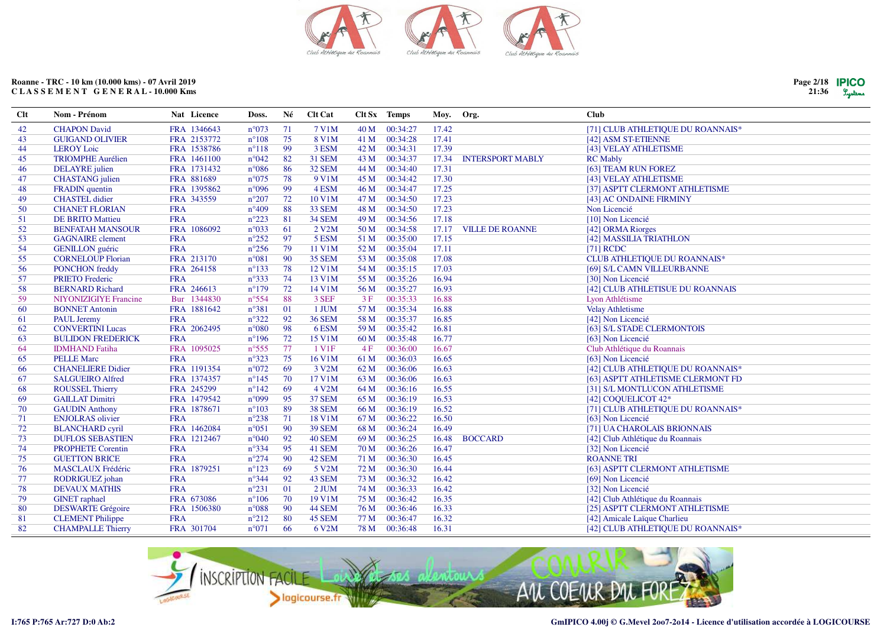

| Page 2/18 | <b>IPICO</b> |
|-----------|--------------|
| 21:36     | Lystems      |

| <b>Clt</b> | Nom - Prénom                 | Nat Licence | Doss.           | Né | <b>Clt Cat</b>     |      | Clt Sx Temps  | Moy.  | <b>Club</b><br>Org.                        |                                   |
|------------|------------------------------|-------------|-----------------|----|--------------------|------|---------------|-------|--------------------------------------------|-----------------------------------|
| 42         | <b>CHAPON David</b>          | FRA 1346643 | $n^{\circ}073$  | 71 | 7 V1M              | 40 M | 00:34:27      | 17.42 |                                            | [71] CLUB ATHLETIQUE DU ROANNAIS* |
| 43         | <b>GUIGAND OLIVIER</b>       | FRA 2153772 | $n^{\circ}108$  | 75 | <b>8 V1M</b>       | 41 M | 00:34:28      | 17.41 |                                            | [42] ASM ST-ETIENNE               |
| 44         | <b>LEROY Loic</b>            | FRA 1538786 | $n^{\circ}118$  | 99 | 3 ESM              | 42 M | 00:34:31      | 17.39 |                                            | [43] VELAY ATHLETISME             |
| 45         | <b>TRIOMPHE Aurélien</b>     | FRA 1461100 | $n^{\circ}042$  | 82 | <b>31 SEM</b>      | 43 M | 00:34:37      | 17.34 | <b>INTERSPORT MABLY</b><br><b>RC</b> Mably |                                   |
| 46         | DELAYRE julien               | FRA 1731432 | $n^{\circ}086$  | 86 | 32 SEM             | 44 M | 00:34:40      | 17.31 |                                            | [63] TEAM RUN FOREZ               |
| 47         | <b>CHASTANG</b> julien       | FRA 881689  | $n^{\circ}075$  | 78 | 9 V1M              | 45 M | 00:34:42      | 17.30 |                                            | [43] VELAY ATHLETISME             |
| 48         | <b>FRADIN</b> quentin        | FRA 1395862 | $n^{\circ}096$  | 99 | 4 ESM              | 46 M | 00:34:47      | 17.25 |                                            | [37] ASPTT CLERMONT ATHLETISME    |
| 49         | <b>CHASTEL</b> didier        | FRA 343559  | $n^{\circ}207$  | 72 | 10 V1M             | 47 M | 00:34:50      | 17.23 |                                            | [43] AC ONDAINE FIRMINY           |
| 50         | <b>CHANET FLORIAN</b>        | <b>FRA</b>  | $n^{\circ}409$  | 88 | 33 SEM             | 48 M | 00:34:50      | 17.23 | Non Licencié                               |                                   |
| 51         | <b>DE BRITO Mattieu</b>      | <b>FRA</b>  | $n^{\circ}223$  | 81 | <b>34 SEM</b>      | 49 M | 00:34:56      | 17.18 | [10] Non Licencié                          |                                   |
| 52         | <b>BENFATAH MANSOUR</b>      | FRA 1086092 | $n^{\circ}033$  | 61 | 2 V2M              | 50 M | 00:34:58      | 17.17 | <b>VILLE DE ROANNE</b>                     | [42] ORMA Riorges                 |
| 53         | <b>GAGNAIRE</b> clement      | <b>FRA</b>  | $n^{\circ}252$  | 97 | 5 ESM              | 51 M | 00:35:00      | 17.15 |                                            | [42] MASSILIA TRIATHLON           |
| 54         | <b>GENILLON</b> guéric       | <b>FRA</b>  | $n^{\circ}256$  | 79 | 11 V1M             |      | 52 M 00:35:04 | 17.11 | $[71]$ RCDC                                |                                   |
| 55         | <b>CORNELOUP Florian</b>     | FRA 213170  | $n^{\circ}081$  | 90 | 35 SEM             | 53 M | 00:35:08      | 17.08 |                                            | CLUB ATHLETIQUE DU ROANNAIS*      |
| 56         | <b>PONCHON</b> freddy        | FRA 264158  | $n^{\circ}133$  | 78 | 12 V1M             | 54 M | 00:35:15      | 17.03 |                                            | [69] S/L CAMN VILLEURBANNE        |
| 57         | <b>PRIETO</b> Frederic       | <b>FRA</b>  | $n^{\circ}333$  | 74 | 13 V1M             |      | 55 M 00:35:26 | 16.94 |                                            | [30] Non Licencié                 |
| 58         | <b>BERNARD Richard</b>       | FRA 246613  | $n^{\circ}179$  | 72 | 14 V1M             |      | 56 M 00:35:27 | 16.93 |                                            | [42] CLUB ATHLETISUE DU ROANNAIS  |
| 59         | <b>NIYONIZIGIYE Francine</b> | Bur 1344830 | $n^{\circ}554$  | 88 | 3 SEF              | 3F   | 00:35:33      | 16.88 | Lyon Athlétisme                            |                                   |
| 60         | <b>BONNET Antonin</b>        | FRA 1881642 | $n^{\circ}381$  | 01 | 1 JUM              | 57 M | 00:35:34      | 16.88 | <b>Velay Athletisme</b>                    |                                   |
| 61         | <b>PAUL Jeremy</b>           | <b>FRA</b>  | $n^{\circ}322$  | 92 | <b>36 SEM</b>      | 58 M | 00:35:37      | 16.85 |                                            | [42] Non Licencié                 |
| 62         | <b>CONVERTINI Lucas</b>      | FRA 2062495 | $n^{\circ}080$  | 98 | 6ESM               | 59 M | 00:35:42      | 16.81 |                                            | [63] S/L STADE CLERMONTOIS        |
| 63         | <b>BULIDON FREDERICK</b>     | <b>FRA</b>  | $n^{\circ}196$  | 72 | 15 V1M             | 60 M | 00:35:48      | 16.77 | [63] Non Licencié                          |                                   |
| 64         | <b>IDMHAND</b> Fatiha        | FRA 1095025 | $n^{\circ}$ 555 | 77 | 1 V <sub>1</sub> F | 4F   | 00:36:00      | 16.67 |                                            | Club Athlétique du Roannais       |
| 65         | <b>PELLE Marc</b>            | <b>FRA</b>  | $n^{\circ}323$  | 75 | 16 V1M             | 61 M | 00:36:03      | 16.65 |                                            | [63] Non Licencié                 |
| 66         | <b>CHANELIERE Didier</b>     | FRA 1191354 | $n^{\circ}072$  | 69 | 3 V2M              | 62 M | 00:36:06      | 16.63 |                                            | [42] CLUB ATHLETIQUE DU ROANNAIS* |
| 67         | <b>SALGUEIRO Alfred</b>      | FRA 1374357 | $n^{\circ}145$  | 70 | 17 V1M             | 63 M | 00:36:06      | 16.63 |                                            | [63] ASPTT ATHLETISME CLERMONT FD |
| 68         | <b>ROUSSEL Thierry</b>       | FRA 245299  | $n^{\circ}142$  | 69 | 4 V2M              | 64 M | 00:36:16      | 16.55 |                                            | [31] S/L MONTLUCON ATHLETISME     |
| 69         | <b>GAILLAT Dimitri</b>       | FRA 1479542 | $n^{\circ}099$  | 95 | <b>37 SEM</b>      | 65 M | 00:36:19      | 16.53 |                                            | [42] COQUELICOT 42*               |
| 70         | <b>GAUDIN</b> Anthony        | FRA 1878671 | $n^{\circ}103$  | 89 | <b>38 SEM</b>      | 66 M | 00:36:19      | 16.52 |                                            | [71] CLUB ATHLETIQUE DU ROANNAIS* |
| 71         | <b>ENJOLRAS</b> olivier      | <b>FRA</b>  | $n^{\circ}238$  | 71 | 18 V1M             | 67 M | 00:36:22      | 16.50 | [63] Non Licencié                          |                                   |
| 72         | <b>BLANCHARD</b> cyril       | FRA 1462084 | $n^{\circ}051$  | 90 | <b>39 SEM</b>      | 68 M | 00:36:24      | 16.49 |                                            | [71] UA CHAROLAIS BRIONNAIS       |
| 73         | <b>DUFLOS SEBASTIEN</b>      | FRA 1212467 | $n^{\circ}040$  | 92 | 40 SEM             | 69 M | 00:36:25      | 16.48 | <b>BOCCARD</b>                             | [42] Club Athlétique du Roannais  |
| 74         | <b>PROPHETE Corentin</b>     | <b>FRA</b>  | $n^{\circ}334$  | 95 | 41 SEM             | 70 M | 00:36:26      | 16.47 |                                            | [32] Non Licencié                 |
| 75         | <b>GUETTON BRICE</b>         | <b>FRA</b>  | $n^{\circ}274$  | 90 | 42 SEM             | 71 M | 00:36:30      | 16.45 | <b>ROANNE TRI</b>                          |                                   |
| 76         | MASCLAUX Frédéric            | FRA 1879251 | $n^{\circ}123$  | 69 | 5 V2M              | 72 M | 00:36:30      | 16.44 |                                            | [63] ASPTT CLERMONT ATHLETISME    |
| 77         | RODRIGUEZ johan              | <b>FRA</b>  | $n^{\circ}344$  | 92 | 43 SEM             | 73 M | 00:36:32      | 16.42 | [69] Non Licencié                          |                                   |
| 78         | <b>DEVAUX MATHIS</b>         | <b>FRA</b>  | $n^{\circ}231$  | 01 | $2$ JUM            | 74 M | 00:36:33      | 16.42 |                                            | [32] Non Licencié                 |
| 79         | <b>GINET</b> raphael         | FRA 673086  | $n^{\circ}106$  | 70 | 19 V1M             | 75 M | 00:36:42      | 16.35 |                                            | [42] Club Athlétique du Roannais  |
| 80         | <b>DESWARTE Grégoire</b>     | FRA 1506380 | $n^{\circ}088$  | 90 | 44 SEM             | 76 M | 00:36:46      | 16.33 |                                            | [25] ASPTT CLERMONT ATHLETISME    |
| 81         | <b>CLEMENT Philippe</b>      | <b>FRA</b>  | $n^{\circ}212$  | 80 | 45 SEM             | 77 M | 00:36:47      | 16.32 |                                            | [42] Amicale Laïque Charlieu      |
| 82         | <b>CHAMPALLE Thierry</b>     | FRA 301704  | $n^{\circ}071$  | 66 | 6 V2M              |      | 78 M 00:36:48 | 16.31 |                                            | [42] CLUB ATHLETIQUE DU ROANNAIS* |

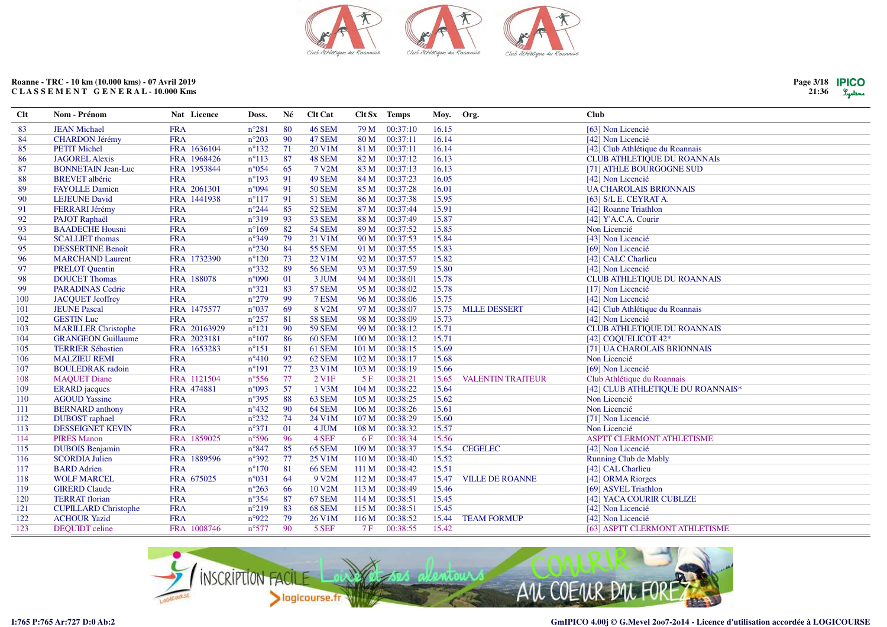

| $Cl$ t | Nom - Prénom                | Nat Licence  | Doss.           | Né  | <b>Clt Cat</b>      |                  | Clt Sx Temps  | Moy. Org. |                          | <b>Club</b>                        |
|--------|-----------------------------|--------------|-----------------|-----|---------------------|------------------|---------------|-----------|--------------------------|------------------------------------|
| 83     | <b>JEAN Michael</b>         | <b>FRA</b>   | $n^{\circ}281$  | 80  | <b>46 SEM</b>       | 79 M             | 00:37:10      | 16.15     |                          | [63] Non Licencié                  |
| 84     | <b>CHARDON Jérémy</b>       | <b>FRA</b>   | $n^{\circ}203$  | 90  | 47 SEM              | 80 M             | 00:37:11      | 16.14     |                          | [42] Non Licencié                  |
| 85     | <b>PETIT Michel</b>         | FRA 1636104  | $n^{\circ}132$  | 71  | 20 V1M              | 81 M             | 00:37:11      | 16.14     |                          | [42] Club Athlétique du Roannais   |
| -86    | <b>JAGOREL Alexis</b>       | FRA 1968426  | $n^{\circ}113$  | 87  | 48 SEM              | 82 M             | 00:37:12      | 16.13     |                          | <b>CLUB ATHLETIQUE DU ROANNAIS</b> |
| 87     | <b>BONNETAIN Jean-Luc</b>   | FRA 1953844  | $n^{\circ}054$  | 65  | 7 V2M               | 83 M             | 00:37:13      | 16.13     |                          | [71] ATHLE BOURGOGNE SUD           |
| 88     | <b>BREVET</b> albéric       | <b>FRA</b>   | $n^{\circ}193$  | 91  | 49 SEM              | 84 M             | 00:37:23      | 16.05     |                          | [42] Non Licencié                  |
| 89     | <b>FAYOLLE Damien</b>       | FRA 2061301  | $n^{\circ}094$  | 91  | <b>50 SEM</b>       | 85 M             | 00:37:28      | 16.01     |                          | <b>UA CHAROLAIS BRIONNAIS</b>      |
| 90     | <b>LEJEUNE David</b>        | FRA 1441938  | $n^{\circ}117$  | 91  | <b>51 SEM</b>       | 86 M             | 00:37:38      | 15.95     |                          | [63] S/L E. CEYRAT A.              |
| 91     | FERRARI Jérémy              | <b>FRA</b>   | $n^{\circ}244$  | 85  | <b>52 SEM</b>       |                  | 87 M 00:37:44 | 15.91     |                          | [42] Roanne Triathlon              |
| 92     | PAJOT Raphaël               | <b>FRA</b>   | $n^{\circ}319$  | 93  | <b>53 SEM</b>       | 88 M             | 00:37:49      | 15.87     |                          | [42] Y'A.C.A. Courir               |
| 93     | <b>BAADECHE Housni</b>      | <b>FRA</b>   | $n^{\circ}169$  | 82  | <b>54 SEM</b>       | 89 M             | 00:37:52      | 15.85     |                          | Non Licencié                       |
| 94     | <b>SCALLIET</b> thomas      | <b>FRA</b>   | $n^{\circ}349$  | 79  | 21 V1M              | 90 M             | 00:37:53      | 15.84     |                          | [43] Non Licencié                  |
| 95     | <b>DESSERTINE Benoît</b>    | <b>FRA</b>   | $n^{\circ}230$  | 84  | <b>55 SEM</b>       | 91 M             | 00:37:55      | 15.83     |                          | [69] Non Licencié                  |
| 96     | <b>MARCHAND Laurent</b>     | FRA 1732390  | $n^{\circ}120$  | 73  | 22 V1M              | 92 M             | 00:37:57      | 15.82     |                          | [42] CALC Charlieu                 |
| 97     | <b>PRELOT</b> Quentin       | <b>FRA</b>   | $n^{\circ}332$  | 89  | <b>56 SEM</b>       | 93 M             | 00:37:59      | 15.80     |                          | [42] Non Licencié                  |
| 98     | <b>DOUCET Thomas</b>        | FRA 188078   | $n^{\circ}090$  | 01  | 3 JUM               | 94 M             | 00:38:01      | 15.78     |                          | CLUB ATHLETIQUE DU ROANNAIS        |
| 99     | <b>PARADINAS Cedric</b>     | <b>FRA</b>   | $n^{\circ}321$  | 83  | <b>57 SEM</b>       | 95 M             | 00:38:02      | 15.78     |                          | [17] Non Licencié                  |
| 100    | <b>JACQUET Jeoffrey</b>     | <b>FRA</b>   | $n^{\circ}279$  | 99  | 7 ESM               | 96 M             | 00:38:06      | 15.75     |                          | [42] Non Licencié                  |
| 101    | <b>JEUNE Pascal</b>         | FRA 1475577  | $n^{\circ}037$  | 69  | 8 V2M               | 97 M             | 00:38:07      | 15.75     | <b>MLLE DESSERT</b>      | [42] Club Athlétique du Roannais   |
| 102    | <b>GESTIN Luc</b>           | <b>FRA</b>   | $n^{\circ}257$  | 81  | <b>58 SEM</b>       | 98 M             | 00:38:09      | 15.73     |                          | [42] Non Licencié                  |
| 103    | <b>MARILLER Christophe</b>  | FRA 20163929 | $n^{\circ}121$  | 90  | <b>59 SEM</b>       | 99 M             | 00:38:12      | 15.71     |                          | <b>CLUB ATHLETIQUE DU ROANNAIS</b> |
| 104    | <b>GRANGEON Guillaume</b>   | FRA 2023181  | $n^{\circ}107$  | 86  | 60 SEM              | 100 M            | 00:38:12      | 15.71     |                          | [42] COQUELICOT 42*                |
| 105    | <b>TERRIER Sébastien</b>    | FRA 1653283  | $n^{\circ}151$  | 81  | 61 SEM              | 101 M            | 00:38:15      | 15.69     |                          | [71] UA CHAROLAIS BRIONNAIS        |
| 106    | <b>MALZIEU REMI</b>         | <b>FRA</b>   | $n^{\circ}410$  | 92  | 62 SEM              | 102 M            | 00:38:17      | 15.68     |                          | Non Licencié                       |
| 107    | <b>BOULEDRAK</b> radoin     | <b>FRA</b>   | $n^{\circ}191$  | 77  | 23 V1M              | 103 M            | 00:38:19      | 15.66     |                          | [69] Non Licencié                  |
| 108    | <b>MAQUET Diane</b>         | FRA 1121504  | $n^{\circ}$ 556 | 77  | $2$ V <sub>1F</sub> | 5F               | 00:38:21      | 15.65     | <b>VALENTIN TRAITEUR</b> | Club Athlétique du Roannais        |
| 109    | <b>ERARD</b> jacques        | FRA 474881   | $n^{\circ}093$  | 57  | 1 V3M               | 104 M            | 00:38:22      | 15.64     |                          | [42] CLUB ATHLETIQUE DU ROANNAIS*  |
| 110    | <b>AGOUD Yassine</b>        | <b>FRA</b>   | $n^{\circ}395$  | 88  | 63 SEM              | 105 M            | 00:38:25      | 15.62     |                          | Non Licencié                       |
| 111    | <b>BERNARD</b> anthony      | <b>FRA</b>   | $n^{\circ}432$  | -90 | 64 SEM              | 106 M            | 00:38:26      | 15.61     |                          | Non Licencié                       |
| 112    | <b>DUBOST</b> raphael       | <b>FRA</b>   | $n^{\circ}232$  | 74  | 24 V1M              | 107 M            | 00:38:29      | 15.60     |                          | [71] Non Licencié                  |
| 113    | <b>DESSEIGNET KEVIN</b>     | <b>FRA</b>   | $n^{\circ}371$  | 01  | 4 JUM               | 108 M            | 00:38:32      | 15.57     |                          | Non Licencié                       |
| 114    | <b>PIRES Manon</b>          | FRA 1859025  | $n^{\circ}596$  | 96  | 4 SEF               | 6F               | 00:38:34      | 15.56     |                          | <b>ASPTT CLERMONT ATHLETISME</b>   |
| 115    | <b>DUBOIS</b> Benjamin      | <b>FRA</b>   | $n^{\circ}847$  | 85  | 65 SEM              | 109 <sub>M</sub> | 00:38:37      | 15.54     | <b>CEGELEC</b>           | [42] Non Licencié                  |
| 116    | <b>SCORDIA Julien</b>       | FRA 1889596  | $n^{\circ}392$  | 77  | 25 V1M              | 110 M            | 00:38:40      | 15.52     |                          | Running Club de Mably              |
| 117    | <b>BARD</b> Adrien          | <b>FRA</b>   | $n^{\circ}170$  | 81  | <b>66 SEM</b>       | 111 M            | 00:38:42      | 15.51     |                          | [42] CAL Charlieu                  |
| 118    | <b>WOLF MARCEL</b>          | FRA 675025   | $n^{\circ}031$  | 64  | 9 V2M               | 112M             | 00:38:47      | 15.47     | <b>VILLE DE ROANNE</b>   | [42] ORMA Riorges                  |
| 119    | <b>GIRERD Claude</b>        | <b>FRA</b>   | $n^{\circ}263$  | -66 | 10 V2M              | 113M             | 00:38:49      | 15.46     |                          | [69] ASVEL Triathlon               |
| 120    | <b>TERRAT</b> florian       | <b>FRA</b>   | $n^{\circ}354$  | 87  | 67 SEM              | 114M             | 00:38:51      | 15.45     |                          | [42] YACA COURIR CUBLIZE           |
| 121    | <b>CUPILLARD Christophe</b> | <b>FRA</b>   | $n^{\circ}219$  | 83  | 68 SEM              | 115M             | 00:38:51      | 15.45     |                          | [42] Non Licencié                  |
| 122    | <b>ACHOUR Yazid</b>         | <b>FRA</b>   | $n^{\circ}922$  | 79  | 26 V1M              | 116 M            | 00:38:52      | 15.44     | <b>TEAM FORMUP</b>       | [42] Non Licencié                  |
| 123    | <b>DEOUIDT</b> celine       | FRA 1008746  | $n^{\circ}577$  | 90  | 5 SEF               | 7F               | 00:38:55      | 15.42     |                          | [63] ASPTT CLERMONT ATHLETISME     |



Page 3/18 **IPICO**<br>21:36 *Lyslama*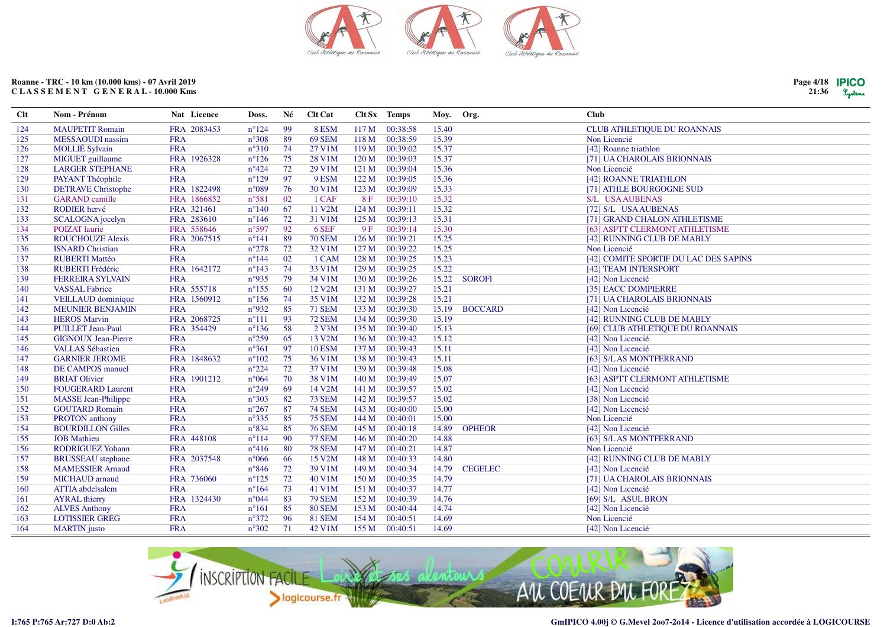

Org.

Club

Clt Cat

Clt Sx Temps

# Roanne - TRC - 10 km (10.000 kms) - 07 Avril 2019 CLASSEMENT GENERAL-10.000 Kms

Nat Licence

Doss.

Né

Nom - Prénom

**Clt** 

| 124 | <b>MAUPETIT Romain</b>     | FRA 2083453 | $n^{\circ}124$ | 99 | 8ESM          |                  | 117 M 00:38:58 | 15.40 |                | <b>CLUB ATHLETIQUE DU ROANNAIS</b>    |
|-----|----------------------------|-------------|----------------|----|---------------|------------------|----------------|-------|----------------|---------------------------------------|
| 125 | MESSAOUDI nassim           | <b>FRA</b>  | $n^{\circ}308$ | 89 | 69 SEM        | 118 M            | 00:38:59       | 15.39 |                | Non Licencié                          |
| 126 | <b>MOLLIÉ</b> Sylvain      | <b>FRA</b>  | $n^{\circ}310$ | 74 | 27 V1M        | 119 <sub>M</sub> | 00:39:02       | 15.37 |                | [42] Roanne triathlon                 |
| 127 | <b>MIGUET</b> guillaume    | FRA 1926328 | $n^{\circ}126$ | 75 | 28 V1M        | 120 <sub>M</sub> | 00:39:03       | 15.37 |                | [71] UA CHAROLAIS BRIONNAIS           |
| 128 | <b>LARGER STEPHANE</b>     | <b>FRA</b>  | $n^{\circ}424$ | 72 | 29 V1M        | 121 M            | 00:39:04       | 15.36 |                | Non Licencié                          |
| 129 | PAYANT Théophile           | <b>FRA</b>  | $n^{\circ}129$ | 97 | 9 ESM         | 122 M            | 00:39:05       | 15.36 |                | [42] ROANNE TRIATHLON                 |
| 130 | <b>DETRAVE Christophe</b>  | FRA 1822498 | $n^{\circ}089$ | 76 | 30 V1M        | 123 M            | 00:39:09       | 15.33 |                | [71] ATHLE BOURGOGNE SUD              |
| 131 | <b>GARAND</b> camille      | FRA 1866852 | $n^{\circ}581$ | 02 | 1 CAF         | 8F               | 00:39:10       | 15.32 |                | <b>S/L USA AUBENAS</b>                |
| 132 | RODIER hervé               | FRA 321461  | $n^{\circ}140$ | 67 | 11 V2M        | 124 M            | 00:39:11       | 15.32 |                | [72] S/L USA AUBENAS                  |
| 133 | SCALOGNA jocelyn           | FRA 283610  | $n^{\circ}146$ | 72 | 31 V1M        | 125 M            | 00:39:13       | 15.31 |                | [71] GRAND CHALON ATHLETISME          |
| 134 | <b>POIZAT</b> laurie       | FRA 558646  | $n^{\circ}597$ | 92 | 6 SEF         | 9F               | 00:39:14       | 15.30 |                | [63] ASPTT CLERMONT ATHLETISME        |
| 135 | <b>ROUCHOUZE Alexis</b>    | FRA 2067515 | $n^{\circ}141$ | 89 | <b>70 SEM</b> | 126 M            | 00:39:21       | 15.25 |                | [42] RUNNING CLUB DE MABLY            |
| 136 | <b>ISNARD Christian</b>    | <b>FRA</b>  | $n^{\circ}278$ | 72 | 32 V1M        | 127 M            | 00:39:22       | 15.25 |                | Non Licencié                          |
| 137 | <b>RUBERTI Mattéo</b>      | <b>FRA</b>  | $n^{\circ}144$ | 02 | 1 CAM         | 128 M            | 00:39:25       | 15.23 |                | [42] COMITE SPORTIF DU LAC DES SAPINS |
| 138 | RUBERTI Frédéric           | FRA 1642172 | $n^{\circ}143$ | 74 | 33 V1M        | 129 M            | 00:39:25       | 15.22 |                | [42] TEAM INTERSPORT                  |
| 139 | <b>FERREIRA SYLVAIN</b>    | <b>FRA</b>  | n°935          | 79 | 34 V1M        | 130 M            | 00:39:26       | 15.22 | <b>SOROFI</b>  | [42] Non Licencié                     |
| 140 | <b>VASSAL Fabrice</b>      | FRA 555718  | $n^{\circ}155$ | 60 | 12 V2M        | 131 M            | 00:39:27       | 15.21 |                | [35] EACC DOMPIERRE                   |
| 141 | VEILLAUD dominique         | FRA 1560912 | $n^{\circ}156$ | 74 | 35 V1M        | 132 M            | 00:39:28       | 15.21 |                | [71] UA CHAROLAIS BRIONNAIS           |
| 142 | <b>MEUNIER BENJAMIN</b>    | <b>FRA</b>  | $n^{\circ}932$ | 85 | <b>71 SEM</b> | 133 M            | 00:39:30       | 15.19 | <b>BOCCARD</b> | [42] Non Licencié                     |
| 143 | <b>HEROS Marvin</b>        | FRA 2068725 | $n^{\circ}111$ | 93 | <b>72 SEM</b> | 134 M            | 00:39:30       | 15.19 |                | [42] RUNNING CLUB DE MABLY            |
| 144 | <b>PUILLET Jean-Paul</b>   | FRA 354429  | $n^{\circ}136$ | 58 | 2 V3M         | 135 M            | 00:39:40       | 15.13 |                | [69] CLUB ATHLETIQUE DU ROANNAIS      |
| 145 | <b>GIGNOUX Jean-Pierre</b> | <b>FRA</b>  | $n^{\circ}259$ | 65 | 13 V2M        | 136 M            | 00:39:42       | 15.12 |                | [42] Non Licencié                     |
| 146 | <b>VALLAS Sébastien</b>    | <b>FRA</b>  | $n^{\circ}361$ | 97 | <b>10 ESM</b> | 137 M            | 00:39:43       | 15.11 |                | [42] Non Licencié                     |
| 147 | <b>GARNIER JEROME</b>      | FRA 1848632 | $n^{\circ}102$ | 75 | 36 V1M        | 138 M            | 00:39:43       | 15.11 |                | [63] S/L AS MONTFERRAND               |
| 148 | DE CAMPOS manuel           | <b>FRA</b>  | $n^{\circ}224$ | 72 | 37 V1M        | 139 M            | 00:39:48       | 15.08 |                | [42] Non Licencié                     |
| 149 | <b>BRIAT Olivier</b>       | FRA 1901212 | $n^{\circ}064$ | 70 | 38 V1M        | 140 M            | 00:39:49       | 15.07 |                | [63] ASPTT CLERMONT ATHLETISME        |
| 150 | <b>FOUGERARD Laurent</b>   | <b>FRA</b>  | $n^{\circ}249$ | 69 | 14 V2M        | 141 M            | 00:39:57       | 15.02 |                | [42] Non Licencié                     |
| 151 | <b>MASSE</b> Jean-Philippe | <b>FRA</b>  | $n^{\circ}303$ | 82 | <b>73 SEM</b> | 142 M            | 00:39:57       | 15.02 |                | [38] Non Licencié                     |
| 152 | <b>GOUTARD Romain</b>      | <b>FRA</b>  | $n^{\circ}267$ | 87 | <b>74 SEM</b> | 143 M            | 00:40:00       | 15.00 |                | [42] Non Licencié                     |
| 153 | PROTON anthony             | <b>FRA</b>  | $n^{\circ}335$ | 85 | <b>75 SEM</b> | 144 M            | 00:40:01       | 15.00 |                | Non Licencié                          |
| 154 | <b>BOURDILLON Gilles</b>   | <b>FRA</b>  | $n^{\circ}834$ | 85 | <b>76 SEM</b> | 145 M            | 00:40:18       | 14.89 | <b>OPHEOR</b>  | [42] Non Licencié                     |
| 155 | <b>JOB</b> Mathieu         | FRA 448108  | $n^{\circ}114$ | 90 | <b>77 SEM</b> | 146 M            | 00:40:20       | 14.88 |                | [63] S/L AS MONTFERRAND               |
| 156 | <b>RODRIGUEZ Yohann</b>    | <b>FRA</b>  | $n^{\circ}416$ | 80 | <b>78 SEM</b> | 147 M            | 00:40:21       | 14.87 |                | Non Licencié                          |
| 157 | <b>BRUSSEAU</b> stephane   | FRA 2037548 | $n^{\circ}066$ | 66 | 15 V2M        | 148 M            | 00:40:33       | 14.80 |                | [42] RUNNING CLUB DE MABLY            |
| 158 | <b>MAMESSIER Arnaud</b>    | <b>FRA</b>  | $n^{\circ}846$ | 72 | 39 V1M        | 149 M            | 00:40:34       | 14.79 | <b>CEGELEC</b> | [42] Non Licencié                     |
| 159 | <b>MICHAUD</b> arnaud      | FRA 736060  | $n^{\circ}125$ | 72 | 40 V1M        | 150 M            | 00:40:35       | 14.79 |                | [71] UA CHAROLAIS BRIONNAIS           |
| 160 | <b>ATTIA</b> abdelsalem    | <b>FRA</b>  | $n^{\circ}164$ | 73 | 41 V1M        | 151 M            | 00:40:37       | 14.77 |                | [42] Non Licencié                     |
| 161 | <b>AYRAL</b> thierry       | FRA 1324430 | $n^{\circ}044$ | 83 | <b>79 SEM</b> | 152 M            | 00:40:39       | 14.76 |                | [69] S/L ASUL BRON                    |
| 162 | <b>ALVES Anthony</b>       | <b>FRA</b>  | $n^{\circ}161$ | 85 | <b>80 SEM</b> | 153 M            | 00:40:44       | 14.74 |                | [42] Non Licencié                     |
| 163 | <b>LOTISSIER GREG</b>      | <b>FRA</b>  | $n^{\circ}372$ | 96 | <b>81 SEM</b> | 154 M            | 00:40:51       | 14.69 |                | Non Licencié                          |
| 164 | <b>MARTIN</b> justo        | <b>FRA</b>  | $n^{\circ}302$ | 71 | 42 V1M        | 155 M            | 00:40:51       | 14.69 |                | [42] Non Licencié                     |
|     |                            |             |                |    |               |                  |                |       |                |                                       |



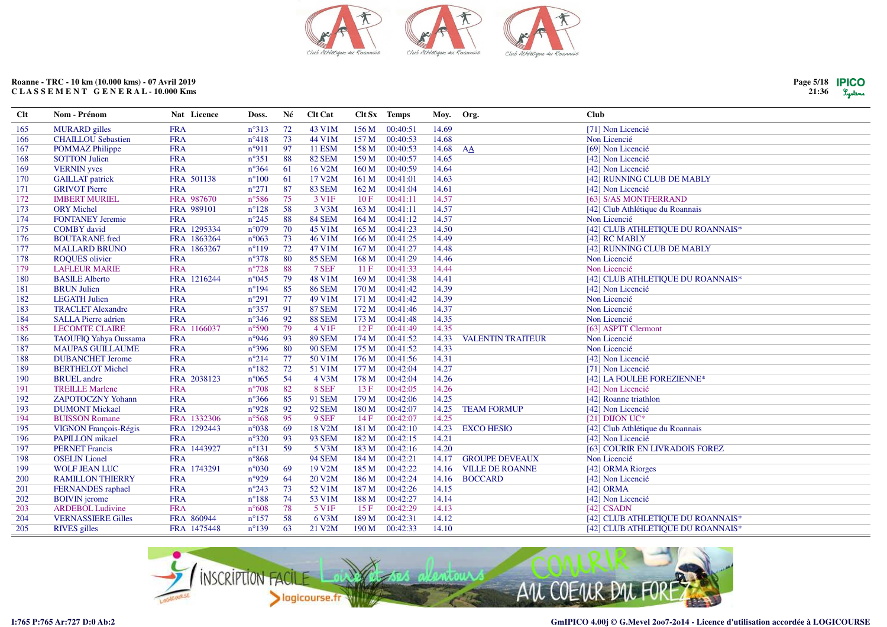

| Clt | Nom - Prénom                 | Nat Licence | Doss.           | Né | <b>Clt Cat</b> |                  | Clt Sx Temps   | Moy.  | Org.                     | <b>Club</b>                       |
|-----|------------------------------|-------------|-----------------|----|----------------|------------------|----------------|-------|--------------------------|-----------------------------------|
| 165 | <b>MURARD</b> gilles         | <b>FRA</b>  | $n^{\circ}313$  | 72 | 43 V1M         | 156 M            | 00:40:51       | 14.69 |                          | [71] Non Licencié                 |
| 166 | <b>CHAILLOU</b> Sebastien    | <b>FRA</b>  | $n^{\circ}418$  | 73 | 44 V1M         | 157 M            | 00:40:53       | 14.68 |                          | Non Licencié                      |
| 167 | <b>POMMAZ Philippe</b>       | <b>FRA</b>  | n°911           | 97 | <b>11 ESM</b>  | 158 M            | 00:40:53       | 14.68 | AA                       | [69] Non Licencié                 |
| 168 | <b>SOTTON Julien</b>         | <b>FRA</b>  | $n^{\circ}351$  | 88 | <b>82 SEM</b>  | 159 M            | 00:40:57       | 14.65 |                          | [42] Non Licencié                 |
| 169 | <b>VERNIN</b> yves           | <b>FRA</b>  | $n^{\circ}364$  | 61 | 16 V2M         | 160 M            | 00:40:59       | 14.64 |                          | [42] Non Licencié                 |
| 170 | <b>GAILLAT</b> patrick       | FRA 501138  | $n^{\circ}100$  | 61 | 17 V2M         | 161 M            | 00:41:01       | 14.63 |                          | [42] RUNNING CLUB DE MABLY        |
| 171 | <b>GRIVOT Pierre</b>         | <b>FRA</b>  | $n^{\circ}271$  | 87 | <b>83 SEM</b>  | 162 M            | 00:41:04       | 14.61 |                          | [42] Non Licencié                 |
| 172 | <b>IMBERT MURIEL</b>         | FRA 987670  | $n^{\circ}586$  | 75 | 3 V1F          | 10F              | 00:41:11       | 14.57 |                          | [63] S/AS MONTFERRAND             |
| 173 | <b>ORY</b> Michel            | FRA 989101  | $n^{\circ}128$  | 58 | 3 V3M          | 163 M            | 00:41:11       | 14.57 |                          | [42] Club Athlétique du Roannais  |
| 174 | <b>FONTANEY Jeremie</b>      | <b>FRA</b>  | $n^{\circ}245$  | 88 | <b>84 SEM</b>  | 164 M            | 00:41:12       | 14.57 |                          | Non Licencié                      |
| 175 | <b>COMBY</b> david           | FRA 1295334 | $n^{\circ}079$  | 70 | 45 V1M         | 165 M            | 00:41:23       | 14.50 |                          | [42] CLUB ATHLETIQUE DU ROANNAIS* |
| 176 | <b>BOUTARANE</b> fred        | FRA 1863264 | $n^{\circ}063$  | 73 | 46 V1M         | 166M             | 00:41:25       | 14.49 |                          | [42] RC MABLY                     |
| 177 | <b>MALLARD BRUNO</b>         | FRA 1863267 | $n^{\circ}119$  | 72 | 47 V1M         | 167 M            | 00:41:27       | 14.48 |                          | [42] RUNNING CLUB DE MABLY        |
| 178 | <b>ROOUES</b> olivier        | <b>FRA</b>  | $n^{\circ}378$  | 80 | <b>85 SEM</b>  | 168 M            | 00:41:29       | 14.46 |                          | Non Licencié                      |
| 179 | <b>LAFLEUR MARIE</b>         | <b>FRA</b>  | $n^{\circ}728$  | 88 | 7 SEF          | 11F              | 00:41:33       | 14.44 |                          | Non Licencié                      |
| 180 | <b>BASILE Alberto</b>        | FRA 1216244 | $n^{\circ}045$  | 79 | 48 V1M         | 169 <sub>M</sub> | 00:41:38       | 14.41 |                          | [42] CLUB ATHLETIQUE DU ROANNAIS* |
| 181 | <b>BRUN Julien</b>           | <b>FRA</b>  | $n^{\circ}194$  | 85 | <b>86 SEM</b>  | 170 M            | 00:41:42       | 14.39 |                          | [42] Non Licencié                 |
| 182 | <b>LEGATH Julien</b>         | <b>FRA</b>  | $n^{\circ}291$  | 77 | 49 V1M         | 171 M            | 00:41:42       | 14.39 |                          | Non Licencié                      |
| 183 | <b>TRACLET Alexandre</b>     | <b>FRA</b>  | $n^{\circ}357$  | 91 | <b>87 SEM</b>  | 172 M            | 00:41:46       | 14.37 |                          | Non Licencié                      |
| 184 | <b>SALLA Pierre adrien</b>   | <b>FRA</b>  | $n^{\circ}346$  | 92 | <b>88 SEM</b>  | 173 M            | 00:41:48       | 14.35 |                          | Non Licencié                      |
| 185 | <b>LECOMTE CLAIRE</b>        | FRA 1166037 | $n^{\circ}590$  | 79 | 4 V1F          | 12F              | 00:41:49       | 14.35 |                          | [63] ASPTT Clermont               |
| 186 | <b>TAOUFIQ Yahya Oussama</b> | <b>FRA</b>  | n°946           | 93 | <b>89 SEM</b>  | 174 M            | 00:41:52       | 14.33 | <b>VALENTIN TRAITEUR</b> | Non Licencié                      |
| 187 | <b>MAUPAS GUILLAUME</b>      | <b>FRA</b>  | $n^{\circ}396$  | 80 | <b>90 SEM</b>  | 175 M            | 00:41:52       | 14.33 |                          | Non Licencié                      |
| 188 | <b>DUBANCHET Jerome</b>      | <b>FRA</b>  | $n^{\circ}214$  | 77 | 50 V1M         | 176 M            | 00:41:56       | 14.31 |                          | [42] Non Licencié                 |
| 189 | <b>BERTHELOT Michel</b>      | <b>FRA</b>  | $n^{\circ}182$  | 72 | 51 V1M         | 177 M            | 00:42:04       | 14.27 |                          | [71] Non Licencié                 |
| 190 | <b>BRUEL</b> andre           | FRA 2038123 | $n^{\circ}065$  | 54 | 4 V3M          | 178 M            | 00:42:04       | 14.26 |                          | [42] LA FOULEE FOREZIENNE*        |
| 191 | <b>TREILLE Marlene</b>       | <b>FRA</b>  | $n^{\circ}708$  | 82 | 8 SEF          | 13F              | 00:42:05       | 14.26 |                          | [42] Non Licencié                 |
| 192 | <b>ZAPOTOCZNY Yohann</b>     | <b>FRA</b>  | $n^{\circ}366$  | 85 | <b>91 SEM</b>  | 179 M            | 00:42:06       | 14.25 |                          | [42] Roanne triathlon             |
| 193 | <b>DUMONT Mickael</b>        | <b>FRA</b>  | n°928           | 92 | <b>92 SEM</b>  | 180 M            | 00:42:07       | 14.25 | <b>TEAM FORMUP</b>       | [42] Non Licencié                 |
| 194 | <b>BUISSON Romane</b>        | FRA 1332306 | $n^{\circ}$ 568 | 95 | 9 SEF          | 14F              | 00:42:07       | 14.25 |                          | [21] DIJON UC*                    |
| 195 | <b>VIGNON François-Régis</b> | FRA 1292443 | $n^{\circ}038$  | 69 | 18 V2M         | 181 M            | 00:42:10       | 14.23 | <b>EXCO HESIO</b>        | [42] Club Athlétique du Roannais  |
| 196 | <b>PAPILLON</b> mikael       | <b>FRA</b>  | $n^{\circ}320$  | 93 | <b>93 SEM</b>  | 182 M            | 00:42:15       | 14.21 |                          | [42] Non Licencié                 |
| 197 | <b>PERNET Francis</b>        | FRA 1443927 | $n^{\circ}131$  | 59 | 5 V3M          | 183 M            | 00:42:16       | 14.20 |                          | [63] COURIR EN LIVRADOIS FOREZ    |
| 198 | <b>OSELIN</b> Lionel         | <b>FRA</b>  | $n^{\circ}868$  |    | <b>94 SEM</b>  | 184 M            | 00:42:21       | 14.17 | <b>GROUPE DEVEAUX</b>    | Non Licencié                      |
| 199 | <b>WOLF JEAN LUC</b>         | FRA 1743291 | $n^{\circ}030$  | 69 | 19 V2M         | 185 M            | 00:42:22       | 14.16 | <b>VILLE DE ROANNE</b>   | [42] ORMA Riorges                 |
| 200 | <b>RAMILLON THIERRY</b>      | <b>FRA</b>  | n°929           | 64 | 20 V2M         | 186 M            | 00:42:24       | 14.16 | <b>BOCCARD</b>           | [42] Non Licencié                 |
| 201 | FERNANDES raphael            | <b>FRA</b>  | $n^{\circ}243$  | 73 | 52 V1M         | 187 M            | 00:42:26       | 14.15 |                          | [42] ORMA                         |
| 202 | <b>BOIVIN</b> jerome         | <b>FRA</b>  | $n^{\circ}188$  | 74 | 53 V1M         | 188 M            | 00:42:27       | 14.14 |                          | [42] Non Licencié                 |
| 203 | <b>ARDEBOL Ludivine</b>      | <b>FRA</b>  | $n^{\circ}608$  | 78 | 5 V1F          | 15F              | 00:42:29       | 14.13 |                          | $[42]$ CSADN                      |
| 204 | <b>VERNASSIERE Gilles</b>    | FRA 860944  | $n^{\circ}157$  | 58 | 6 V3M          | 189 M            | 00:42:31       | 14.12 |                          | [42] CLUB ATHLETIQUE DU ROANNAIS* |
| 205 | <b>RIVES</b> gilles          | FRA 1475448 | $n^{\circ}139$  | 63 | 21 V2M         |                  | 190 M 00:42:33 | 14.10 |                          | [42] CLUB ATHLETIQUE DU ROANNAIS* |
|     |                              |             |                 |    |                |                  |                |       |                          |                                   |



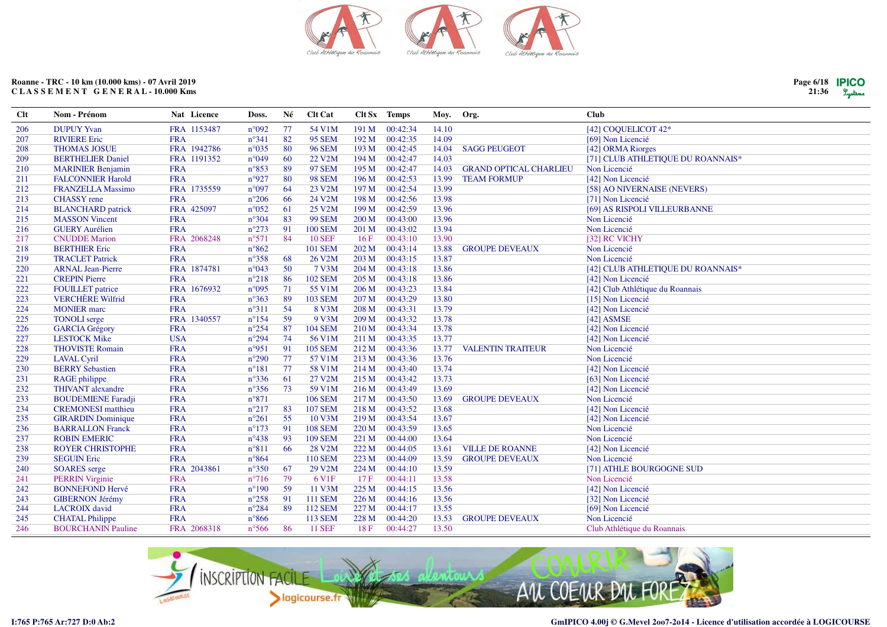

| Page 6/18 <b>PICO</b> | $21:36$ $9$ yellows |
|-----------------------|---------------------|
|                       |                     |

| <b>Clt</b> | Nom - Prénom              | Nat Licence | Doss.           | Né  | Clt Cat           |       | Clt Sx Temps   | Moy.  | Org.                          | <b>Club</b>                       |
|------------|---------------------------|-------------|-----------------|-----|-------------------|-------|----------------|-------|-------------------------------|-----------------------------------|
| 206        | <b>DUPUY Yvan</b>         | FRA 1153487 | n°092           | 77  | 54 V1M            | 191 M | 00:42:34       | 14.10 |                               | [42] COOUELICOT 42*               |
| 207        | <b>RIVIERE Eric</b>       | <b>FRA</b>  | $n^{\circ}341$  | 82  | <b>95 SEM</b>     | 192 M | 00:42:35       | 14.09 |                               | [69] Non Licencié                 |
| 208        | <b>THOMAS JOSUE</b>       | FRA 1942786 | $n^{\circ}035$  | 80  | <b>96 SEM</b>     | 193 M | 00:42:45       | 14.04 | <b>SAGG PEUGEOT</b>           | [42] ORMA Riorges                 |
| 209        | <b>BERTHELIER Daniel</b>  | FRA 1191352 | $n^{\circ}049$  | 60  | 22 V2M            | 194 M | 00:42:47       | 14.03 |                               | [71] CLUB ATHLETIQUE DU ROANNAIS* |
| 210        | <b>MARINIER Benjamin</b>  | <b>FRA</b>  | $n^{\circ}853$  | 89  | <b>97 SEM</b>     | 195 M | 00:42:47       | 14.03 | <b>GRAND OPTICAL CHARLIEU</b> | Non Licencié                      |
| 211        | <b>FALCONNIER Harold</b>  | <b>FRA</b>  | n°927           | 80  | <b>98 SEM</b>     | 196 M | 00:42:53       | 13.99 | <b>TEAM FORMUP</b>            | [42] Non Licencié                 |
| 212        | <b>FRANZELLA Massimo</b>  | FRA 1735559 | n°097           | 64  | 23 V2M            | 197 M | 00:42:54       | 13.99 |                               | [58] AO NIVERNAISE (NEVERS)       |
| 213        | <b>CHASSY</b> rene        | <b>FRA</b>  | $n^{\circ}206$  | 66  | 24 V2M            |       | 198 M 00:42:56 | 13.98 |                               | [71] Non Licencié                 |
| 214        | <b>BLANCHARD</b> patrick  | FRA 425097  | $n^{\circ}052$  | 61  | 25 V2M            | 199 M | 00:42:59       | 13.96 |                               | [69] AS RISPOLI VILLEURBANNE      |
| 215        | <b>MASSON</b> Vincent     | <b>FRA</b>  | $n^{\circ}304$  | 83  | <b>99 SEM</b>     | 200 M | 00:43:00       | 13.96 |                               | Non Licencié                      |
| 216        | <b>GUERY Aurélien</b>     | <b>FRA</b>  | $n^{\circ}273$  | 91  | <b>100 SEM</b>    | 201 M | 00:43:02       | 13.94 |                               | Non Licencié                      |
| 217        | <b>CNUDDE</b> Marion      | FRA 2068248 | $n^{\circ}571$  | 84  | <b>10 SEF</b>     | 16F   | 00:43:10       | 13.90 |                               | [32] RC VICHY                     |
| 218        | <b>BERTHIER Eric</b>      | <b>FRA</b>  | $n^{\circ}862$  |     | <b>101 SEM</b>    | 202 M | 00:43:14       | 13.88 | <b>GROUPE DEVEAUX</b>         | Non Licencié                      |
| 219        | <b>TRACLET Patrick</b>    | <b>FRA</b>  | $n^{\circ}358$  | 68  | 26 V2M            | 203 M | 00:43:15       | 13.87 |                               | Non Licencié                      |
| 220        | <b>ARNAL Jean-Pierre</b>  | FRA 1874781 | $n^{\circ}043$  | 50  | 7 V3M             | 204 M | 00:43:18       | 13.86 |                               | [42] CLUB ATHLETIQUE DU ROANNAIS* |
| 221        | <b>CREPIN Pierre</b>      | <b>FRA</b>  | $n^{\circ}218$  | 86  | <b>102 SEM</b>    | 205 M | 00:43:18       | 13.86 |                               | [42] Non Licencié                 |
| 222        | <b>FOUILLET</b> patrice   | FRA 1676932 | $n^{\circ}095$  | 71  | 55 V1M            | 206 M | 00:43:23       | 13.84 |                               | [42] Club Athlétique du Roannais  |
| 223        | <b>VERCHÈRE Wilfrid</b>   | <b>FRA</b>  | $n^{\circ}363$  | 89  | <b>103 SEM</b>    | 207 M | 00:43:29       | 13.80 |                               | [15] Non Licencié                 |
| 224        | <b>MONIER</b> marc        | <b>FRA</b>  | $n^{\circ}311$  | 54  | 8 V3M             | 208 M | 00:43:31       | 13.79 |                               | [42] Non Licencié                 |
| 225        | <b>TONOLI</b> serge       | FRA 1340557 | $n^{\circ}154$  | 59  | 9 V3M             | 209 M | 00:43:32       | 13.78 |                               | $[42]$ ASMSE                      |
| 226        | <b>GARCIA Grégory</b>     | <b>FRA</b>  | $n^{\circ}254$  | 87  | <b>104 SEM</b>    | 210 M | 00:43:34       | 13.78 |                               | [42] Non Licencié                 |
| 227        | <b>LESTOCK Mike</b>       | <b>USA</b>  | $n^{\circ}294$  | 74  | 56 V1M            | 211 M | 00:43:35       | 13.77 |                               | [42] Non Licencié                 |
| 228        | <b>THOVISTE Romain</b>    | <b>FRA</b>  | n°951           | 91  | <b>105 SEM</b>    | 212 M | 00:43:36       | 13.77 | <b>VALENTIN TRAITEUR</b>      | Non Licencié                      |
| 229        | <b>LAVAL Cyril</b>        | <b>FRA</b>  | $n^{\circ}290$  | 77  | 57 V1M            | 213 M | 00:43:36       | 13.76 |                               | Non Licencié                      |
| 230        | <b>BERRY</b> Sebastien    | <b>FRA</b>  | $n^{\circ}181$  | 77  | 58 V1M            | 214 M | 00:43:40       | 13.74 |                               | [42] Non Licencié                 |
| 231        | <b>RAGE</b> philippe      | <b>FRA</b>  | $n^{\circ}336$  | 61  | 27 V2M            | 215 M | 00:43:42       | 13.73 |                               | [63] Non Licencié                 |
| 232        | <b>THIVANT</b> alexandre  | <b>FRA</b>  | $n^{\circ}356$  | 73  | 59 V1M            | 216 M | 00:43:49       | 13.69 |                               | [42] Non Licencié                 |
| 233        | <b>BOUDEMIENE Faradji</b> | <b>FRA</b>  | $n^{\circ}871$  |     | <b>106 SEM</b>    | 217 M | 00:43:50       | 13.69 | <b>GROUPE DEVEAUX</b>         | Non Licencié                      |
| 234        | <b>CREMONESI</b> matthieu | <b>FRA</b>  | $n^{\circ}217$  | 83  | <b>107 SEM</b>    | 218 M | 00:43:52       | 13.68 |                               | [42] Non Licencié                 |
| 235        | <b>GIRARDIN</b> Dominique | <b>FRA</b>  | $n^{\circ}261$  | 55  | 10 V3M            | 219 M | 00:43:54       | 13.67 |                               | [42] Non Licencié                 |
| 236        | <b>BARRALLON Franck</b>   | <b>FRA</b>  | $n^{\circ}173$  | 91  | <b>108 SEM</b>    | 220 M | 00:43:59       | 13.65 |                               | Non Licencié                      |
| 237        | <b>ROBIN EMERIC</b>       | <b>FRA</b>  | $n^{\circ}438$  | 93  | <b>109 SEM</b>    | 221 M | 00:44:00       | 13.64 |                               | Non Licencié                      |
| 238        | <b>ROYER CHRISTOPHE</b>   | <b>FRA</b>  | $n^{\circ}811$  | -66 | 28 V2M            | 222 M | 00:44:05       | 13.61 | <b>VILLE DE ROANNE</b>        | [42] Non Licencié                 |
| 239        | <b>SEGUIN Eric</b>        | <b>FRA</b>  | $n^{\circ}864$  |     | <b>110 SEM</b>    | 223 M | 00:44:09       | 13.59 | <b>GROUPE DEVEAUX</b>         | Non Licencié                      |
| 240        | <b>SOARES</b> serge       | FRA 2043861 | $n^{\circ}350$  | 67  | 29 V2M            | 224 M | 00:44:10       | 13.59 |                               | [71] ATHLE BOURGOGNE SUD          |
| 241        | <b>PERRIN Virginie</b>    | <b>FRA</b>  | $n^{\circ}716$  | 79  | 6 V <sub>1F</sub> | 17F   | 00:44:11       | 13.58 |                               | Non Licencié                      |
| 242        | <b>BONNEFOND Hervé</b>    | <b>FRA</b>  | $n^{\circ}190$  | 59  | 11 V3M            | 225 M | 00:44:15       | 13.56 |                               | [42] Non Licencié                 |
| 243        | <b>GIBERNON Jérémy</b>    | <b>FRA</b>  | $n^{\circ}258$  | 91  | <b>111 SEM</b>    | 226 M | 00:44:16       | 13.56 |                               | [32] Non Licencié                 |
| 244        | <b>LACROIX</b> david      | <b>FRA</b>  | $n^{\circ}284$  | 89  | <b>112 SEM</b>    | 227 M | 00:44:17       | 13.55 |                               | [69] Non Licencié                 |
| 245        | <b>CHATAL Philippe</b>    | <b>FRA</b>  | $n^{\circ}866$  |     | <b>113 SEM</b>    | 228 M | 00:44:20       | 13.53 | <b>GROUPE DEVEAUX</b>         | Non Licencié                      |
| 246        | <b>BOURCHANIN Pauline</b> | FRA 2068318 | $n^{\circ}$ 566 | 86  | <b>11 SEF</b>     | 18F   | 00:44:27       | 13.50 |                               | Club Athlétique du Roannais       |

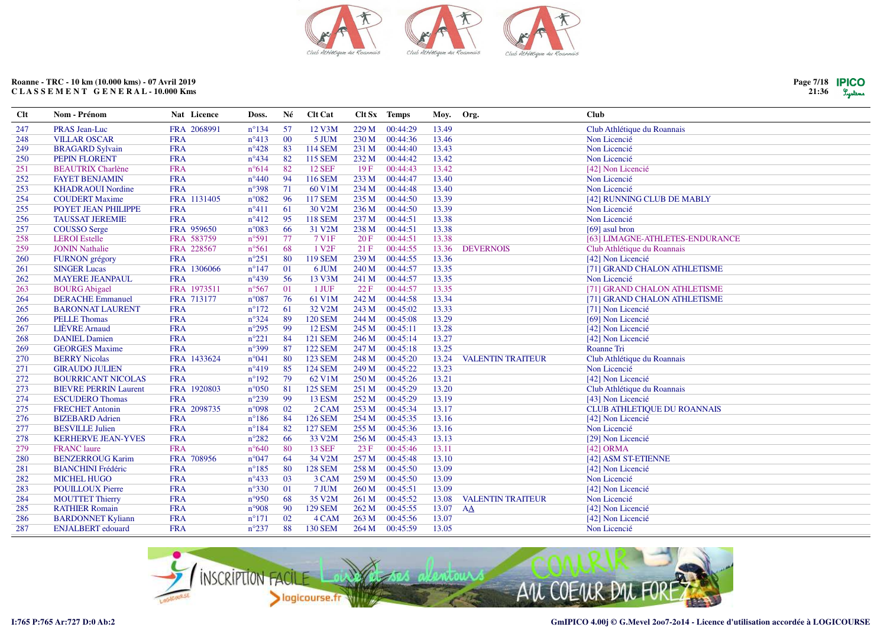

Clt Nom Prénom Nat Licence Doss. Né Clt Cat Clt Sx Temps Moy. Org. Club

# **Roanne - TRC - 10 km (10.000 kms) - 07 Avril 2019C L A S S E M E N T G E N E R A L - 10.000 Kms**

| 247 | <b>PRAS Jean-Luc</b>         | FRA 2068991 | $n^{\circ}134$ | -57            | 12 V3M              | 229 M | 00:44:29 | 13.49 |                          | Club Athlétique du Roannais        |
|-----|------------------------------|-------------|----------------|----------------|---------------------|-------|----------|-------|--------------------------|------------------------------------|
| 248 | <b>VILLAR OSCAR</b>          | <b>FRA</b>  | $n^{\circ}413$ | 0 <sup>0</sup> | 5 JUM               | 230 M | 00:44:36 | 13.46 |                          | Non Licencié                       |
| 249 | <b>BRAGARD Sylvain</b>       | <b>FRA</b>  | $n^{\circ}428$ | 83             | <b>114 SEM</b>      | 231 M | 00:44:40 | 13.43 |                          | Non Licencié                       |
| 250 | PEPIN FLORENT                | <b>FRA</b>  | $n^{\circ}434$ | 82             | <b>115 SEM</b>      | 232 M | 00:44:42 | 13.42 |                          | Non Licencié                       |
| 251 | <b>BEAUTRIX Charlène</b>     | <b>FRA</b>  | $n^{\circ}614$ | 82             | <b>12 SEF</b>       | 19F   | 00:44:43 | 13.42 |                          | [42] Non Licencié                  |
| 252 | <b>FAYET BENJAMIN</b>        | <b>FRA</b>  | $n^{\circ}440$ | 94             | <b>116 SEM</b>      | 233 M | 00:44:47 | 13.40 |                          | Non Licencié                       |
| 253 | <b>KHADRAOUI</b> Nordine     | <b>FRA</b>  | n°398          | 71             | 60 V1M              | 234 M | 00:44:48 | 13.40 |                          | Non Licencié                       |
| 254 | <b>COUDERT Maxime</b>        | FRA 1131405 | $n^{\circ}082$ | 96             | <b>117 SEM</b>      | 235 M | 00:44:50 | 13.39 |                          | [42] RUNNING CLUB DE MABLY         |
| 255 | POYET JEAN PHILIPPE          | <b>FRA</b>  | $n^{\circ}411$ | 61             | 30 V2M              | 236 M | 00:44:50 | 13.39 |                          | Non Licencié                       |
| 256 | <b>TAUSSAT JEREMIE</b>       | <b>FRA</b>  | $n^{\circ}412$ | 95             | <b>118 SEM</b>      | 237 M | 00:44:51 | 13.38 |                          | Non Licencié                       |
| 257 | <b>COUSSO</b> Serge          | FRA 959650  | $n^{\circ}083$ | 66             | 31 V2M              | 238 M | 00:44:51 | 13.38 |                          | [69] asul bron                     |
| 258 | <b>LEROI</b> Estelle         | FRA 583759  | n°591          | 77             | 7 V1F               | 20F   | 00:44:51 | 13.38 |                          | [63] LIMAGNE-ATHLETES-ENDURANCE    |
| 259 | <b>JONIN Nathalie</b>        | FRA 228567  | $n^{\circ}561$ | 68             | 1 V <sub>2F</sub>   | 21F   | 00:44:55 | 13.36 | <b>DEVERNOIS</b>         | Club Athlétique du Roannais        |
| 260 | FURNON grégory               | <b>FRA</b>  | $n^{\circ}251$ | 80             | <b>119 SEM</b>      | 239 M | 00:44:55 | 13.36 |                          | [42] Non Licencié                  |
| 261 | <b>SINGER Lucas</b>          | FRA 1306066 | $n^{\circ}147$ | 01             | 6 JUM               | 240 M | 00:44:57 | 13.35 |                          | [71] GRAND CHALON ATHLETISME       |
| 262 | <b>MAYERE JEANPAUL</b>       | <b>FRA</b>  | $n^{\circ}439$ | 56             | 13 V3M              | 241 M | 00:44:57 | 13.35 |                          | Non Licencié                       |
| 263 | <b>BOURG</b> Abigael         | FRA 1973511 | $n^{\circ}567$ | 01             | 1 JUF               | 22F   | 00:44:57 | 13.35 |                          | [71] GRAND CHALON ATHLETISME       |
| 264 | <b>DERACHE Emmanuel</b>      | FRA 713177  | $n^{\circ}087$ | 76             | 61 V1M              | 242 M | 00:44:58 | 13.34 |                          | [71] GRAND CHALON ATHLETISME       |
| 265 | <b>BARONNAT LAURENT</b>      | <b>FRA</b>  | $n^{\circ}172$ | 61             | 32 V <sub>2</sub> M | 243 M | 00:45:02 | 13.33 |                          | [71] Non Licencié                  |
| 266 | <b>PELLE Thomas</b>          | <b>FRA</b>  | $n^{\circ}324$ | 89             | <b>120 SEM</b>      | 244 M | 00:45:08 | 13.29 |                          | [69] Non Licencié                  |
| 267 | <b>LIÈVRE</b> Arnaud         | <b>FRA</b>  | $n^{\circ}295$ | 99             | <b>12 ESM</b>       | 245 M | 00:45:11 | 13.28 |                          | [42] Non Licencié                  |
| 268 | <b>DANIEL Damien</b>         | <b>FRA</b>  | $n^{\circ}221$ | 84             | <b>121 SEM</b>      | 246 M | 00:45:14 | 13.27 |                          | [42] Non Licencié                  |
| 269 | <b>GEORGES Maxime</b>        | <b>FRA</b>  | n°399          | 87             | <b>122 SEM</b>      | 247 M | 00:45:18 | 13.25 |                          | Roanne Tri                         |
| 270 | <b>BERRY Nicolas</b>         | FRA 1433624 | n°041          | 80             | <b>123 SEM</b>      | 248 M | 00:45:20 | 13.24 | <b>VALENTIN TRAITEUR</b> | Club Athlétique du Roannais        |
| 271 | <b>GIRAUDO JULIEN</b>        | <b>FRA</b>  | $n^{\circ}419$ | 85             | <b>124 SEM</b>      | 249 M | 00:45:22 | 13.23 |                          | Non Licencié                       |
| 272 | <b>BOURRICANT NICOLAS</b>    | <b>FRA</b>  | $n^{\circ}192$ | 79             | 62 V1M              | 250 M | 00:45:26 | 13.21 |                          | [42] Non Licencié                  |
| 273 | <b>BIEVRE PERRIN Laurent</b> | FRA 1920803 | $n^{\circ}050$ | 81             | <b>125 SEM</b>      | 251 M | 00:45:29 | 13.20 |                          | Club Athlétique du Roannais        |
| 274 | <b>ESCUDERO</b> Thomas       | <b>FRA</b>  | $n^{\circ}239$ | 99             | <b>13 ESM</b>       | 252 M | 00:45:29 | 13.19 |                          | [43] Non Licencié                  |
| 275 | <b>FRECHET Antonin</b>       | FRA 2098735 | n°098          | 02             | 2 CAM               | 253 M | 00:45:34 | 13.17 |                          | <b>CLUB ATHLETIQUE DU ROANNAIS</b> |
| 276 | <b>BIZEBARD</b> Adrien       | <b>FRA</b>  | $n^{\circ}186$ | 84             | <b>126 SEM</b>      | 254 M | 00:45:35 | 13.16 |                          | [42] Non Licencié                  |
| 277 | <b>BESVILLE Julien</b>       | <b>FRA</b>  | $n^{\circ}184$ | 82             | <b>127 SEM</b>      | 255 M | 00:45:36 | 13.16 |                          | Non Licencié                       |
| 278 | <b>KERHERVE JEAN-YVES</b>    | <b>FRA</b>  | $n^{\circ}282$ | 66             | 33 V2M              | 256 M | 00:45:43 | 13.13 |                          | [29] Non Licencié                  |
| 279 | <b>FRANC</b> laure           | <b>FRA</b>  | $n^{\circ}640$ | 80             | <b>13 SEF</b>       | 23 F  | 00:45:46 | 13.11 |                          | [42] ORMA                          |
| 280 | <b>BENZERROUG Karim</b>      | FRA 708956  | n°047          | 64             | 34 V2M              | 257 M | 00:45:48 | 13.10 |                          | [42] ASM ST-ETIENNE                |
| 281 | <b>BIANCHINI Frédéric</b>    | <b>FRA</b>  | $n^{\circ}185$ | 80             | <b>128 SEM</b>      | 258 M | 00:45:50 | 13.09 |                          | [42] Non Licencié                  |
| 282 | <b>MICHEL HUGO</b>           | <b>FRA</b>  | $n^{\circ}433$ | 03             | 3 CAM               | 259 M | 00:45:50 | 13.09 |                          | Non Licencié                       |
| 283 | <b>POUILLOUX Pierre</b>      | <b>FRA</b>  | $n^{\circ}330$ | 01             | 7 JUM               | 260 M | 00:45:51 | 13.09 |                          | [42] Non Licencié                  |
| 284 | <b>MOUTTET Thierry</b>       | <b>FRA</b>  | n°950          | 68             | 35 V2M              | 261 M | 00:45:52 | 13.08 | <b>VALENTIN TRAITEUR</b> | Non Licencié                       |
| 285 | <b>RATHIER Romain</b>        | <b>FRA</b>  | n°908          | 90             | <b>129 SEM</b>      | 262 M | 00:45:55 | 13.07 | AA                       | [42] Non Licencié                  |
| 286 | <b>BARDONNET Kyliann</b>     | <b>FRA</b>  | $n^{\circ}171$ | 02             | 4 CAM               | 263 M | 00:45:56 | 13.07 |                          | [42] Non Licencié                  |
| 287 | <b>ENJALBERT</b> edouard     | <b>FRA</b>  | $n^{\circ}237$ | 88             | <b>130 SEM</b>      | 264 M | 00:45:59 | 13.05 |                          | Non Licencié                       |
|     |                              |             |                |                |                     |       |          |       |                          |                                    |



**Page 7/18 21:36**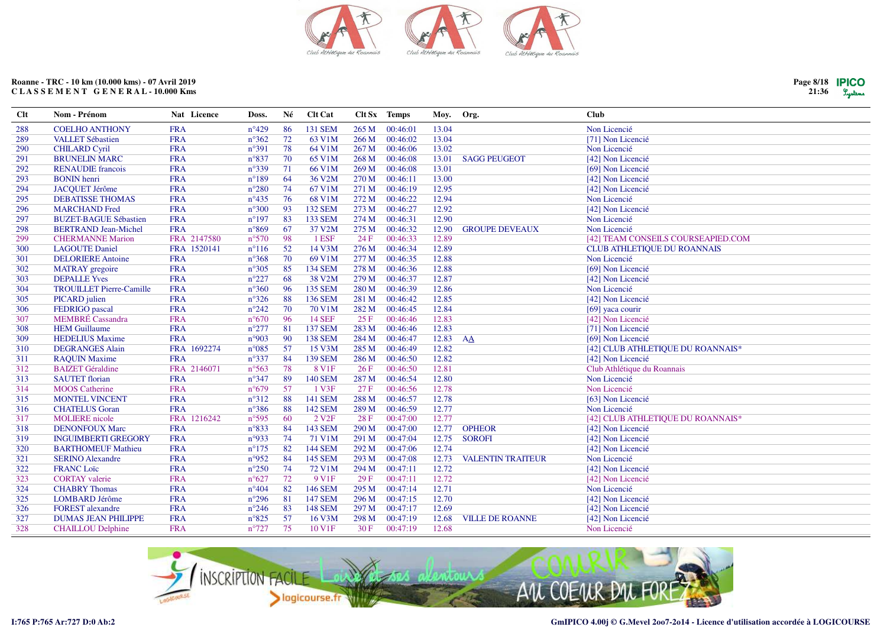

Moy. Org.

 $Club$ 

#### Roanne - TRC - 10 km (10.000 kms) - 07 Avril 2019 CLASSEMENT GENERAL-10.000 Kms

Nat Licence

Doss.

Né

Clt Cat

Clt Sx Temps

Nom - Prénom

**Clt** 

| 288 | <b>COELHO ANTHONY</b>           | <b>FRA</b>  | $n^{\circ}429$ | 86   | 131 SEM           | 265 M | 00:46:01 | 13.04 |                          | Non Licencié                       |
|-----|---------------------------------|-------------|----------------|------|-------------------|-------|----------|-------|--------------------------|------------------------------------|
| 289 | <b>VALLET Sébastien</b>         | <b>FRA</b>  | $n^{\circ}362$ | 72   | 63 V1M            | 266 M | 00:46:02 | 13.04 |                          | [71] Non Licencié                  |
| 290 | <b>CHILARD Cyril</b>            | <b>FRA</b>  | $n^{\circ}391$ | 78   | 64 V1M            | 267 M | 00:46:06 | 13.02 |                          | Non Licencié                       |
| 291 | <b>BRUNELIN MARC</b>            | <b>FRA</b>  | $n^{\circ}837$ | 70   | 65 V1M            | 268 M | 00:46:08 | 13.01 | <b>SAGG PEUGEOT</b>      | [42] Non Licencié                  |
| 292 | <b>RENAUDIE</b> francois        | <b>FRA</b>  | $n^{\circ}339$ | 71   | 66 V1M            | 269 M | 00:46:08 | 13.01 |                          | [69] Non Licencié                  |
| 293 | <b>BONIN</b> henri              | <b>FRA</b>  | $n^{\circ}189$ | 64   | 36 V2M            | 270 M | 00:46:11 | 13.00 |                          | [42] Non Licencié                  |
| 294 | JACQUET Jérôme                  | <b>FRA</b>  | $n^{\circ}280$ | 74   | 67 V1M            | 271 M | 00:46:19 | 12.95 |                          | [42] Non Licencié                  |
| 295 | <b>DEBATISSE THOMAS</b>         | <b>FRA</b>  | $n^{\circ}435$ | 76   | 68 V1M            | 272 M | 00:46:22 | 12.94 |                          | Non Licencié                       |
| 296 | <b>MARCHAND Fred</b>            | <b>FRA</b>  | $n^{\circ}300$ | 93   | <b>132 SEM</b>    | 273 M | 00:46:27 | 12.92 |                          | [42] Non Licencié                  |
| 297 | <b>BUZET-BAGUE Sébastien</b>    | <b>FRA</b>  | $n^{\circ}197$ | 83   | 133 SEM           | 274 M | 00:46:31 | 12.90 |                          | Non Licencié                       |
| 298 | <b>BERTRAND Jean-Michel</b>     | <b>FRA</b>  | $n^{\circ}869$ | -67  | 37 V2M            | 275 M | 00:46:32 | 12.90 | <b>GROUPE DEVEAUX</b>    | Non Licencié                       |
| 299 | <b>CHERMANNE Marion</b>         | FRA 2147580 | $n^{\circ}570$ | 98   | 1 ESF             | 24 F  | 00:46:33 | 12.89 |                          | [42] TEAM CONSEILS COURSEAPIED.COM |
| 300 | <b>LAGOUTE Daniel</b>           | FRA 1520141 | $n^{\circ}116$ | 52   | 14 V3M            | 276 M | 00:46:34 | 12.89 |                          | <b>CLUB ATHLETIQUE DU ROANNAIS</b> |
| 301 | <b>DELORIERE</b> Antoine        | <b>FRA</b>  | $n^{\circ}368$ | 70   | 69 V1M            | 277 M | 00:46:35 | 12.88 |                          | Non Licencié                       |
| 302 | <b>MATRAY</b> gregoire          | <b>FRA</b>  | $n^{\circ}305$ | 85   | <b>134 SEM</b>    | 278 M | 00:46:36 | 12.88 |                          | [69] Non Licencié                  |
| 303 | <b>DEPALLE Yves</b>             | <b>FRA</b>  | $n^{\circ}227$ | 68   | 38 V2M            | 279 M | 00:46:37 | 12.87 |                          | [42] Non Licencié                  |
| 304 | <b>TROUILLET Pierre-Camille</b> | <b>FRA</b>  | $n^{\circ}360$ | -96  | 135 SEM           | 280 M | 00:46:39 | 12.86 |                          | Non Licencié                       |
| 305 | PICARD julien                   | <b>FRA</b>  | $n^{\circ}326$ | 88   | <b>136 SEM</b>    | 281 M | 00:46:42 | 12.85 |                          | [42] Non Licencié                  |
| 306 | FEDRIGO pascal                  | <b>FRA</b>  | $n^{\circ}242$ | 70   | 70 V1M            | 282 M | 00:46:45 | 12.84 |                          | [69] yaca courir                   |
| 307 | <b>MEMBRÉ</b> Cassandra         | <b>FRA</b>  | $n^{\circ}670$ | - 96 | <b>14 SEF</b>     | 25F   | 00:46:46 | 12.83 |                          | [42] Non Licencié                  |
| 308 | <b>HEM Guillaume</b>            | <b>FRA</b>  | $n^{\circ}277$ | 81   | <b>137 SEM</b>    | 283 M | 00:46:46 | 12.83 |                          | [71] Non Licencié                  |
| 309 | <b>HEDELIUS Maxime</b>          | <b>FRA</b>  | n°903          | 90   | <b>138 SEM</b>    | 284 M | 00:46:47 | 12.83 | AA                       | [69] Non Licencié                  |
| 310 | <b>DEGRANGES Alain</b>          | FRA 1692274 | $n^{\circ}085$ | 57   | 15 V3M            | 285 M | 00:46:49 | 12.82 |                          | [42] CLUB ATHLETIQUE DU ROANNAIS*  |
| 311 | <b>RAQUIN Maxime</b>            | <b>FRA</b>  | $n^{\circ}337$ | 84   | <b>139 SEM</b>    | 286 M | 00:46:50 | 12.82 |                          | [42] Non Licencié                  |
| 312 | <b>BAIZET</b> Géraldine         | FRA 2146071 | $n^{\circ}563$ | 78   | 8 V <sub>1F</sub> | 26F   | 00:46:50 | 12.81 |                          | Club Athlétique du Roannais        |
| 313 | <b>SAUTET</b> florian           | <b>FRA</b>  | $n^{\circ}347$ | -89  | <b>140 SEM</b>    | 287 M | 00:46:54 | 12.80 |                          | Non Licencié                       |
| 314 | <b>MOOS</b> Catherine           | <b>FRA</b>  | $n^{\circ}679$ | 57   | 1 V3F             | 27 F  | 00:46:56 | 12.78 |                          | Non Licencié                       |
| 315 | <b>MONTEL VINCENT</b>           | <b>FRA</b>  | $n^{\circ}312$ | 88   | <b>141 SEM</b>    | 288 M | 00:46:57 | 12.78 |                          | [63] Non Licencié                  |
| 316 | <b>CHATELUS Goran</b>           | <b>FRA</b>  | $n^{\circ}386$ | -88  | 142 SEM           | 289 M | 00:46:59 | 12.77 |                          | Non Licencié                       |
| 317 | <b>MOLIERE</b> nicole           | FRA 1216242 | $n^{\circ}595$ | 60   | 2 V2F             | 28 F  | 00:47:00 | 12.77 |                          | [42] CLUB ATHLETIQUE DU ROANNAIS*  |
| 318 | <b>DENONFOUX Marc</b>           | <b>FRA</b>  | $n^{\circ}833$ | 84   | 143 SEM           | 290 M | 00:47:00 | 12.77 | <b>OPHEOR</b>            | [42] Non Licencié                  |
| 319 | <b>INGUIMBERTI GREGORY</b>      | <b>FRA</b>  | n°933          | 74   | 71 V1M            | 291 M | 00:47:04 | 12.75 | <b>SOROFI</b>            | [42] Non Licencié                  |
| 320 | <b>BARTHOMEUF Mathieu</b>       | <b>FRA</b>  | $n^{\circ}175$ | 82   | <b>144 SEM</b>    | 292 M | 00:47:06 | 12.74 |                          | [42] Non Licencié                  |
| 321 | <b>SERINO Alexandre</b>         | <b>FRA</b>  | n°952          | 84   | 145 SEM           | 293 M | 00:47:08 | 12.73 | <b>VALENTIN TRAITEUR</b> | Non Licencié                       |
| 322 | <b>FRANC</b> Loïc               | <b>FRA</b>  | $n^{\circ}250$ | 74   | 72 V1M            | 294 M | 00:47:11 | 12.72 |                          | [42] Non Licencié                  |
| 323 | <b>CORTAY</b> valerie           | <b>FRA</b>  | $n^{\circ}627$ | 72   | 9 V <sub>1F</sub> | 29F   | 00:47:11 | 12.72 |                          | [42] Non Licencié                  |
| 324 | <b>CHABRY Thomas</b>            | <b>FRA</b>  | $n^{\circ}404$ | 82   | <b>146 SEM</b>    | 295 M | 00:47:14 | 12.71 |                          | Non Licencié                       |
| 325 | <b>LOMBARD</b> Jérôme           | <b>FRA</b>  | $n^{\circ}296$ | 81   | <b>147 SEM</b>    | 296 M | 00:47:15 | 12.70 |                          | [42] Non Licencié                  |
| 326 | <b>FOREST</b> alexandre         | <b>FRA</b>  | $n^{\circ}246$ | 83   | <b>148 SEM</b>    | 297 M | 00:47:17 | 12.69 |                          | [42] Non Licencié                  |
| 327 | <b>DUMAS JEAN PHILIPPE</b>      | <b>FRA</b>  | $n^{\circ}825$ | 57   | 16 V3M            | 298 M | 00:47:19 | 12.68 | <b>VILLE DE ROANNE</b>   | [42] Non Licencié                  |
| 328 | <b>CHAILLOU Delphine</b>        | <b>FRA</b>  | $n^{\circ}727$ | 75   | 10 V1F            | 30 F  | 00:47:19 | 12.68 |                          | Non Licencié                       |
|     |                                 |             |                |      |                   |       |          |       |                          |                                    |



 $\overline{a}$ 

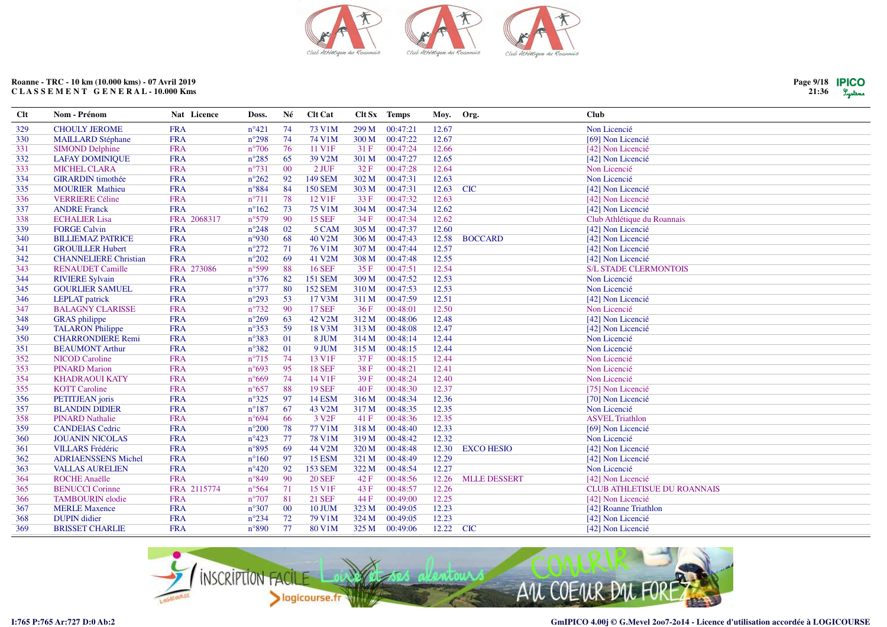

| $Cl$ t | Nom - Prénom                 | Nat Licence | Doss.           | Né             | <b>Clt Cat</b>    |       | Clt Sx Temps   | Moy.      | Org.                | <b>Club</b>                        |
|--------|------------------------------|-------------|-----------------|----------------|-------------------|-------|----------------|-----------|---------------------|------------------------------------|
| 329    | <b>CHOULY JEROME</b>         | <b>FRA</b>  | $n^{\circ}421$  | 74             | 73 V1M            | 299 M | 00:47:21       | 12.67     |                     | Non Licencié                       |
| 330    | <b>MAILLARD</b> Stéphane     | <b>FRA</b>  | $n^{\circ}298$  | 74             | 74 V1M            | 300 M | 00:47:22       | 12.67     |                     | [69] Non Licencié                  |
| 331    | <b>SIMOND Delphine</b>       | <b>FRA</b>  | $n^{\circ}706$  | 76             | 11 V1F            | 31F   | 00:47:24       | 12.66     |                     | [42] Non Licencié                  |
| 332    | <b>LAFAY DOMINIQUE</b>       | <b>FRA</b>  | $n^{\circ}285$  | 65             | 39 V2M            | 301 M | 00:47:27       | 12.65     |                     | [42] Non Licencié                  |
| 333    | <b>MICHEL CLARA</b>          | <b>FRA</b>  | $n^{\circ}731$  | 00             | $2$ JUF           | 32F   | 00:47:28       | 12.64     |                     | Non Licencié                       |
| 334    | <b>GIRARDIN</b> timothée     | <b>FRA</b>  | $n^{\circ}262$  | 92             | <b>149 SEM</b>    | 302 M | 00:47:31       | 12.63     |                     | Non Licencié                       |
| 335    | <b>MOURIER Mathieu</b>       | <b>FRA</b>  | $n^{\circ}884$  | 84             | <b>150 SEM</b>    | 303 M | 00:47:31       | 12.63     | <b>CIC</b>          | [42] Non Licencié                  |
| 336    | <b>VERRIERE Céline</b>       | <b>FRA</b>  | $n^{\circ}711$  | 78             | 12 V1F            | 33 F  | 00:47:32       | 12.63     |                     | [42] Non Licencié                  |
| 337    | <b>ANDRE Franck</b>          | <b>FRA</b>  | $n^{\circ}162$  | 73             | 75 V1M            | 304 M | 00:47:34       | 12.62     |                     | [42] Non Licencié                  |
| 338    | <b>ECHALIER Lisa</b>         | FRA 2068317 | $n^{\circ}579$  | 90             | <b>15 SEF</b>     | 34F   | 00:47:34       | 12.62     |                     | Club Athlétique du Roannais        |
| 339    | <b>FORGE Calvin</b>          | <b>FRA</b>  | $n^{\circ}248$  | 02             | 5 CAM             | 305 M | 00:47:37       | 12.60     |                     | [42] Non Licencié                  |
| 340    | <b>BILLIEMAZ PATRICE</b>     | <b>FRA</b>  | n°930           | 68             | 40 V2M            | 306 M | 00:47:43       | 12.58     | <b>BOCCARD</b>      | [42] Non Licencié                  |
| 341    | <b>GROUILLER Hubert</b>      | <b>FRA</b>  | $n^{\circ}272$  | 71             | 76 V1M            | 307 M | 00:47:44       | 12.57     |                     | [42] Non Licencié                  |
| 342    | <b>CHANNELIERE Christian</b> | <b>FRA</b>  | $n^{\circ}202$  | 69             | 41 V2M            | 308 M | 00:47:48       | 12.55     |                     | [42] Non Licencié                  |
| 343    | <b>RENAUDET Camille</b>      | FRA 273086  | $n^{\circ}599$  | 88             | <b>16 SEF</b>     | 35 F  | 00:47:51       | 12.54     |                     | <b>S/L STADE CLERMONTOIS</b>       |
| 344    | <b>RIVIERE Sylvain</b>       | <b>FRA</b>  | $n^{\circ}376$  | 82             | <b>151 SEM</b>    | 309 M | 00:47:52       | 12.53     |                     | Non Licencié                       |
| 345    | <b>GOURLIER SAMUEL</b>       | <b>FRA</b>  | $n^{\circ}377$  | -80            | <b>152 SEM</b>    | 310 M | 00:47:53       | 12.53     |                     | Non Licencié                       |
| 346    | <b>LEPLAT</b> patrick        | <b>FRA</b>  | $n^{\circ}293$  | 53             | 17 V3M            | 311 M | 00:47:59       | 12.51     |                     | [42] Non Licencié                  |
| 347    | <b>BALAGNY CLARISSE</b>      | <b>FRA</b>  | $n^{\circ}732$  | -90            | <b>17 SEF</b>     | 36F   | 00:48:01       | 12.50     |                     | Non Licencié                       |
| 348    | <b>GRAS</b> philippe         | <b>FRA</b>  | $n^{\circ}269$  | 63             | 42 V2M            | 312 M | 00:48:06       | 12.48     |                     | [42] Non Licencié                  |
| 349    | <b>TALARON</b> Philippe      | <b>FRA</b>  | $n^{\circ}353$  | 59             | 18 V3M            | 313 M | 00:48:08       | 12.47     |                     | [42] Non Licencié                  |
| 350    | <b>CHARRONDIERE Remi</b>     | <b>FRA</b>  | $n^{\circ}383$  | 01             | 8 JUM             | 314 M | 00:48:14       | 12.44     |                     | Non Licencié                       |
| 351    | <b>BEAUMONT Arthur</b>       | <b>FRA</b>  | $n^{\circ}382$  | 01             | 9 JUM             | 315 M | 00:48:15       | 12.44     |                     | Non Licencié                       |
| 352    | <b>NICOD</b> Caroline        | <b>FRA</b>  | $n^{\circ}715$  | 74             | 13 V1F            | 37F   | 00:48:15       | 12.44     |                     | Non Licencié                       |
| 353    | <b>PINARD Marion</b>         | <b>FRA</b>  | $n^{\circ}693$  | 95             | <b>18 SEF</b>     | 38 F  | 00:48:21       | 12.41     |                     | Non Licencié                       |
| 354    | <b>KHADRAOUI KATY</b>        | <b>FRA</b>  | $n^{\circ}669$  | 74             | 14 V1F            | 39 F  | 00:48:24       | 12.40     |                     | Non Licencié                       |
| 355    | <b>KOTT Caroline</b>         | <b>FRA</b>  | $n^{\circ}657$  | 88             | <b>19 SEF</b>     | 40F   | 00:48:30       | 12.37     |                     | [75] Non Licencié                  |
| 356    | PETITJEAN joris              | <b>FRA</b>  | $n^{\circ}325$  | 97             | <b>14 ESM</b>     | 316 M | 00:48:34       | 12.36     |                     | [70] Non Licencié                  |
| 357    | <b>BLANDIN DIDIER</b>        | <b>FRA</b>  | $n^{\circ}187$  | 67             | 43 V2M            | 317 M | 00:48:35       | 12.35     |                     | Non Licencié                       |
| 358    | <b>PINARD Nathalie</b>       | <b>FRA</b>  | $n^{\circ}694$  | 66             | 3 V <sub>2F</sub> | 41 F  | 00:48:36       | 12.35     |                     | <b>ASVEL Triathlon</b>             |
| 359    | <b>CANDEIAS Cedric</b>       | <b>FRA</b>  | $n^{\circ}200$  | 78             | 77 V1M            | 318 M | 00:48:40       | 12.33     |                     | [69] Non Licencié                  |
| 360    | <b>JOUANIN NICOLAS</b>       | <b>FRA</b>  | $n^{\circ}423$  | 77             | <b>78 V1M</b>     | 319 M | 00:48:42       | 12.32     |                     | Non Licencié                       |
| 361    | <b>VILLARS Frédéric</b>      | <b>FRA</b>  | $n^{\circ}895$  | 69             | 44 V2M            | 320 M | 00:48:48       | 12.30     | <b>EXCO HESIO</b>   | [42] Non Licencié                  |
| 362    | <b>ADRIAENSSENS Michel</b>   | <b>FRA</b>  | $n^{\circ}160$  | 97             | <b>15 ESM</b>     | 321 M | 00:48:49       | 12.29     |                     | [42] Non Licencié                  |
| 363    | <b>VALLAS AURELIEN</b>       | <b>FRA</b>  | $n^{\circ}420$  | 92             | <b>153 SEM</b>    | 322 M | 00:48:54       | 12.27     |                     | Non Licencié                       |
| 364    | <b>ROCHE</b> Anaëlle         | <b>FRA</b>  | $n^{\circ}849$  | 90             | <b>20 SEF</b>     | 42 F  | 00:48:56       | 12.26     | <b>MLLE DESSERT</b> | [42] Non Licencié                  |
| 365    | <b>BENUCCI</b> Corinne       | FRA 2115774 | $n^{\circ}$ 564 | 71             | 15 V1F            | 43 F  | 00:48:57       | 12.26     |                     | <b>CLUB ATHLETISUE DU ROANNAIS</b> |
| 366    | <b>TAMBOURIN</b> elodie      | <b>FRA</b>  | $n^{\circ}707$  | 81             | <b>21 SEF</b>     | 44 F  | 00:49:00       | 12.25     |                     | [42] Non Licencié                  |
| 367    | <b>MERLE Maxence</b>         | <b>FRA</b>  | $n^{\circ}307$  | 0 <sup>0</sup> | <b>10 JUM</b>     | 323 M | 00:49:05       | 12.23     |                     | [42] Roanne Triathlon              |
| 368    | <b>DUPIN</b> didier          | <b>FRA</b>  | $n^{\circ}234$  | 72             | 79 V1M            | 324 M | 00:49:05       | 12.23     |                     | [42] Non Licencié                  |
| 369    | <b>BRISSET CHARLIE</b>       | <b>FRA</b>  | $n^{\circ}890$  | 77             | 80 V1M            |       | 325 M 00:49:06 | 12.22 CIC |                     | [42] Non Licencié                  |



**Page 9/1821:36**

Lystems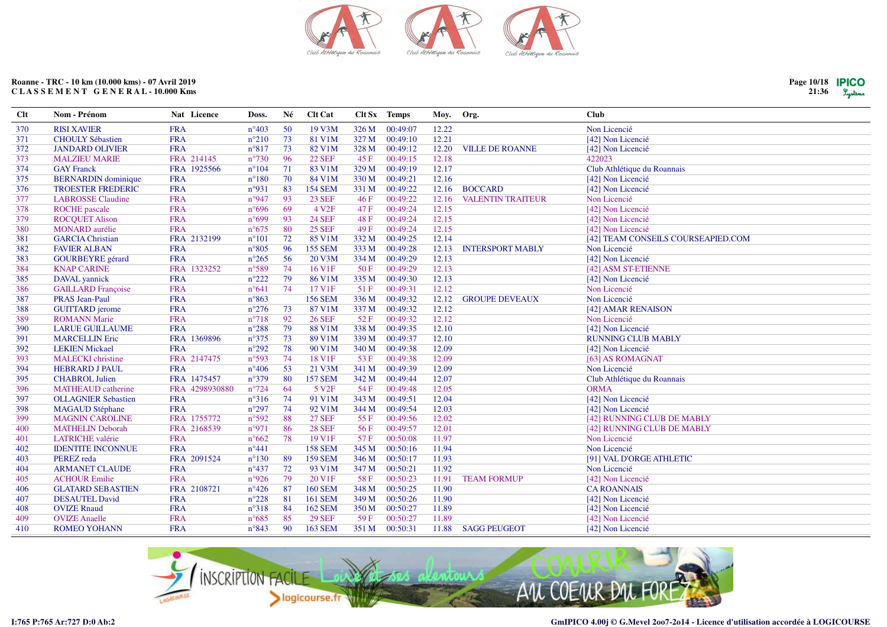

Org.

**Club** 

# Roanne - TRC - 10 km (10.000 kms) - 07 Avril 2019 CLASSEMENT GENERAL-10.000 Kms

Nat Licence

Né

Doss.

Clt Cat

Clt Sx Temps

Nom - Prénom

**Clt** 

| <b>RISI XAVIER</b>         | <b>FRA</b>     | $n^{\circ}403$  | 50 | 19 V3M            | 326 M | 00:49:07 | 12.22 |                          | Non Licencié                       |
|----------------------------|----------------|-----------------|----|-------------------|-------|----------|-------|--------------------------|------------------------------------|
| <b>CHOULY Sébastien</b>    | <b>FRA</b>     | $n^{\circ}210$  | 73 | 81 V1M            | 327 M | 00:49:10 | 12.21 |                          | [42] Non Licencié                  |
| <b>JANDARD OLIVIER</b>     | <b>FRA</b>     | $n^{\circ}817$  | 73 | 82 V1M            | 328 M | 00:49:12 | 12.20 | <b>VILLE DE ROANNE</b>   | [42] Non Licencié                  |
| <b>MALZIEU MARIE</b>       | FRA 214145     | $n^{\circ}730$  | 96 | <b>22 SEF</b>     | 45 F  | 00:49:15 | 12.18 |                          | 422023                             |
| <b>GAY Franck</b>          | FRA 1925566    | $n^{\circ}104$  | 71 | 83 V1M            | 329 M | 00:49:19 | 12.17 |                          | Club Athlétique du Roannais        |
| <b>BERNARDIN</b> dominique | <b>FRA</b>     | $n^{\circ}180$  | 70 | 84 V1M            | 330 M | 00:49:21 | 12.16 |                          | [42] Non Licencié                  |
| <b>TROESTER FREDERIC</b>   | <b>FRA</b>     | n°931           | 83 | <b>154 SEM</b>    | 331 M | 00:49:22 | 12.16 | <b>BOCCARD</b>           | [42] Non Licencié                  |
| <b>LABROSSE</b> Claudine   | <b>FRA</b>     | n°947           | 93 | <b>23 SEF</b>     | 46 F  | 00:49:22 | 12.16 | <b>VALENTIN TRAITEUR</b> | Non Licencié                       |
| <b>ROCHE</b> pascale       | <b>FRA</b>     | $n^{\circ}696$  | 69 | 4 V <sub>2F</sub> | 47F   | 00:49:24 | 12.15 |                          | [42] Non Licencié                  |
| <b>ROCQUET Alison</b>      | <b>FRA</b>     | n°699           | 93 | <b>24 SEF</b>     | 48 F  | 00:49:24 | 12.15 |                          | [42] Non Licencié                  |
| <b>MONARD</b> aurélie      | <b>FRA</b>     | $n^{\circ}675$  | 80 | <b>25 SEF</b>     | 49F   | 00:49:24 | 12.15 |                          | [42] Non Licencié                  |
| <b>GARCIA</b> Christian    | FRA 2132199    | $n^{\circ}101$  | 72 | 85 V1M            | 332 M | 00:49:25 | 12.14 |                          | [42] TEAM CONSEILS COURSEAPIED.COM |
| <b>FAVIER ALBAN</b>        | <b>FRA</b>     | $n^{\circ}805$  | 96 | <b>155 SEM</b>    | 333 M | 00:49:28 | 12.13 | <b>INTERSPORT MABLY</b>  | Non Licencié                       |
| <b>GOURBEYRE</b> gérard    | <b>FRA</b>     | $n^{\circ}265$  | 56 | 20 V3M            | 334 M | 00:49:29 | 12.13 |                          | [42] Non Licencié                  |
| <b>KNAP CARINE</b>         | FRA 1323252    | n°589           | 74 | 16 V1F            | 50F   | 00:49:29 | 12.13 |                          | [42] ASM ST-ETIENNE                |
| DAVAL yannick              | <b>FRA</b>     | $n^{\circ}222$  | 79 | 86 V1M            | 335 M | 00:49:30 | 12.13 |                          | [42] Non Licencié                  |
| <b>GAILLARD</b> Françoise  | <b>FRA</b>     | $n^{\circ}641$  | 74 | 17 V1F            | 51 F  | 00:49:31 | 12.12 |                          | Non Licencié                       |
| <b>PRAS Jean-Paul</b>      | <b>FRA</b>     | $n^{\circ}863$  |    | <b>156 SEM</b>    | 336 M | 00:49:32 | 12.12 | <b>GROUPE DEVEAUX</b>    | Non Licencié                       |
| <b>GUITTARD</b> jerome     | <b>FRA</b>     | $n^{\circ}276$  | 73 | 87 V1M            | 337 M | 00:49:32 | 12.12 |                          | [42] AMAR RENAISON                 |
| <b>ROMANN Marie</b>        | <b>FRA</b>     | $n^{\circ}718$  | 92 | <b>26 SEF</b>     | 52 F  | 00:49:32 | 12.12 |                          | Non Licencié                       |
| <b>LARUE GUILLAUME</b>     | <b>FRA</b>     | $n^{\circ}288$  | 79 | 88 V1M            | 338 M | 00:49:35 | 12.10 |                          | [42] Non Licencié                  |
| <b>MARCELLIN Eric</b>      | FRA 1369896    | $n^{\circ}375$  | 73 | 89 V1M            | 339 M | 00:49:37 | 12.10 |                          | <b>RUNNING CLUB MABLY</b>          |
| <b>LEKIEN Mickael</b>      | <b>FRA</b>     | $n^{\circ}292$  | 78 | 90 V1M            | 340 M | 00:49:38 | 12.09 |                          | [42] Non Licencié                  |
| <b>MALECKI</b> christine   | FRA 2147475    | n°593           | 74 | 18 V1F            | 53 F  | 00:49:38 | 12.09 |                          | [63] AS ROMAGNAT                   |
| <b>HEBRARD J PAUL</b>      | <b>FRA</b>     | $n^{\circ}406$  | 53 | 21 V3M            | 341 M | 00:49:39 | 12.09 |                          | Non Licencié                       |
| <b>CHABROL Julien</b>      | FRA 1475457    | $n^{\circ}379$  | 80 | <b>157 SEM</b>    | 342 M | 00:49:44 | 12.07 |                          | Club Athlétique du Roannais        |
| <b>MATHEAUD</b> catherine  | FRA 4298930880 | $n^{\circ}$ 724 | 64 | 5 V <sub>2F</sub> | 54 F  | 00:49:48 | 12.05 |                          | <b>ORMA</b>                        |
| <b>OLLAGNIER Sebastien</b> | <b>FRA</b>     | $n^{\circ}316$  | 74 | 91 V1M            | 343 M | 00:49:51 | 12.04 |                          | [42] Non Licencié                  |
| <b>MAGAUD Stéphane</b>     | <b>FRA</b>     | $n^{\circ}297$  | 74 | 92 V1M            | 344 M | 00:49:54 | 12.03 |                          | [42] Non Licencié                  |
| <b>MAGNIN CAROLINE</b>     | FRA 1755772    | n°592           | 88 | <b>27 SEF</b>     | 55 F  | 00:49:56 | 12.02 |                          | [42] RUNNING CLUB DE MABLY         |
| <b>MATHELIN Deborah</b>    | FRA 2168539    | n°971           | 86 | <b>28 SEF</b>     | 56F   | 00:49:57 | 12.01 |                          | [42] RUNNING CLUB DE MABLY         |
| <b>LATRICHE</b> valérie    | <b>FRA</b>     | $n^{\circ}662$  | 78 | 19 V1F            | 57 F  | 00:50:08 | 11.97 |                          | Non Licencié                       |
| <b>IDENTITE INCONNUE</b>   | <b>FRA</b>     | $n^{\circ}441$  |    | <b>158 SEM</b>    | 345 M | 00:50:16 | 11.94 |                          | Non Licencié                       |
| PEREZ reda                 | FRA 2091524    | $n^{\circ}130$  | 89 | <b>159 SEM</b>    | 346 M | 00:50:17 | 11.93 |                          | [91] VAL D'ORGE ATHLETIC           |
| <b>ARMANET CLAUDE</b>      | <b>FRA</b>     | $n^{\circ}437$  | 72 | 93 V1M            | 347 M | 00:50:21 | 11.92 |                          | Non Licencié                       |
| <b>ACHOUR Emilie</b>       | <b>FRA</b>     | n°926           | 79 | 20 V1F            | 58 F  | 00:50:23 | 11.91 | <b>TEAM FORMUP</b>       | [42] Non Licencié                  |
| <b>GLATARD SEBASTIEN</b>   | FRA 2108721    | $n^{\circ}426$  | 87 | <b>160 SEM</b>    | 348 M | 00:50:25 | 11.90 |                          | <b>CA ROANNAIS</b>                 |
| <b>DESAUTEL David</b>      | <b>FRA</b>     | $n^{\circ}228$  | 81 | <b>161 SEM</b>    | 349 M | 00:50:26 | 11.90 |                          | [42] Non Licencié                  |
| <b>OVIZE Rnaud</b>         | <b>FRA</b>     | $n^{\circ}318$  | 84 | <b>162 SEM</b>    | 350 M | 00:50:27 | 11.89 |                          | [42] Non Licencié                  |
| <b>OVIZE</b> Anaelle       | <b>FRA</b>     | $n^{\circ}685$  | 85 | <b>29 SEF</b>     | 59F   | 00:50:27 | 11.89 |                          | [42] Non Licencié                  |
| <b>ROMEO YOHANN</b>        | <b>FRA</b>     | $n^{\circ}843$  | 90 | <b>163 SEM</b>    | 351 M | 00:50:31 | 11.88 | <b>SAGG PEUGEOT</b>      | [42] Non Licencié                  |
|                            |                |                 |    |                   |       |          |       |                          |                                    |



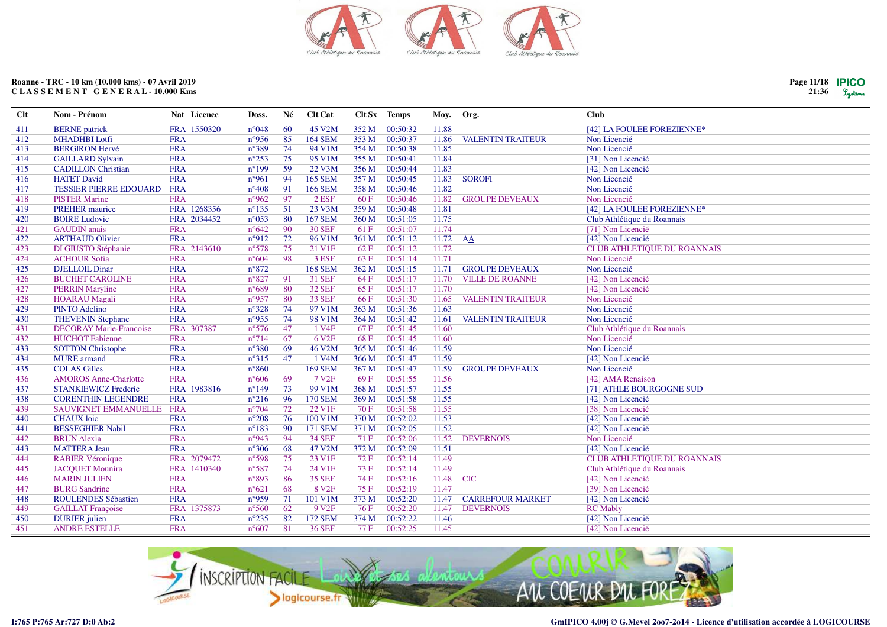

| Page 11/18 <b>PICO</b> |         |
|------------------------|---------|
| 21:36                  | Lystems |

| <b>Clt</b> | Nom - Prénom                   | Nat Licence | Doss.          | Né | <b>Clt Cat</b>     |       | Clt Sx Temps   | Moy.     | Org.                     | <b>Club</b>                            |
|------------|--------------------------------|-------------|----------------|----|--------------------|-------|----------------|----------|--------------------------|----------------------------------------|
| 411        | <b>BERNE</b> patrick           | FRA 1550320 | $n^{\circ}048$ | 60 | 45 V2M             | 352 M | 00:50:32       | 11.88    |                          | [42] LA FOULEE FOREZIENNE <sup>*</sup> |
| 412        | <b>MHADHBI</b> Lotfi           | <b>FRA</b>  | $n^{\circ}956$ | 85 | <b>164 SEM</b>     | 353 M | 00:50:37       | 11.86    | <b>VALENTIN TRAITEUR</b> | Non Licencié                           |
| 413        | <b>BERGIRON Hervé</b>          | <b>FRA</b>  | $n^{\circ}389$ | 74 | 94 V1M             | 354 M | 00:50:38       | 11.85    |                          | Non Licencié                           |
| 414        | <b>GAILLARD Sylvain</b>        | <b>FRA</b>  | $n^{\circ}253$ | 75 | 95 V1M             | 355 M | 00:50:41       | 11.84    |                          | [31] Non Licencié                      |
| 415        | <b>CADILLON</b> Christian      | <b>FRA</b>  | $n^{\circ}199$ | 59 | 22 V3M             | 356 M | 00:50:44       | 11.83    |                          | [42] Non Licencié                      |
| 416        | <b>HATET David</b>             | <b>FRA</b>  | n°961          | 94 | <b>165 SEM</b>     | 357 M | 00:50:45       | 11.83    | <b>SOROFI</b>            | Non Licencié                           |
| 417        | <b>TESSIER PIERRE EDOUARD</b>  | <b>FRA</b>  | $n^{\circ}408$ | 91 | <b>166 SEM</b>     | 358 M | 00:50:46       | 11.82    |                          | Non Licencié                           |
| 418        | <b>PISTER Marine</b>           | <b>FRA</b>  | $n^{\circ}962$ | 97 | $2$ ESF            | 60 F  | 00:50:46       | 11.82    | <b>GROUPE DEVEAUX</b>    | Non Licencié                           |
| 419        | <b>PREHER</b> maurice          | FRA 1268356 | $n^{\circ}135$ | 51 | 23 V3M             | 359 M | 00:50:48       | 11.81    |                          | [42] LA FOULEE FOREZIENNE*             |
| 420        | <b>BOIRE</b> Ludovic           | FRA 2034452 | $n^{\circ}053$ | 80 | <b>167 SEM</b>     | 360 M | 00:51:05       | 11.75    |                          | Club Athlétique du Roannais            |
| 421        | <b>GAUDIN</b> anais            | <b>FRA</b>  | $n^{\circ}642$ | 90 | <b>30 SEF</b>      | 61 F  | 00:51:07       | 11.74    |                          | [71] Non Licencié                      |
| 422        | <b>ARTHAUD Olivier</b>         | <b>FRA</b>  | $n^{\circ}912$ | 72 | 96 V1M             | 361 M | 00:51:12       | 11.72 AA |                          | [42] Non Licencié                      |
| 423        | DI GIUSTO Stéphanie            | FRA 2143610 | $n^{\circ}578$ | 75 | 21 V1F             | 62 F  | 00:51:12       | 11.72    |                          | <b>CLUB ATHLETIQUE DU ROANNAIS</b>     |
| 424        | <b>ACHOUR Sofia</b>            | <b>FRA</b>  | $n^{\circ}604$ | 98 | 3 ESF              | 63 F  | 00:51:14       | 11.71    |                          | Non Licencié                           |
| 425        | <b>DJELLOIL Dinar</b>          | <b>FRA</b>  | $n^{\circ}872$ |    | <b>168 SEM</b>     | 362 M | 00:51:15       | 11.71    | <b>GROUPE DEVEAUX</b>    | Non Licencié                           |
| 426        | <b>BUCHET CAROLINE</b>         | <b>FRA</b>  | $n^{\circ}827$ | 91 | <b>31 SEF</b>      | 64 F  | 00:51:17       | 11.70    | <b>VILLE DE ROANNE</b>   | [42] Non Licencié                      |
| 427        | <b>PERRIN Maryline</b>         | <b>FRA</b>  | $n^{\circ}689$ | 80 | <b>32 SEF</b>      | 65 F  | 00:51:17       | 11.70    |                          | [42] Non Licencié                      |
| 428        | <b>HOARAU</b> Magali           | <b>FRA</b>  | $n^{\circ}957$ | 80 | <b>33 SEF</b>      | 66 F  | 00:51:30       | 11.65    | <b>VALENTIN TRAITEUR</b> | Non Licencié                           |
| 429        | <b>PINTO Adelino</b>           | <b>FRA</b>  | $n^{\circ}328$ | 74 | 97 V1M             | 363 M | 00:51:36       | 11.63    |                          | Non Licencié                           |
| 430        | <b>THEVENIN Stephane</b>       | <b>FRA</b>  | n°955          | 74 | 98 V1M             | 364 M | 00:51:42       | 11.61    | <b>VALENTIN TRAITEUR</b> | Non Licencié                           |
| 431        | <b>DECORAY Marie-Francoise</b> | FRA 307387  | $n^{\circ}576$ | 47 | 1 V <sub>4F</sub>  | 67 F  | 00:51:45       | 11.60    |                          | Club Athlétique du Roannais            |
| 432        | <b>HUCHOT</b> Fabienne         | <b>FRA</b>  | $n^{\circ}714$ | 67 | 6 V <sub>2F</sub>  | 68 F  | 00:51:45       | 11.60    |                          | Non Licencié                           |
| 433        | <b>SOTTON Christophe</b>       | <b>FRA</b>  | $n^{\circ}380$ | 69 | 46 V2M             |       | 365 M 00:51:46 | 11.59    |                          | Non Licencié                           |
| 434        | <b>MURE</b> armand             | <b>FRA</b>  | $n^{\circ}315$ | 47 | 1 V <sub>4</sub> M | 366 M | 00:51:47       | 11.59    |                          | [42] Non Licencié                      |
| 435        | <b>COLAS Gilles</b>            | <b>FRA</b>  | $n^{\circ}860$ |    | <b>169 SEM</b>     | 367 M | 00:51:47       | 11.59    | <b>GROUPE DEVEAUX</b>    | Non Licencié                           |
| 436        | <b>AMOROS Anne-Charlotte</b>   | <b>FRA</b>  | $n^{\circ}606$ | 69 | 7 V <sub>2F</sub>  | 69 F  | 00:51:55       | 11.56    |                          | [42] AMA Renaison                      |
| 437        | <b>STANKIEWICZ Frederic</b>    | FRA 1983816 | $n^{\circ}149$ | 73 | 99 V1M             |       | 368 M 00:51:57 | 11.55    |                          | [71] ATHLE BOURGOGNE SUD               |
| 438        | <b>CORENTHIN LEGENDRE</b>      | <b>FRA</b>  | $n^{\circ}216$ | 96 | <b>170 SEM</b>     | 369 M | 00:51:58       | 11.55    |                          | [42] Non Licencié                      |
| 439        | <b>SAUVIGNET EMMANUELLE</b>    | <b>FRA</b>  | $n^{\circ}704$ | 72 | 22 V1F             | 70 F  | 00:51:58       | 11.55    |                          | [38] Non Licencié                      |
| 440        | <b>CHAUX</b> loic              | <b>FRA</b>  | $n^{\circ}208$ | 76 | 100 V1M            | 370 M | 00:52:02       | 11.53    |                          | [42] Non Licencié                      |
| 441        | <b>BESSEGHIER Nabil</b>        | <b>FRA</b>  | $n^{\circ}183$ | 90 | 171 SEM            | 371 M | 00:52:05       | 11.52    |                          | [42] Non Licencié                      |
| 442        | <b>BRUN</b> Alexia             | <b>FRA</b>  | n°943          | 94 | <b>34 SEF</b>      | 71 F  | 00:52:06       | 11.52    | <b>DEVERNOIS</b>         | Non Licencié                           |
| 443        | <b>MATTERA Jean</b>            | <b>FRA</b>  | $n^{\circ}306$ | 68 | 47 V2M             | 372 M | 00:52:09       | 11.51    |                          | [42] Non Licencié                      |
| 444        | <b>RABIER Véronique</b>        | FRA 2079472 | $n^{\circ}598$ | 75 | 23 V1F             | 72 F  | 00:52:14       | 11.49    |                          | CLUB ATHLETIQUE DU ROANNAIS            |
| 445        | <b>JACQUET Mounira</b>         | FRA 1410340 | $n^{\circ}587$ | 74 | 24 V1F             | 73 F  | 00:52:14       | 11.49    |                          | Club Athlétique du Roannais            |
| 446        | <b>MARIN JULIEN</b>            | <b>FRA</b>  | n°893          | 86 | <b>35 SEF</b>      | 74 F  | 00:52:16       | 11.48    | <b>CIC</b>               | [42] Non Licencié                      |
| 447        | <b>BURG</b> Sandrine           | <b>FRA</b>  | $n^{\circ}621$ | 68 | 8 V <sub>2F</sub>  | 75 F  | 00:52:19       | 11.47    |                          | [39] Non Licencié                      |
| 448        | <b>ROULENDES Sébastien</b>     | <b>FRA</b>  | n°959          | 71 | 101 V1M            | 373 M | 00:52:20       | 11.47    | <b>CARREFOUR MARKET</b>  | [42] Non Licencié                      |
| 449        | <b>GAILLAT</b> Françoise       | FRA 1375873 | $n^{\circ}560$ | 62 | 9 V <sub>2F</sub>  | 76 F  | 00:52:20       | 11.47    | <b>DEVERNOIS</b>         | <b>RC</b> Mably                        |
| 450        | <b>DURIER</b> julien           | <b>FRA</b>  | $n^{\circ}235$ | 82 | <b>172 SEM</b>     | 374 M | 00:52:22       | 11.46    |                          | [42] Non Licencié                      |
| 451        | <b>ANDRE ESTELLE</b>           | <b>FRA</b>  | $n^{\circ}607$ | 81 | <b>36 SEF</b>      | 77 F  | 00:52:25       | 11.45    |                          | [42] Non Licencié                      |

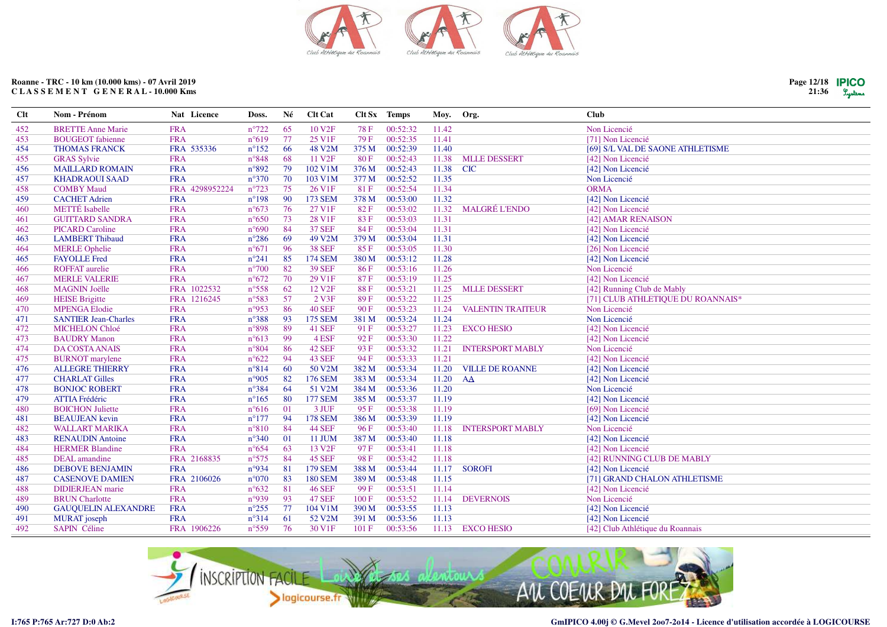

11.42

Org.

**Club** 

Non Licencié

### Roanne - TRC - 10 km (10.000 kms) - 07 Avril 2019 CLASSEMENT GENERAL-10.000 Kms

Nat Licence

**FRA** 

Né

Doss.

 $n^{\circ}722$ 

Clt Cat

**10 V2F** 

Clt Sx Temps

**78 F** 

00:52:32

Nom - Prénom

**BRETTE Anne Marie** 

**Clt** 

| <b>BOUGEOT</b> fabienne     | <b>FRA</b>     | $n^{\circ}619$ | 77 | 25 V1F             | 79 F  | 00:52:35 | 11.41 |                          | [71] Non Licencié                 |
|-----------------------------|----------------|----------------|----|--------------------|-------|----------|-------|--------------------------|-----------------------------------|
| <b>THOMAS FRANCK</b>        | FRA 535336     | $n^{\circ}152$ | 66 | 48 V2M             | 375 M | 00:52:39 | 11.40 |                          | [69] S/L VAL DE SAONE ATHLETISME  |
| <b>GRAS Sylvie</b>          | <b>FRA</b>     | $n^{\circ}848$ | 68 | 11 V <sub>2F</sub> | 80F   | 00:52:43 | 11.38 | <b>MLLE DESSERT</b>      | [42] Non Licencié                 |
| <b>MAILLARD ROMAIN</b>      | <b>FRA</b>     | $n^{\circ}892$ | 79 | 102 V1M            | 376 M | 00:52:43 | 11.38 | <b>CIC</b>               | [42] Non Licencié                 |
| <b>KHADRAOUI SAAD</b>       | <b>FRA</b>     | $n^{\circ}370$ | 70 | 103 V1M            | 377 M | 00:52:52 | 11.35 |                          | Non Licencié                      |
| <b>COMBY Maud</b>           | FRA 4298952224 | $n^{\circ}723$ | 75 | 26 V1F             | 81F   | 00:52:54 | 11.34 |                          | <b>ORMA</b>                       |
| <b>CACHET</b> Adrien        | <b>FRA</b>     | $n^{\circ}198$ | 90 | 173 SEM            | 378 M | 00:53:00 | 11.32 |                          | [42] Non Licencié                 |
| <b>METTÉ</b> Isabelle       | <b>FRA</b>     | $n^{\circ}673$ | 76 | 27 V1F             | 82F   | 00:53:02 | 11.32 | <b>MALGRÉ L'ENDO</b>     | [42] Non Licencié                 |
| <b>GUITTARD SANDRA</b>      | <b>FRA</b>     | $n^{\circ}650$ | 73 | 28 V1F             | 83F   | 00:53:03 | 11.31 |                          | [42] AMAR RENAISON                |
| <b>PICARD Caroline</b>      | <b>FRA</b>     | $n^{\circ}690$ | 84 | <b>37 SEF</b>      | 84 F  | 00:53:04 | 11.31 |                          | [42] Non Licencié                 |
| <b>LAMBERT Thibaud</b>      | <b>FRA</b>     | $n^{\circ}286$ | 69 | 49 V2M             | 379 M | 00:53:04 | 11.31 |                          | [42] Non Licencié                 |
| <b>MERLE Ophelie</b>        | <b>FRA</b>     | $n^{\circ}671$ | 96 | <b>38 SEF</b>      | 85 F  | 00:53:05 | 11.30 |                          | [26] Non Licencié                 |
| <b>FAYOLLE</b> Fred         | <b>FRA</b>     | $n^{\circ}241$ | 85 | <b>174 SEM</b>     | 380 M | 00:53:12 | 11.28 |                          | [42] Non Licencié                 |
| <b>ROFFAT</b> aurelie       | <b>FRA</b>     | $n^{\circ}700$ | 82 | <b>39 SEF</b>      | 86F   | 00:53:16 | 11.26 |                          | Non Licencié                      |
| <b>MERLE VALERIE</b>        | <b>FRA</b>     | $n^{\circ}672$ | 70 | 29 V1F             | 87F   | 00:53:19 | 11.25 |                          | [42] Non Licencié                 |
| <b>MAGNIN Joëlle</b>        | FRA 1022532    | $n^{\circ}558$ | 62 | 12 V <sub>2F</sub> | 88F   | 00:53:21 | 11.25 | <b>MLLE DESSERT</b>      | [42] Running Club de Mably        |
| <b>HEISE Brigitte</b>       | FRA 1216245    | $n^{\circ}583$ | 57 | 2 V3F              | 89F   | 00:53:22 | 11.25 |                          | [71] CLUB ATHLETIQUE DU ROANNAIS* |
| <b>MPENGA Elodie</b>        | <b>FRA</b>     | n°953          | 86 | <b>40 SEF</b>      | 90F   | 00:53:23 | 11.24 | <b>VALENTIN TRAITEUR</b> | Non Licencié                      |
| <b>SANTIER Jean-Charles</b> | <b>FRA</b>     | $n^{\circ}388$ | 93 | <b>175 SEM</b>     | 381 M | 00:53:24 | 11.24 |                          | Non Licencié                      |
| <b>MICHELON Chloé</b>       | <b>FRA</b>     | n°898          | 89 | <b>41 SEF</b>      | 91 F  | 00:53:27 | 11.23 | <b>EXCO HESIO</b>        | [42] Non Licencié                 |
| <b>BAUDRY Manon</b>         | <b>FRA</b>     | $n^{\circ}613$ | 99 | 4 ESF              | 92F   | 00:53:30 | 11.22 |                          | [42] Non Licencié                 |
| <b>DA COSTA ANAIS</b>       | <b>FRA</b>     | $n^{\circ}804$ | 86 | 42 SEF             | 93 F  | 00:53:32 | 11.21 | <b>INTERSPORT MABLY</b>  | Non Licencié                      |
| <b>BURNOT</b> marylene      | <b>FRA</b>     | $n^{\circ}622$ | 94 | 43 SEF             | 94 F  | 00:53:33 | 11.21 |                          | [42] Non Licencié                 |
| <b>ALLEGRE THIERRY</b>      | <b>FRA</b>     | $n^{\circ}814$ | 60 | 50 V2M             | 382 M | 00:53:34 | 11.20 | <b>VILLE DE ROANNE</b>   | [42] Non Licencié                 |
| <b>CHARLAT Gilles</b>       | <b>FRA</b>     | n°905          | 82 | <b>176 SEM</b>     | 383 M | 00:53:34 | 11.20 | AA                       | [42] Non Licencié                 |
| <b>BONJOC ROBERT</b>        | <b>FRA</b>     | $n^{\circ}384$ | 64 | 51 V2M             | 384 M | 00:53:36 | 11.20 |                          | Non Licencié                      |
| <b>ATTIA Frédéric</b>       | <b>FRA</b>     | $n^{\circ}165$ | 80 | <b>177 SEM</b>     | 385 M | 00:53:37 | 11.19 |                          | [42] Non Licencié                 |
| <b>BOICHON Juliette</b>     | <b>FRA</b>     | $n^{\circ}616$ | 01 | 3 JUF              | 95 F  | 00:53:38 | 11.19 |                          | [69] Non Licencié                 |
| <b>BEAUJEAN</b> kevin       | <b>FRA</b>     | $n^{\circ}177$ | 94 | <b>178 SEM</b>     | 386 M | 00:53:39 | 11.19 |                          | [42] Non Licencié                 |
| <b>WALLART MARIKA</b>       | <b>FRA</b>     | $n^{\circ}810$ | 84 | <b>44 SEF</b>      | 96F   | 00:53:40 | 11.18 | <b>INTERSPORT MABLY</b>  | Non Licencié                      |
| <b>RENAUDIN</b> Antoine     | <b>FRA</b>     | $n^{\circ}340$ | 01 | 11 JUM             | 387 M | 00:53:40 | 11.18 |                          | [42] Non Licencié                 |
| <b>HERMER Blandine</b>      | <b>FRA</b>     | $n^{\circ}654$ | 63 | 13 V <sub>2F</sub> | 97 F  | 00:53:41 | 11.18 |                          | [42] Non Licencié                 |
| DEAL amandine               | FRA 2168835    | $n^{\circ}575$ | 84 | <b>45 SEF</b>      | 98F   | 00:53:42 | 11.18 |                          | [42] RUNNING CLUB DE MABLY        |
| <b>DEBOVE BENJAMIN</b>      | <b>FRA</b>     | n°934          | 81 | <b>179 SEM</b>     | 388 M | 00:53:44 | 11.17 | <b>SOROFI</b>            | [42] Non Licencié                 |
| <b>CASENOVE DAMIEN</b>      | FRA 2106026    | $n^{\circ}070$ | 83 | <b>180 SEM</b>     | 389 M | 00:53:48 | 11.15 |                          | [71] GRAND CHALON ATHLETISME      |
| <b>DIDIERJEAN</b> marie     | <b>FRA</b>     | $n^{\circ}632$ | 81 | <b>46 SEF</b>      | 99 F  | 00:53:51 | 11.14 |                          | [42] Non Licencié                 |
| <b>BRUN</b> Charlotte       | <b>FRA</b>     | n°939          | 93 | <b>47 SEF</b>      | 100 F | 00:53:52 | 11.14 | <b>DEVERNOIS</b>         | Non Licencié                      |
| <b>GAUQUELIN ALEXANDRE</b>  | <b>FRA</b>     | $n^{\circ}255$ | 77 | 104 V1M            | 390 M | 00:53:55 | 11.13 |                          | [42] Non Licencié                 |
| <b>MURAT</b> joseph         | <b>FRA</b>     | $n^{\circ}314$ | 61 | 52 V2M             | 391 M | 00:53:56 | 11.13 |                          | [42] Non Licencié                 |
| <b>SAPIN Céline</b>         | FRA 1906226    | $n^{\circ}559$ | 76 | 30 V1F             | 101 F | 00:53:56 | 11.13 | <b>EXCO HESIO</b>        | [42] Club Athlétique du Roannais  |



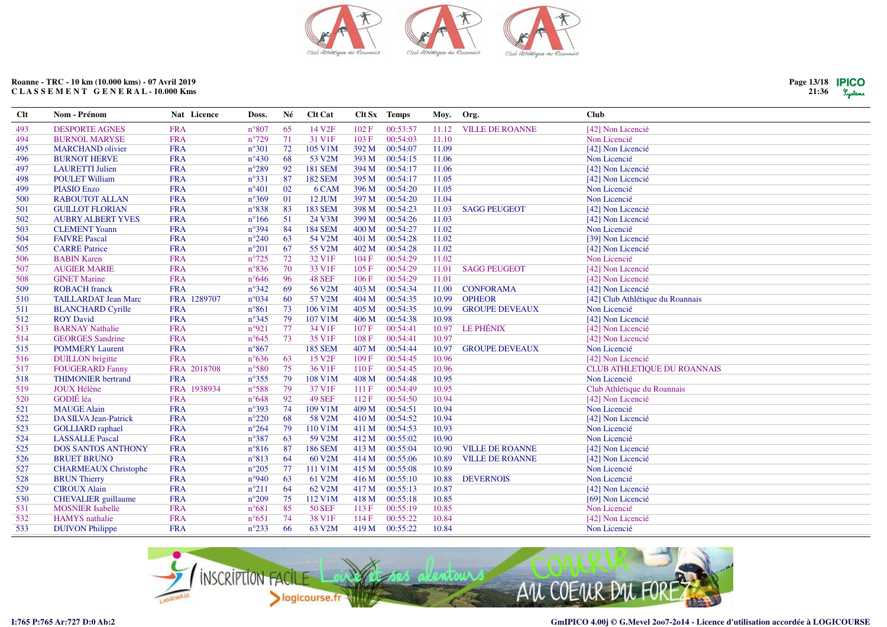

| <b>Clt</b> | Nom - Prénom                 | Nat Licence | Doss.          | Né | <b>Clt Cat</b>     |       | Clt Sx Temps   | Moy.  | Org.                   | <b>Club</b>                        |
|------------|------------------------------|-------------|----------------|----|--------------------|-------|----------------|-------|------------------------|------------------------------------|
| 493        | <b>DESPORTE AGNES</b>        | <b>FRA</b>  | $n^{\circ}807$ | 65 | 14 V <sub>2F</sub> | 102F  | 00:53:57       | 11.12 | <b>VILLE DE ROANNE</b> | [42] Non Licencié                  |
| 494        | <b>BURNOL MARYSE</b>         | <b>FRA</b>  | $n^{\circ}729$ | 71 | 31 V1F             | 103 F | 00:54:03       | 11.10 |                        | Non Licencié                       |
| 495        | <b>MARCHAND</b> olivier      | <b>FRA</b>  | $n^{\circ}301$ | 72 | 105 V1M            | 392 M | 00:54:07       | 11.09 |                        | [42] Non Licencié                  |
| 496        | <b>BURNOT HERVE</b>          | <b>FRA</b>  | $n^{\circ}430$ | 68 | 53 V2M             | 393 M | 00:54:15       | 11.06 |                        | Non Licencié                       |
| 497        | <b>LAURETTI</b> Julien       | <b>FRA</b>  | $n^{\circ}289$ | 92 | <b>181 SEM</b>     | 394 M | 00:54:17       | 11.06 |                        | [42] Non Licencié                  |
| 498        | <b>POULET William</b>        | <b>FRA</b>  | $n^{\circ}331$ | 87 | <b>182 SEM</b>     | 395 M | 00:54:17       | 11.05 |                        | [42] Non Licencié                  |
| 499        | <b>PIASIO Enzo</b>           | <b>FRA</b>  | $n^{\circ}401$ | 02 | 6 CAM              | 396 M | 00:54:20       | 11.05 |                        | Non Licencié                       |
| 500        | <b>RABOUTOT ALLAN</b>        | <b>FRA</b>  | $n^{\circ}369$ | 01 | 12 JUM             | 397 M | 00:54:20       | 11.04 |                        | Non Licencié                       |
| 501        | <b>GUILLOT FLORIAN</b>       | <b>FRA</b>  | $n^{\circ}838$ | 83 | <b>183 SEM</b>     | 398 M | 00:54:23       | 11.03 | <b>SAGG PEUGEOT</b>    | [42] Non Licencié                  |
| 502        | <b>AUBRY ALBERT YVES</b>     | <b>FRA</b>  | $n^{\circ}166$ | 51 | 24 V3M             | 399 M | 00:54:26       | 11.03 |                        | [42] Non Licencié                  |
| 503        | <b>CLEMENT Yoann</b>         | <b>FRA</b>  | $n^{\circ}394$ | 84 | <b>184 SEM</b>     | 400 M | 00:54:27       | 11.02 |                        | Non Licencié                       |
| 504        | <b>FAIVRE Pascal</b>         | <b>FRA</b>  | $n^{\circ}240$ | 63 | 54 V2M             | 401 M | 00:54:28       | 11.02 |                        | [39] Non Licencié                  |
| 505        | <b>CARRE Patrice</b>         | <b>FRA</b>  | $n^{\circ}201$ | 67 | 55 V2M             | 402 M | 00:54:28       | 11.02 |                        | [42] Non Licencié                  |
| 506        | <b>BABIN Karen</b>           | <b>FRA</b>  | $n^{\circ}725$ | 72 | 32 V1F             | 104F  | 00:54:29       | 11.02 |                        | Non Licencié                       |
| 507        | <b>AUGIER MARIE</b>          | <b>FRA</b>  | $n^{\circ}836$ | 70 | 33 V1F             | 105 F | 00:54:29       | 11.01 | <b>SAGG PEUGEOT</b>    | [42] Non Licencié                  |
| 508        | <b>GINET Marine</b>          | <b>FRA</b>  | $n^{\circ}646$ | 96 | <b>48 SEF</b>      | 106 F | 00:54:29       | 11.01 |                        | [42] Non Licencié                  |
| 509        | <b>ROBACH</b> franck         | <b>FRA</b>  | $n^{\circ}342$ | 69 | 56 V2M             | 403 M | 00:54:34       | 11.00 | <b>CONFORAMA</b>       | [42] Non Licencié                  |
| 510        | <b>TAILLARDAT Jean Marc</b>  | FRA 1289707 | $n^{\circ}034$ | 60 | 57 V2M             | 404 M | 00:54:35       | 10.99 | <b>OPHEOR</b>          | [42] Club Athlétique du Roannais   |
| 511        | <b>BLANCHARD Cyrille</b>     | <b>FRA</b>  | $n^{\circ}861$ | 73 | 106 V1M            | 405 M | 00:54:35       | 10.99 | <b>GROUPE DEVEAUX</b>  | Non Licencié                       |
| 512        | <b>ROY David</b>             | <b>FRA</b>  | $n^{\circ}345$ | 79 | 107 V1M            | 406 M | 00:54:38       | 10.98 |                        | [42] Non Licencié                  |
| 513        | <b>BARNAY Nathalie</b>       | <b>FRA</b>  | n°921          | 77 | 34 V1F             | 107F  | 00:54:41       | 10.97 | <b>LE PHÉNIX</b>       | [42] Non Licencié                  |
| 514        | <b>GEORGES</b> Sandrine      | <b>FRA</b>  | $n^{\circ}645$ | 73 | 35 V1F             | 108 F | 00:54:41       | 10.97 |                        | [42] Non Licencié                  |
| 515        | <b>POMMERY Laurent</b>       | <b>FRA</b>  | $n^{\circ}867$ |    | <b>185 SEM</b>     | 407 M | 00:54:44       | 10.97 | <b>GROUPE DEVEAUX</b>  | Non Licencié                       |
| 516        | <b>DUILLON</b> brigitte      | <b>FRA</b>  | $n^{\circ}636$ | 63 | 15 V <sub>2F</sub> | 109F  | 00:54:45       | 10.96 |                        | [42] Non Licencié                  |
| 517        | <b>FOUGERARD Fanny</b>       | FRA 2018708 | $n^{\circ}580$ | 75 | 36 V1F             | 110F  | 00:54:45       | 10.96 |                        | <b>CLUB ATHLETIQUE DU ROANNAIS</b> |
| 518        | <b>THIMONIER</b> bertrand    | <b>FRA</b>  | $n^{\circ}355$ | 79 | 108 V1M            | 408 M | 00:54:48       | 10.95 |                        | Non Licencié                       |
| 519        | <b>JOUX Hélène</b>           | FRA 1938934 | $n^{\circ}588$ | 79 | 37 V1F             | 111F  | 00:54:49       | 10.95 |                        | Club Athlétique du Roannais        |
| 520        | <b>GODIÉ</b> léa             | <b>FRA</b>  | $n^{\circ}648$ | 92 | <b>49 SEF</b>      | 112F  | 00:54:50       | 10.94 |                        | [42] Non Licencié                  |
| 521        | <b>MAUGE</b> Alain           | <b>FRA</b>  | $n^{\circ}393$ | 74 | 109 V1M            | 409 M | 00:54:51       | 10.94 |                        | Non Licencié                       |
| 522        | <b>DA SILVA Jean-Patrick</b> | <b>FRA</b>  | $n^{\circ}220$ | 68 | 58 V2M             | 410 M | 00:54:52       | 10.94 |                        | [42] Non Licencié                  |
| 523        | <b>GOLLIARD</b> raphael      | <b>FRA</b>  | $n^{\circ}264$ | 79 | 110 V1M            | 411 M | 00:54:53       | 10.93 |                        | Non Licencié                       |
| 524        | <b>LASSALLE Pascal</b>       | <b>FRA</b>  | $n^{\circ}387$ | 63 | 59 V2M             | 412 M | 00:55:02       | 10.90 |                        | Non Licencié                       |
| 525        | <b>DOS SANTOS ANTHONY</b>    | <b>FRA</b>  | $n^{\circ}816$ | 87 | <b>186 SEM</b>     | 413 M | 00:55:04       | 10.90 | <b>VILLE DE ROANNE</b> | [42] Non Licencié                  |
| 526        | <b>BRUET BRUNO</b>           | <b>FRA</b>  | $n^{\circ}813$ | 64 | 60 V2M             | 414 M | 00:55:06       | 10.89 | <b>VILLE DE ROANNE</b> | [42] Non Licencié                  |
| 527        | <b>CHARMEAUX Christophe</b>  | <b>FRA</b>  | $n^{\circ}205$ | 77 | 111 V1M            | 415 M | 00:55:08       | 10.89 |                        | Non Licencié                       |
| 528        | <b>BRUN</b> Thierry          | <b>FRA</b>  | n°940          | 63 | 61 V2M             | 416 M | 00:55:10       | 10.88 | <b>DEVERNOIS</b>       | Non Licencié                       |
| 529        | <b>CIROUX Alain</b>          | <b>FRA</b>  | $n^{\circ}211$ | 64 | 62 V2M             | 417 M | 00:55:13       | 10.87 |                        | [42] Non Licencié                  |
| 530        | <b>CHEVALIER</b> guillaume   | <b>FRA</b>  | $n^{\circ}209$ | 75 | 112 V1M            | 418 M | 00:55:18       | 10.85 |                        | [69] Non Licencié                  |
| 531        | <b>MOSNIER</b> Isabelle      | <b>FRA</b>  | $n^{\circ}681$ | 85 | <b>50 SEF</b>      | 113F  | 00:55:19       | 10.85 |                        | Non Licencié                       |
| 532        | <b>HAMYS</b> nathalie        | <b>FRA</b>  | $n^{\circ}651$ | 74 | 38 V1F             | 114F  | 00:55:22       | 10.84 |                        | [42] Non Licencié                  |
| 533        | <b>DUIVON</b> Philippe       | <b>FRA</b>  | $n^{\circ}233$ | 66 | 63 V2M             |       | 419 M 00:55:22 | 10.84 |                        | Non Licencié                       |



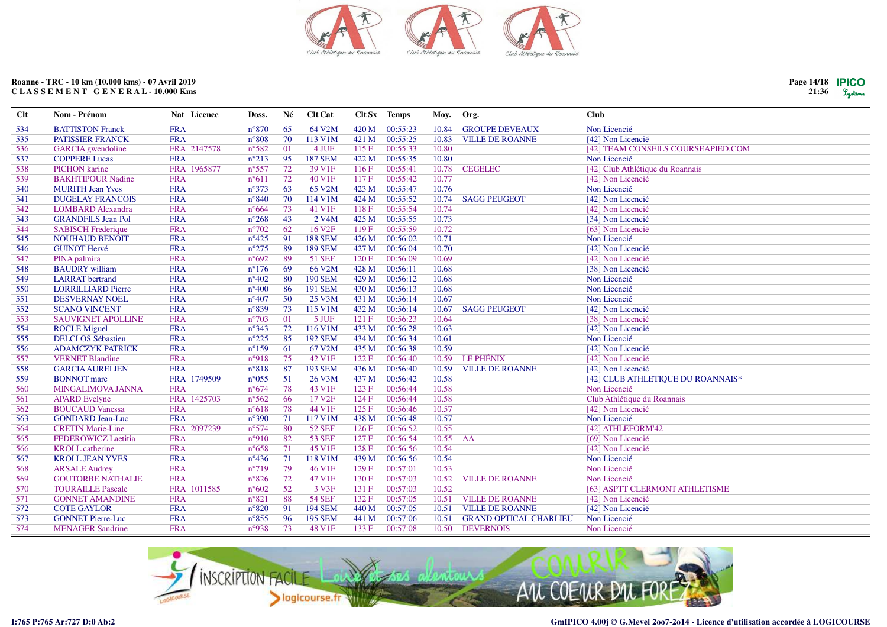

10.84

Org.

**GROUPE DEVEAUX** 

**Club** 

Non Licencié

# Roanne - TRC - 10 km (10.000 kms) - 07 Avril 2019 CLASSEMENT GENERAL-10.000 Kms

Nat Licence

**FRA** 

Né

Doss.

 $n^{\circ}870$ 

Clt Cat

64 V<sub>2</sub>M

Clt Sx Temps

00:55:23

420 M

Nom - Prénom

**BATTISTON Franck** 

**Clt** 

| <b>PATISSIER FRANCK</b>   | <b>FRA</b>  | $n^{\circ}808$ | 70 | 113 V1M            | 421 M | 00:55:25 | 10.83 | <b>VILLE DE ROANNE</b>        | [42] Non Licencié                  |
|---------------------------|-------------|----------------|----|--------------------|-------|----------|-------|-------------------------------|------------------------------------|
| <b>GARCIA</b> gwendoline  | FRA 2147578 | n°582          | 01 | 4 JUF              | 115F  | 00:55:33 | 10.80 |                               | [42] TEAM CONSEILS COURSEAPIED.COM |
| <b>COPPERE Lucas</b>      | <b>FRA</b>  | $n^{\circ}213$ | 95 | <b>187 SEM</b>     | 422 M | 00:55:35 | 10.80 |                               | Non Licencié                       |
| <b>PICHON</b> karine      | FRA 1965877 | $n^{\circ}557$ | 72 | 39 V <sub>1F</sub> | 116F  | 00:55:41 | 10.78 | <b>CEGELEC</b>                | [42] Club Athlétique du Roannais   |
| <b>BAKHTIPOUR Nadine</b>  | <b>FRA</b>  | $n^{\circ}611$ | 72 | 40 V1F             | 117F  | 00:55:42 | 10.77 |                               | [42] Non Licencié                  |
| <b>MURITH Jean Yves</b>   | <b>FRA</b>  | $n^{\circ}373$ | 63 | 65 V2M             | 423 M | 00:55:47 | 10.76 |                               | Non Licencié                       |
| <b>DUGELAY FRANCOIS</b>   | <b>FRA</b>  | $n^{\circ}840$ | 70 | 114 V1M            | 424 M | 00:55:52 | 10.74 | <b>SAGG PEUGEOT</b>           | [42] Non Licencié                  |
| <b>LOMBARD</b> Alexandra  | <b>FRA</b>  | $n^{\circ}664$ | 73 | 41 V1F             | 118F  | 00:55:54 | 10.74 |                               | [42] Non Licencié                  |
| <b>GRANDFILS Jean Pol</b> | <b>FRA</b>  | $n^{\circ}268$ | 43 | 2 V <sub>4</sub> M | 425 M | 00:55:55 | 10.73 |                               | [34] Non Licencié                  |
| <b>SABISCH Frederique</b> | <b>FRA</b>  | $n^{\circ}702$ | 62 | 16 V <sub>2F</sub> | 119F  | 00:55:59 | 10.72 |                               | [63] Non Licencié                  |
| <b>NOUHAUD BENOIT</b>     | <b>FRA</b>  | $n^{\circ}425$ | 91 | <b>188 SEM</b>     | 426 M | 00:56:02 | 10.71 |                               | Non Licencié                       |
| <b>GUINOT Hervé</b>       | <b>FRA</b>  | $n^{\circ}275$ | 89 | <b>189 SEM</b>     | 427 M | 00:56:04 | 10.70 |                               | [42] Non Licencié                  |
| PINA palmira              | <b>FRA</b>  | n°692          | 89 | 51 SEF             | 120F  | 00:56:09 | 10.69 |                               | [42] Non Licencié                  |
| <b>BAUDRY</b> william     | <b>FRA</b>  | $n^{\circ}176$ | 69 | 66 V2M             | 428 M | 00:56:11 | 10.68 |                               | [38] Non Licencié                  |
| <b>LARRAT</b> bertrand    | <b>FRA</b>  | $n^{\circ}402$ | 80 | <b>190 SEM</b>     | 429 M | 00:56:12 | 10.68 |                               | Non Licencié                       |
| <b>LORRILLIARD Pierre</b> | <b>FRA</b>  | $n^{\circ}400$ | 86 | 191 SEM            | 430 M | 00:56:13 | 10.68 |                               | Non Licencié                       |
| <b>DESVERNAY NOEL</b>     | <b>FRA</b>  | $n^{\circ}407$ | 50 | 25 V3M             | 431 M | 00:56:14 | 10.67 |                               | Non Licencié                       |
| <b>SCANO VINCENT</b>      | <b>FRA</b>  | $n^{\circ}839$ | 73 | 115 V1M            | 432 M | 00:56:14 | 10.67 | <b>SAGG PEUGEOT</b>           | [42] Non Licencié                  |
| <b>SAUVIGNET APOLLINE</b> | <b>FRA</b>  | $n^{\circ}703$ | 01 | 5 JUF              | 121 F | 00:56:23 | 10.64 |                               | [38] Non Licencié                  |
| <b>ROCLE</b> Miguel       | <b>FRA</b>  | $n^{\circ}343$ | 72 | 116 V1M            | 433 M | 00:56:28 | 10.63 |                               | [42] Non Licencié                  |
| <b>DELCLOS</b> Sébastien  | <b>FRA</b>  | $n^{\circ}225$ | 85 | <b>192 SEM</b>     | 434 M | 00:56:34 | 10.61 |                               | Non Licencié                       |
| <b>ADAMCZYK PATRICK</b>   | <b>FRA</b>  | $n^{\circ}159$ | 61 | 67 V2M             | 435 M | 00:56:38 | 10.59 |                               | [42] Non Licencié                  |
| <b>VERNET Blandine</b>    | <b>FRA</b>  | n°918          | 75 | 42 V1F             | 122F  | 00:56:40 | 10.59 | <b>LE PHÉNIX</b>              | [42] Non Licencié                  |
| <b>GARCIA AURELIEN</b>    | <b>FRA</b>  | $n^{\circ}818$ | 87 | <b>193 SEM</b>     | 436 M | 00:56:40 | 10.59 | <b>VILLE DE ROANNE</b>        | [42] Non Licencié                  |
| <b>BONNOT</b> marc        | FRA 1749509 | $n^{\circ}055$ | 51 | 26 V3M             | 437 M | 00:56:42 | 10.58 |                               | [42] CLUB ATHLETIQUE DU ROANNAIS*  |
| MINGALIMOVA JANNA         | <b>FRA</b>  | $n^{\circ}674$ | 78 | 43 V1F             | 123F  | 00:56:44 | 10.58 |                               | Non Licencié                       |
| <b>APARD Evelyne</b>      | FRA 1425703 | $n^{\circ}562$ | 66 | 17 V2F             | 124 F | 00:56:44 | 10.58 |                               | Club Athlétique du Roannais        |
| <b>BOUCAUD Vanessa</b>    | <b>FRA</b>  | $n^{\circ}618$ | 78 | 44 V1F             | 125F  | 00:56:46 | 10.57 |                               | [42] Non Licencié                  |
| <b>GONDARD Jean-Luc</b>   | <b>FRA</b>  | $n^{\circ}390$ | 71 | 117 V1M            | 438 M | 00:56:48 | 10.57 |                               | Non Licencié                       |
| <b>CRETIN Marie-Line</b>  | FRA 2097239 | n°574          | 80 | <b>52 SEF</b>      | 126F  | 00:56:52 | 10.55 |                               | [42] ATHLEFORM'42                  |
| FEDEROWICZ Laetitia       | <b>FRA</b>  | n°910          | 82 | <b>53 SEF</b>      | 127 F | 00:56:54 | 10.55 | AA                            | [69] Non Licencié                  |
| <b>KROLL</b> catherine    | <b>FRA</b>  | $n^{\circ}658$ | 71 | 45 V1F             | 128F  | 00:56:56 | 10.54 |                               | [42] Non Licencié                  |
| <b>KROLL JEAN YVES</b>    | <b>FRA</b>  | $n^{\circ}436$ | 71 | 118 V1M            | 439 M | 00:56:56 | 10.54 |                               | Non Licencié                       |
| <b>ARSALE Audrey</b>      | <b>FRA</b>  | $n^{\circ}719$ | 79 | 46 V1F             | 129F  | 00:57:01 | 10.53 |                               | Non Licencié                       |
| <b>GOUTORBE NATHALIE</b>  | <b>FRA</b>  | $n^{\circ}826$ | 72 | 47 V1F             | 130 F | 00:57:03 | 10.52 | <b>VILLE DE ROANNE</b>        | Non Licencié                       |
| <b>TOURAILLE Pascale</b>  | FRA 1011585 | $n^{\circ}602$ | 52 | 3 V3F              | 131 F | 00:57:03 | 10.52 |                               | [63] ASPTT CLERMONT ATHLETISME     |
| <b>GONNET AMANDINE</b>    | <b>FRA</b>  | n°821          | 88 | <b>54 SEF</b>      | 132F  | 00:57:05 | 10.51 | <b>VILLE DE ROANNE</b>        | [42] Non Licencié                  |
| <b>COTE GAYLOR</b>        | <b>FRA</b>  | $n^{\circ}820$ | 91 | <b>194 SEM</b>     | 440 M | 00:57:05 | 10.51 | <b>VILLE DE ROANNE</b>        | [42] Non Licencié                  |
| <b>GONNET Pierre-Luc</b>  | <b>FRA</b>  | $n^{\circ}855$ | 96 | <b>195 SEM</b>     | 441 M | 00:57:06 | 10.51 | <b>GRAND OPTICAL CHARLIEU</b> | Non Licencié                       |
| <b>MENAGER Sandrine</b>   | <b>FRA</b>  | n°938          | 73 | 48 V1F             | 133 F | 00:57:08 | 10.50 | <b>DEVERNOIS</b>              | Non Licencié                       |
|                           |             |                |    |                    |       |          |       |                               |                                    |



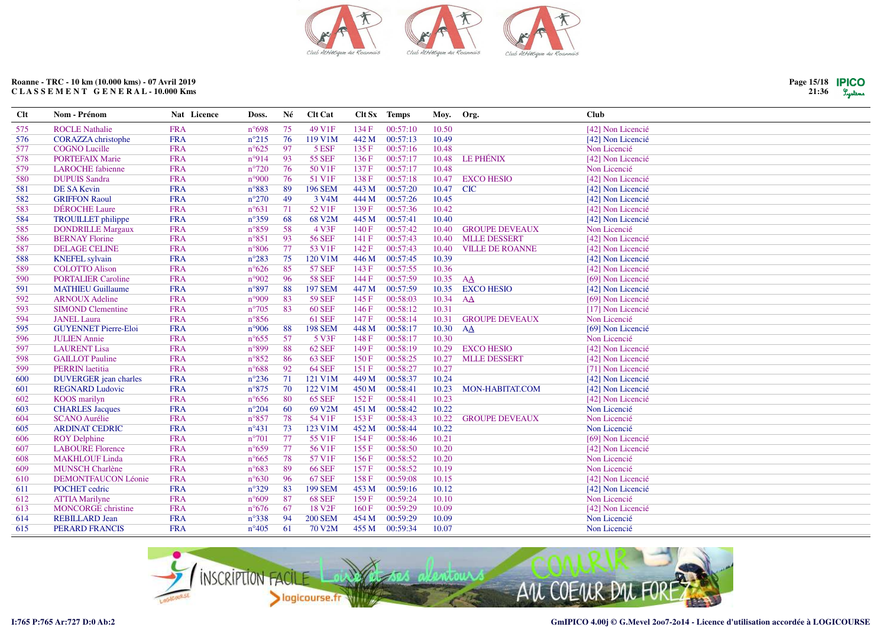

| <b>Clt</b> | Nom - Prénom                | Nat Licence | Doss.          | Né  | <b>Clt Cat</b>     |       | Clt Sx Temps | Moy.  | Org.                   | <b>Club</b>       |
|------------|-----------------------------|-------------|----------------|-----|--------------------|-------|--------------|-------|------------------------|-------------------|
| 575        | <b>ROCLE Nathalie</b>       | <b>FRA</b>  | n°698          | 75  | 49 V1F             | 134 F | 00:57:10     | 10.50 |                        | [42] Non Licencié |
| 576        | <b>CORAZZA</b> christophe   | <b>FRA</b>  | $n^{\circ}215$ | 76  | 119 V1M            | 442 M | 00:57:13     | 10.49 |                        | [42] Non Licencié |
| 577        | <b>COGNO</b> Lucille        | <b>FRA</b>  | $n^{\circ}625$ | 97  | 5 ESF              | 135F  | 00:57:16     | 10.48 |                        | Non Licencié      |
| 578        | <b>PORTEFAIX Marie</b>      | <b>FRA</b>  | n°914          | 93  | 55 SEF             | 136F  | 00:57:17     | 10.48 | <b>LE PHÉNIX</b>       | [42] Non Licencié |
| 579        | <b>LAROCHE</b> fabienne     | <b>FRA</b>  | $n^{\circ}720$ | 76  | 50 V1F             | 137 F | 00:57:17     | 10.48 |                        | Non Licencié      |
| 580        | <b>DUPUIS Sandra</b>        | <b>FRA</b>  | n°900          | 76  | 51 V1F             | 138F  | 00:57:18     | 10.47 | <b>EXCO HESIO</b>      | [42] Non Licencié |
| 581        | DE SA Kevin                 | <b>FRA</b>  | $n^{\circ}883$ | 89  | <b>196 SEM</b>     | 443 M | 00:57:20     | 10.47 | <b>CIC</b>             | [42] Non Licencié |
| 582        | <b>GRIFFON Raoul</b>        | <b>FRA</b>  | $n^{\circ}270$ | 49  | 3 V <sub>4</sub> M | 444 M | 00:57:26     | 10.45 |                        | [42] Non Licencié |
| 583        | <b>DÉROCHE</b> Laure        | <b>FRA</b>  | $n^{\circ}631$ | 71  | 52 V1F             | 139 F | 00:57:36     | 10.42 |                        | [42] Non Licencié |
| 584        | <b>TROUILLET</b> philippe   | <b>FRA</b>  | $n^{\circ}359$ | 68  | 68 V2M             | 445 M | 00:57:41     | 10.40 |                        | [42] Non Licencié |
| 585        | <b>DONDRILLE Margaux</b>    | <b>FRA</b>  | $n^{\circ}859$ | 58  | 4 V3F              | 140 F | 00:57:42     | 10.40 | <b>GROUPE DEVEAUX</b>  | Non Licencié      |
| 586        | <b>BERNAY Florine</b>       | <b>FRA</b>  | $n^{\circ}851$ | 93  | 56 SEF             | 141 F | 00:57:43     | 10.40 | <b>MLLE DESSERT</b>    | [42] Non Licencié |
| 587        | <b>DELAGE CELINE</b>        | <b>FRA</b>  | $n^{\circ}806$ | 77  | 53 V <sub>1F</sub> | 142 F | 00:57:43     | 10.40 | <b>VILLE DE ROANNE</b> | [42] Non Licencié |
| 588        | <b>KNEFEL</b> sylvain       | <b>FRA</b>  | $n^{\circ}283$ | 75  | 120 V1M            | 446 M | 00:57:45     | 10.39 |                        | [42] Non Licencié |
| 589        | <b>COLOTTO Alison</b>       | <b>FRA</b>  | $n^{\circ}626$ | 85  | <b>57 SEF</b>      | 143F  | 00:57:55     | 10.36 |                        | [42] Non Licencié |
| 590        | <b>PORTALIER Caroline</b>   | <b>FRA</b>  | n°902          | 96  | <b>58 SEF</b>      | 144 F | 00:57:59     | 10.35 | AA                     | [69] Non Licencié |
| 591        | <b>MATHIEU Guillaume</b>    | <b>FRA</b>  | n°897          | 88  | <b>197 SEM</b>     | 447 M | 00:57:59     | 10.35 | <b>EXCO HESIO</b>      | [42] Non Licencié |
| 592        | <b>ARNOUX Adeline</b>       | <b>FRA</b>  | n°909          | 83  | 59 SEF             | 145 F | 00:58:03     | 10.34 | AA                     | [69] Non Licencié |
| 593        | <b>SIMOND Clementine</b>    | <b>FRA</b>  | $n^{\circ}705$ | 83  | <b>60 SEF</b>      | 146 F | 00:58:12     | 10.31 |                        | [17] Non Licencié |
| 594        | <b>JANEL Laura</b>          | <b>FRA</b>  | $n^{\circ}856$ |     | <b>61 SEF</b>      | 147 F | 00:58:14     | 10.31 | <b>GROUPE DEVEAUX</b>  | Non Licencié      |
| 595        | <b>GUYENNET Pierre-Eloi</b> | <b>FRA</b>  | n°906          | 88  | <b>198 SEM</b>     | 448 M | 00:58:17     | 10.30 | AA                     | [69] Non Licencié |
| 596        | <b>JULIEN Annie</b>         | <b>FRA</b>  | $n^{\circ}655$ | 57  | 5 V3F              | 148 F | 00:58:17     | 10.30 |                        | Non Licencié      |
| 597        | <b>LAURENT</b> Lisa         | <b>FRA</b>  | n°899          | 88  | <b>62 SEF</b>      | 149 F | 00:58:19     | 10.29 | <b>EXCO HESIO</b>      | [42] Non Licencié |
| 598        | <b>GAILLOT Pauline</b>      | <b>FRA</b>  | $n^{\circ}852$ | 86  | <b>63 SEF</b>      | 150F  | 00:58:25     | 10.27 | <b>MLLE DESSERT</b>    | [42] Non Licencié |
| 599        | <b>PERRIN</b> laetitia      | <b>FRA</b>  | $n^{\circ}688$ | 92  | <b>64 SEF</b>      | 151 F | 00:58:27     | 10.27 |                        | [71] Non Licencié |
| 600        | DUVERGER jean charles       | <b>FRA</b>  | $n^{\circ}236$ | 71  | 121 V1M            | 449 M | 00:58:37     | 10.24 |                        | [42] Non Licencié |
| 601        | <b>REGNARD Ludovic</b>      | <b>FRA</b>  | $n^{\circ}875$ | 70  | 122 V1M            | 450 M | 00:58:41     | 10.23 | MON-HABITAT.COM        | [42] Non Licencié |
| 602        | <b>KOOS</b> marilyn         | <b>FRA</b>  | $n^{\circ}656$ | 80  | <b>65 SEF</b>      | 152F  | 00:58:41     | 10.23 |                        | [42] Non Licencié |
| 603        | <b>CHARLES</b> Jacques      | <b>FRA</b>  | $n^{\circ}204$ | 60  | 69 V2M             | 451 M | 00:58:42     | 10.22 |                        | Non Licencié      |
| 604        | <b>SCANO</b> Aurélie        | <b>FRA</b>  | $n^{\circ}857$ | 78  | 54 V1F             | 153F  | 00:58:43     | 10.22 | <b>GROUPE DEVEAUX</b>  | Non Licencié      |
| 605        | <b>ARDINAT CEDRIC</b>       | <b>FRA</b>  | $n^{\circ}431$ | 73  | 123 V1M            | 452 M | 00:58:44     | 10.22 |                        | Non Licencié      |
| 606        | <b>ROY Delphine</b>         | <b>FRA</b>  | $n^{\circ}701$ | 77  | 55 V1F             | 154 F | 00:58:46     | 10.21 |                        | [69] Non Licencié |
| 607        | <b>LABOURE</b> Florence     | <b>FRA</b>  | $n^{\circ}659$ | 77  | 56 V1F             | 155F  | 00:58:50     | 10.20 |                        | [42] Non Licencié |
| 608        | <b>MAKHLOUF Linda</b>       | <b>FRA</b>  | $n^{\circ}665$ | 78  | 57 V1F             | 156F  | 00:58:52     | 10.20 |                        | Non Licencié      |
| 609        | <b>MUNSCH Charlène</b>      | <b>FRA</b>  | $n^{\circ}683$ | 89  | <b>66 SEF</b>      | 157F  | 00:58:52     | 10.19 |                        | Non Licencié      |
| 610        | <b>DEMONTFAUCON Léonie</b>  | <b>FRA</b>  | $n^{\circ}630$ | -96 | <b>67 SEF</b>      | 158F  | 00:59:08     | 10.15 |                        | [42] Non Licencié |
| 611        | POCHET cedric               | <b>FRA</b>  | $n^{\circ}329$ | 83  | <b>199 SEM</b>     | 453 M | 00:59:16     | 10.12 |                        | [42] Non Licencié |
| 612        | <b>ATTIA Marilyne</b>       | <b>FRA</b>  | $n^{\circ}609$ | 87  | <b>68 SEF</b>      | 159F  | 00:59:24     | 10.10 |                        | Non Licencié      |
| 613        | <b>MONCORGE</b> christine   | <b>FRA</b>  | $n^{\circ}676$ | 67  | 18 V <sub>2F</sub> | 160 F | 00:59:29     | 10.09 |                        | [42] Non Licencié |
| 614        | <b>REBILLARD Jean</b>       | <b>FRA</b>  | $n^{\circ}338$ | 94  | <b>200 SEM</b>     | 454 M | 00:59:29     | 10.09 |                        | Non Licencié      |
| 615        | PERARD FRANCIS              | <b>FRA</b>  | $n^{\circ}405$ | 61  | 70 V2M             | 455 M | 00:59:34     | 10.07 |                        | Non Licencié      |
|            |                             |             |                |     |                    |       |              |       |                        |                   |



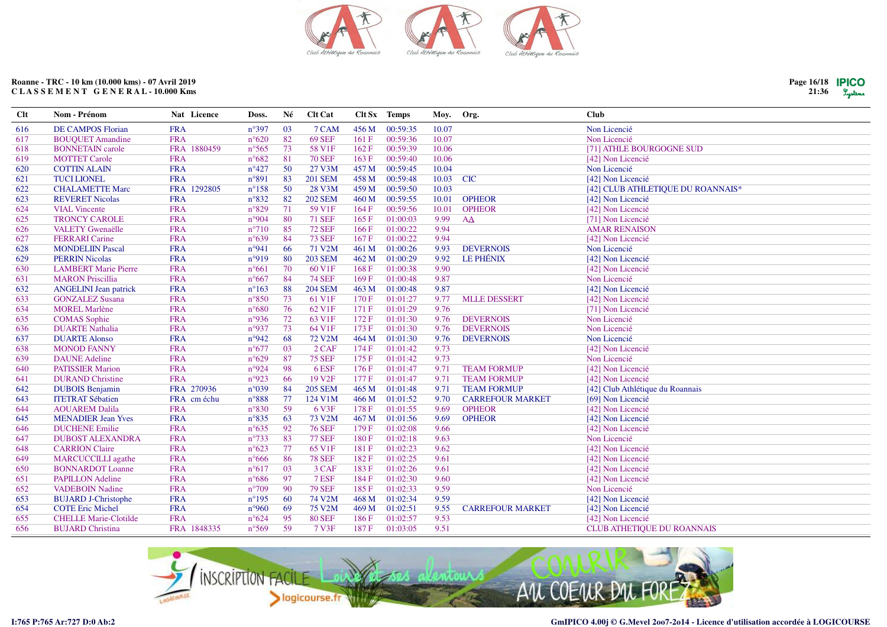

| <b>Clt</b> | Nom - Prénom                 | Nat Licence | Doss.           | Né  | <b>Clt Cat</b>     |       | Clt Sx Temps | Moy.  | Org.                    | <b>Club</b>                       |
|------------|------------------------------|-------------|-----------------|-----|--------------------|-------|--------------|-------|-------------------------|-----------------------------------|
| 616        | <b>DE CAMPOS Florian</b>     | <b>FRA</b>  | $n^{\circ}397$  | 03  | 7 CAM              | 456 M | 00:59:35     | 10.07 |                         | Non Licencié                      |
| 617        | <b>BOUQUET Amandine</b>      | <b>FRA</b>  | $n^{\circ}620$  | 82  | <b>69 SEF</b>      | 161 F | 00:59:36     | 10.07 |                         | Non Licencié                      |
| 618        | <b>BONNETAIN</b> carole      | FRA 1880459 | $n^{\circ}$ 565 | 73  | 58 V1F             | 162F  | 00:59:39     | 10.06 |                         | [71] ATHLE BOURGOGNE SUD          |
| 619        | <b>MOTTET Carole</b>         | <b>FRA</b>  | $n^{\circ}682$  | 81  | <b>70 SEF</b>      | 163F  | 00:59:40     | 10.06 |                         | [42] Non Licencié                 |
| 620        | <b>COTTIN ALAIN</b>          | <b>FRA</b>  | $n^{\circ}427$  | 50  | 27 V3M             | 457 M | 00:59:45     | 10.04 |                         | Non Licencié                      |
| 621        | <b>TUCI LIONEL</b>           | <b>FRA</b>  | n°891           | 83  | <b>201 SEM</b>     | 458 M | 00:59:48     | 10.03 | <b>CIC</b>              | [42] Non Licencié                 |
| 622        | <b>CHALAMETTE Marc</b>       | FRA 1292805 | $n^{\circ}158$  | 50  | 28 V3M             | 459 M | 00:59:50     | 10.03 |                         | [42] CLUB ATHLETIQUE DU ROANNAIS* |
| 623        | <b>REVERET Nicolas</b>       | <b>FRA</b>  | $n^{\circ}832$  | 82  | <b>202 SEM</b>     | 460 M | 00:59:55     | 10.01 | <b>OPHEOR</b>           | [42] Non Licencié                 |
| 624        | <b>VIAL Vincente</b>         | <b>FRA</b>  | $n^{\circ}829$  | 71  | 59 V1F             | 164F  | 00:59:56     | 10.01 | <b>OPHEOR</b>           | [42] Non Licencié                 |
| 625        | <b>TRONCY CAROLE</b>         | <b>FRA</b>  | n°904           | 80  | <b>71 SEF</b>      | 165F  | 01:00:03     | 9.99  | AA                      | [71] Non Licencié                 |
| 626        | <b>VALETY Gwenaëlle</b>      | <b>FRA</b>  | $n^{\circ}710$  | 85  | <b>72 SEF</b>      | 166F  | 01:00:22     | 9.94  |                         | <b>AMAR RENAISON</b>              |
| 627        | <b>FERRARI</b> Carine        | <b>FRA</b>  | $n^{\circ}639$  | 84  | <b>73 SEF</b>      | 167F  | 01:00:22     | 9.94  |                         | [42] Non Licencié                 |
| 628        | <b>MONDELIIN Pascal</b>      | <b>FRA</b>  | n°941           | 66  | 71 V2M             | 461 M | 01:00:26     | 9.93  | <b>DEVERNOIS</b>        | Non Licencié                      |
| 629        | <b>PERRIN Nicolas</b>        | <b>FRA</b>  | n°919           | 80  | <b>203 SEM</b>     | 462 M | 01:00:29     | 9.92  | <b>LE PHÉNIX</b>        | [42] Non Licencié                 |
| 630        | <b>LAMBERT Marie Pierre</b>  | <b>FRA</b>  | $n^{\circ}661$  | 70  | 60 V1F             | 168F  | 01:00:38     | 9.90  |                         | [42] Non Licencié                 |
| 631        | <b>MARON</b> Priscillia      | <b>FRA</b>  | $n^{\circ}667$  | 84  | <b>74 SEF</b>      | 169F  | 01:00:48     | 9.87  |                         | Non Licencié                      |
| 632        | <b>ANGELINI Jean patrick</b> | <b>FRA</b>  | $n^{\circ}163$  | 88  | <b>204 SEM</b>     | 463 M | 01:00:48     | 9.87  |                         | [42] Non Licencié                 |
| 633        | <b>GONZALEZ Susana</b>       | <b>FRA</b>  | $n^{\circ}850$  | 73  | 61 V1F             | 170F  | 01:01:27     | 9.77  | <b>MLLE DESSERT</b>     | [42] Non Licencié                 |
| 634        | <b>MOREL Marlène</b>         | <b>FRA</b>  | $n^{\circ}680$  | 76  | 62 V1F             | 171 F | 01:01:29     | 9.76  |                         | [71] Non Licencié                 |
| 635        | <b>COMAS</b> Sophie          | <b>FRA</b>  | n°936           | 72  | 63 V1F             | 172F  | 01:01:30     | 9.76  | <b>DEVERNOIS</b>        | Non Licencié                      |
| 636        | <b>DUARTE Nathalia</b>       | <b>FRA</b>  | $n^{\circ}937$  | 73  | 64 V1F             | 173 F | 01:01:30     | 9.76  | <b>DEVERNOIS</b>        | Non Licencié                      |
| 637        | <b>DUARTE Alonso</b>         | <b>FRA</b>  | n°942           | 68  | 72 V2M             | 464 M | 01:01:30     | 9.76  | <b>DEVERNOIS</b>        | Non Licencié                      |
| 638        | <b>MONOD FANNY</b>           | <b>FRA</b>  | $n^{\circ}677$  | 03  | $2$ CAF            | 174 F | 01:01:42     | 9.73  |                         | [42] Non Licencié                 |
| 639        | <b>DAUNE</b> Adeline         | <b>FRA</b>  | $n^{\circ}629$  | 87  | <b>75 SEF</b>      | 175F  | 01:01:42     | 9.73  |                         | Non Licencié                      |
| 640        | <b>PATISSIER Marion</b>      | <b>FRA</b>  | n°924           | 98  | 6 ESF              | 176F  | 01:01:47     | 9.71  | <b>TEAM FORMUP</b>      | [42] Non Licencié                 |
| 641        | <b>DURAND Christine</b>      | <b>FRA</b>  | n°923           | 66  | 19 V <sub>2F</sub> | 177 F | 01:01:47     | 9.71  | <b>TEAM FORMUP</b>      | [42] Non Licencié                 |
| 642        | <b>DUBOIS</b> Benjamin       | FRA 270936  | n°039           | 84  | <b>205 SEM</b>     | 465 M | 01:01:48     | 9.71  | <b>TEAM FORMUP</b>      | [42] Club Athlétique du Roannais  |
| 643        | <b>ITETRAT Sébatien</b>      | FRA cm échu | $n^{\circ}888$  | 77  | 124 V1M            | 466 M | 01:01:52     | 9.70  | <b>CARREFOUR MARKET</b> | [69] Non Licencié                 |
| 644        | <b>AOUAREM Dalila</b>        | <b>FRA</b>  | $n^{\circ}830$  | 59  | 6 V3F              | 178F  | 01:01:55     | 9.69  | <b>OPHEOR</b>           | [42] Non Licencié                 |
| 645        | <b>MENADIER Jean Yves</b>    | <b>FRA</b>  | $n^{\circ}835$  | 63  | 73 V2M             | 467 M | 01:01:56     | 9.69  | <b>OPHEOR</b>           | [42] Non Licencié                 |
| 646        | <b>DUCHENE Emilie</b>        | <b>FRA</b>  | $n^{\circ}635$  | 92  | <b>76 SEF</b>      | 179F  | 01:02:08     | 9.66  |                         | [42] Non Licencié                 |
| 647        | <b>DUBOST ALEXANDRA</b>      | <b>FRA</b>  | $n^{\circ}733$  | 83  | <b>77 SEF</b>      | 180F  | 01:02:18     | 9.63  |                         | Non Licencié                      |
| 648        | <b>CARRION Claire</b>        | <b>FRA</b>  | $n^{\circ}623$  | 77  | 65 V <sub>1F</sub> | 181 F | 01:02:23     | 9.62  |                         | [42] Non Licencié                 |
| 649        | <b>MARCUCCILLI</b> agathe    | <b>FRA</b>  | $n^{\circ}666$  | 86  | <b>78 SEF</b>      | 182F  | 01:02:25     | 9.61  |                         | [42] Non Licencié                 |
| 650        | <b>BONNARDOT Loanne</b>      | <b>FRA</b>  | $n^{\circ}617$  | 03  | 3 CAF              | 183F  | 01:02:26     | 9.61  |                         | [42] Non Licencié                 |
| 651        | <b>PAPILLON Adeline</b>      | <b>FRA</b>  | $n^{\circ}686$  | 97  | 7 ESF              | 184 F | 01:02:30     | 9.60  |                         | [42] Non Licencié                 |
| 652        | <b>VADEBOIN Nadine</b>       | <b>FRA</b>  | $n^{\circ}709$  | 90  | <b>79 SEF</b>      | 185F  | 01:02:33     | 9.59  |                         | Non Licencié                      |
| 653        | <b>BUJARD J-Christophe</b>   | <b>FRA</b>  | $n^{\circ}195$  | -60 | 74 V2M             | 468 M | 01:02:34     | 9.59  |                         | [42] Non Licencié                 |
| 654        | <b>COTE Eric Michel</b>      | <b>FRA</b>  | n°960           | 69  | 75 V2M             | 469 M | 01:02:51     | 9.55  | <b>CARREFOUR MARKET</b> | [42] Non Licencié                 |
| 655        | <b>CHELLE Marie-Clotilde</b> | <b>FRA</b>  | $n^{\circ}624$  | 95  | <b>80 SEF</b>      | 186F  | 01:02:57     | 9.53  |                         | [42] Non Licencié                 |
| 656        | <b>BUJARD</b> Christina      | FRA 1848335 | $n^{\circ}569$  | 59  | 7 V3F              | 187F  | 01:03:05     | 9.51  |                         | <b>CLUB ATHETIQUE DU ROANNAIS</b> |



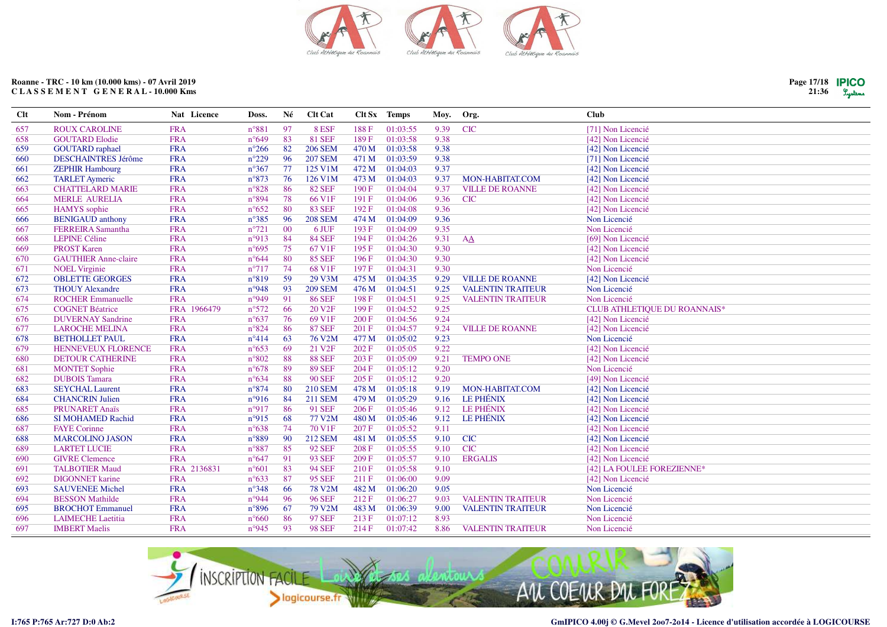

Moy. Org.

 $Club$ 

#### Roanne - TRC - 10 km (10.000 kms) - 07 Avril 2019 CLASSEMENT GENERAL-10.000 Kms

Nat Licence

Doss.

Né

Clt Cat

Clt Sx Temps

Nom - Prénom

**Clt** 

| 657 | <b>ROUX CAROLINE</b>        | <b>FRA</b>  | $n^{\circ}881$ | 97     | 8 ESF              | 188F  | 01:03:55 | 9.39 | <b>CIC</b>               | [71] Non Licencié                   |
|-----|-----------------------------|-------------|----------------|--------|--------------------|-------|----------|------|--------------------------|-------------------------------------|
| 658 | <b>GOUTARD Elodie</b>       | <b>FRA</b>  | $n^{\circ}649$ | 83     | <b>81 SEF</b>      | 189F  | 01:03:58 | 9.38 |                          | [42] Non Licencié                   |
| 659 | <b>GOUTARD</b> raphael      | <b>FRA</b>  | $n^{\circ}266$ | 82     | <b>206 SEM</b>     | 470 M | 01:03:58 | 9.38 |                          | [42] Non Licencié                   |
| 660 | <b>DESCHAINTRES Jérôme</b>  | <b>FRA</b>  | $n^{\circ}229$ | 96     | <b>207 SEM</b>     | 471 M | 01:03:59 | 9.38 |                          | [71] Non Licencié                   |
| 661 | <b>ZEPHIR Hambourg</b>      | <b>FRA</b>  | $n^{\circ}367$ | 77     | 125 V1M            | 472 M | 01:04:03 | 9.37 |                          | [42] Non Licencié                   |
| 662 | <b>TARLET Aymeric</b>       | <b>FRA</b>  | $n^{\circ}873$ | 76     | 126 V1M            | 473 M | 01:04:03 | 9.37 | <b>MON-HABITAT.COM</b>   | [42] Non Licencié                   |
| 663 | <b>CHATTELARD MARIE</b>     | <b>FRA</b>  | $n^{\circ}828$ | 86     | <b>82 SEF</b>      | 190F  | 01:04:04 | 9.37 | <b>VILLE DE ROANNE</b>   | [42] Non Licencié                   |
| 664 | <b>MERLE AURELIA</b>        | <b>FRA</b>  | n°894          | 78     | 66 V1F             | 191 F | 01:04:06 | 9.36 | <b>CIC</b>               | [42] Non Licencié                   |
| 665 | <b>HAMYS</b> sophie         | <b>FRA</b>  | $n^{\circ}652$ | 80     | <b>83 SEF</b>      | 192 F | 01:04:08 | 9.36 |                          | [42] Non Licencié                   |
| 666 | <b>BENIGAUD</b> anthony     | <b>FRA</b>  | $n^{\circ}385$ | 96     | <b>208 SEM</b>     | 474 M | 01:04:09 | 9.36 |                          | Non Licencié                        |
| 667 | <b>FERREIRA</b> Samantha    | <b>FRA</b>  | $n^{\circ}721$ | $00\,$ | 6 JUF              | 193 F | 01:04:09 | 9.35 |                          | Non Licencié                        |
| 668 | <b>LEPINE Céline</b>        | <b>FRA</b>  | n°913          | 84     | <b>84 SEF</b>      | 194 F | 01:04:26 | 9.31 | AA                       | [69] Non Licencié                   |
| 669 | <b>PROST Karen</b>          | <b>FRA</b>  | $n^{\circ}695$ | 75     | 67 V1F             | 195F  | 01:04:30 | 9.30 |                          | [42] Non Licencié                   |
| 670 | <b>GAUTHIER Anne-claire</b> | <b>FRA</b>  | $n^{\circ}644$ | 80     | <b>85 SEF</b>      | 196F  | 01:04:30 | 9.30 |                          | [42] Non Licencié                   |
| 671 | <b>NOEL Virginie</b>        | <b>FRA</b>  | $n^{\circ}717$ | 74     | 68 V1F             | 197 F | 01:04:31 | 9.30 |                          | Non Licencié                        |
| 672 | <b>OBLETTE GEORGES</b>      | <b>FRA</b>  | $n^{\circ}819$ | 59     | 29 V3M             | 475 M | 01:04:35 | 9.29 | <b>VILLE DE ROANNE</b>   | [42] Non Licencié                   |
| 673 | <b>THOUY Alexandre</b>      | <b>FRA</b>  | n°948          | 93     | <b>209 SEM</b>     | 476 M | 01:04:51 | 9.25 | <b>VALENTIN TRAITEUR</b> | Non Licencié                        |
| 674 | <b>ROCHER Emmanuelle</b>    | <b>FRA</b>  | n°949          | 91     | <b>86 SEF</b>      | 198F  | 01:04:51 | 9.25 | <b>VALENTIN TRAITEUR</b> | Non Licencié                        |
| 675 | <b>COGNET Béatrice</b>      | FRA 1966479 | $n^{\circ}572$ | 66     | 20 V <sub>2F</sub> | 199F  | 01:04:52 | 9.25 |                          | <b>CLUB ATHLETIQUE DU ROANNAIS*</b> |
| 676 | <b>DUVERNAY Sandrine</b>    | <b>FRA</b>  | $n^{\circ}637$ | 76     | 69 V1F             | 200 F | 01:04:56 | 9.24 |                          | [42] Non Licencié                   |
| 677 | <b>LAROCHE MELINA</b>       | <b>FRA</b>  | $n^{\circ}824$ | 86     | <b>87 SEF</b>      | 201 F | 01:04:57 | 9.24 | <b>VILLE DE ROANNE</b>   | [42] Non Licencié                   |
| 678 | <b>BETHOLLET PAUL</b>       | <b>FRA</b>  | $n^{\circ}414$ | 63     | 76 V2M             | 477 M | 01:05:02 | 9.23 |                          | Non Licencié                        |
| 679 | <b>HENNEVEUX FLORENCE</b>   | <b>FRA</b>  | $n^{\circ}653$ | 69     | 21 V <sub>2F</sub> | 202 F | 01:05:05 | 9.22 |                          | [42] Non Licencié                   |
| 680 | <b>DETOUR CATHERINE</b>     | <b>FRA</b>  | $n^{\circ}802$ | 88     | <b>88 SEF</b>      | 203 F | 01:05:09 | 9.21 | <b>TEMPO ONE</b>         | [42] Non Licencié                   |
| 681 | <b>MONTET Sophie</b>        | <b>FRA</b>  | $n^{\circ}678$ | 89     | <b>89 SEF</b>      | 204 F | 01:05:12 | 9.20 |                          | Non Licencié                        |
| 682 | <b>DUBOIS Tamara</b>        | <b>FRA</b>  | $n^{\circ}634$ | 88     | <b>90 SEF</b>      | 205 F | 01:05:12 | 9.20 |                          | [49] Non Licencié                   |
| 683 | <b>SEYCHAL Laurent</b>      | <b>FRA</b>  | $n^{\circ}874$ | 80     | <b>210 SEM</b>     | 478 M | 01:05:18 | 9.19 | <b>MON-HABITAT.COM</b>   | [42] Non Licencié                   |
| 684 | <b>CHANCRIN Julien</b>      | <b>FRA</b>  | n°916          | 84     | 211 SEM            | 479 M | 01:05:29 | 9.16 | <b>LE PHÉNIX</b>         | [42] Non Licencié                   |
| 685 | <b>PRUNARET Anaïs</b>       | <b>FRA</b>  | n°917          | 86     | <b>91 SEF</b>      | 206F  | 01:05:46 | 9.12 | <b>LE PHÉNIX</b>         | [42] Non Licencié                   |
| 686 | <b>SI MOHAMED Rachid</b>    | <b>FRA</b>  | $n^{\circ}915$ | 68     | 77 V2M             | 480 M | 01:05:46 | 9.12 | LE PHÉNIX                | [42] Non Licencié                   |
| 687 | <b>FAYE</b> Corinne         | <b>FRA</b>  | $n^{\circ}638$ | 74     | 70 V1F             | 207 F | 01:05:52 | 9.11 |                          | [42] Non Licencié                   |
| 688 | <b>MARCOLINO JASON</b>      | <b>FRA</b>  | $n^{\circ}889$ | 90     | <b>212 SEM</b>     | 481 M | 01:05:55 | 9.10 | <b>CIC</b>               | [42] Non Licencié                   |
| 689 | <b>LARTET LUCIE</b>         | <b>FRA</b>  | $n^{\circ}887$ | 85     | <b>92 SEF</b>      | 208 F | 01:05:55 | 9.10 | <b>CIC</b>               | [42] Non Licencié                   |
| 690 | <b>GIVRE Clemence</b>       | <b>FRA</b>  | $n^{\circ}647$ | 91     | 93 SEF             | 209F  | 01:05:57 | 9.10 | <b>ERGALIS</b>           | [42] Non Licencié                   |
| 691 | <b>TALBOTIER Maud</b>       | FRA 2136831 | $n^{\circ}601$ | 83     | <b>94 SEF</b>      | 210F  | 01:05:58 | 9.10 |                          | [42] LA FOULEE FOREZIENNE*          |
| 692 | <b>DIGONNET</b> karine      | <b>FRA</b>  | $n^{\circ}633$ | 87     | <b>95 SEF</b>      | 211 F | 01:06:00 | 9.09 |                          | [42] Non Licencié                   |
| 693 | <b>SAUVENEE Michel</b>      | <b>FRA</b>  | $n^{\circ}348$ | 66     | 78 V2M             | 482 M | 01:06:20 | 9.05 |                          | Non Licencié                        |
| 694 | <b>BESSON Mathilde</b>      | <b>FRA</b>  | n°944          | 96     | <b>96 SEF</b>      | 212F  | 01:06:27 | 9.03 | <b>VALENTIN TRAITEUR</b> | Non Licencié                        |
| 695 | <b>BROCHOT</b> Emmanuel     | <b>FRA</b>  | $n^{\circ}896$ | -67    | 79 V2M             | 483 M | 01:06:39 | 9.00 | <b>VALENTIN TRAITEUR</b> | Non Licencié                        |
| 696 | <b>LAIMECHE</b> Laetitia    | <b>FRA</b>  | $n^{\circ}660$ | 86     | <b>97 SEF</b>      | 213 F | 01:07:12 | 8.93 |                          | Non Licencié                        |
| 697 | <b>IMBERT</b> Maelis        | <b>FRA</b>  | $n^{\circ}945$ | 93     | <b>98 SEF</b>      | 214F  | 01:07:42 | 8.86 | <b>VALENTIN TRAITEUR</b> | Non Licencié                        |
|     |                             |             |                |        |                    |       |          |      |                          |                                     |